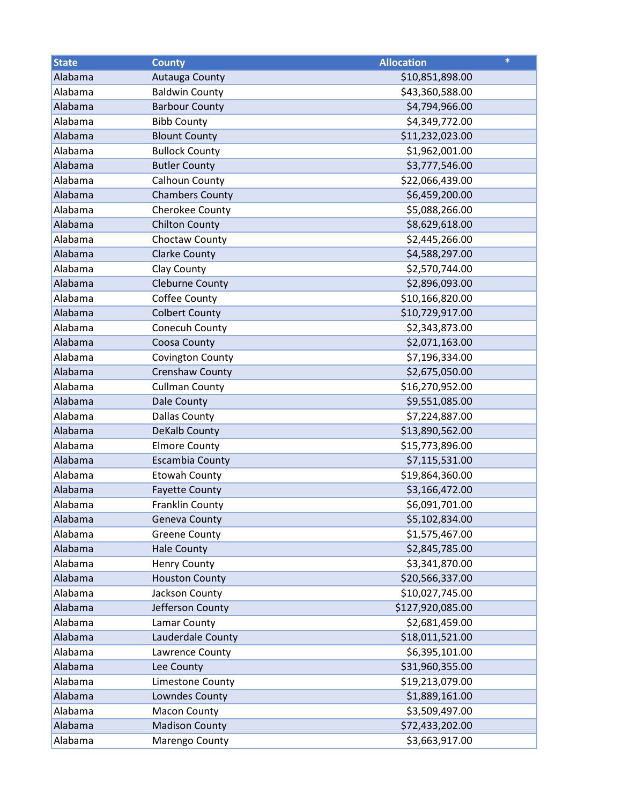| <b>State</b> | <b>County</b>          | <b>Allocation</b> | $\ast$ |
|--------------|------------------------|-------------------|--------|
| Alabama      | Autauga County         | \$10,851,898.00   |        |
| Alabama      | <b>Baldwin County</b>  | \$43,360,588.00   |        |
| Alabama      | <b>Barbour County</b>  | \$4,794,966.00    |        |
| Alabama      | <b>Bibb County</b>     | \$4,349,772.00    |        |
| Alabama      | <b>Blount County</b>   | \$11,232,023.00   |        |
| Alabama      | <b>Bullock County</b>  | \$1,962,001.00    |        |
| Alabama      | <b>Butler County</b>   | \$3,777,546.00    |        |
| Alabama      | Calhoun County         | \$22,066,439.00   |        |
| Alabama      | <b>Chambers County</b> | \$6,459,200.00    |        |
| Alabama      | Cherokee County        | \$5,088,266.00    |        |
| Alabama      | <b>Chilton County</b>  | \$8,629,618.00    |        |
| Alabama      | Choctaw County         | \$2,445,266.00    |        |
| Alabama      | <b>Clarke County</b>   | \$4,588,297.00    |        |
| Alabama      | Clay County            | \$2,570,744.00    |        |
| Alabama      | <b>Cleburne County</b> | \$2,896,093.00    |        |
| Alabama      | Coffee County          | \$10,166,820.00   |        |
| Alabama      | <b>Colbert County</b>  | \$10,729,917.00   |        |
| Alabama      | Conecuh County         | \$2,343,873.00    |        |
| Alabama      | Coosa County           | \$2,071,163.00    |        |
| Alabama      | Covington County       | \$7,196,334.00    |        |
| Alabama      | Crenshaw County        | \$2,675,050.00    |        |
| Alabama      | <b>Cullman County</b>  | \$16,270,952.00   |        |
| Alabama      | Dale County            | \$9,551,085.00    |        |
| Alabama      | <b>Dallas County</b>   | \$7,224,887.00    |        |
| Alabama      | <b>DeKalb County</b>   | \$13,890,562.00   |        |
| Alabama      | <b>Elmore County</b>   | \$15,773,896.00   |        |
| Alabama      | <b>Escambia County</b> | \$7,115,531.00    |        |
| Alabama      | <b>Etowah County</b>   | \$19,864,360.00   |        |
| Alabama      | <b>Fayette County</b>  | \$3,166,472.00    |        |
| Alabama      | Franklin County        | \$6,091,701.00    |        |
| Alabama      | <b>Geneva County</b>   | \$5,102,834.00    |        |
| Alabama      | <b>Greene County</b>   | \$1,575,467.00    |        |
| Alabama      | <b>Hale County</b>     | \$2,845,785.00    |        |
| Alabama      | <b>Henry County</b>    | \$3,341,870.00    |        |
| Alabama      | <b>Houston County</b>  | \$20,566,337.00   |        |
| Alabama      | Jackson County         | \$10,027,745.00   |        |
| Alabama      | Jefferson County       | \$127,920,085.00  |        |
| Alabama      | Lamar County           | \$2,681,459.00    |        |
| Alabama      | Lauderdale County      | \$18,011,521.00   |        |
| Alabama      | Lawrence County        | \$6,395,101.00    |        |
| Alabama      | Lee County             | \$31,960,355.00   |        |
| Alabama      | Limestone County       | \$19,213,079.00   |        |
| Alabama      | Lowndes County         | \$1,889,161.00    |        |
| Alabama      | <b>Macon County</b>    | \$3,509,497.00    |        |
| Alabama      | <b>Madison County</b>  | \$72,433,202.00   |        |
| Alabama      | Marengo County         | \$3,663,917.00    |        |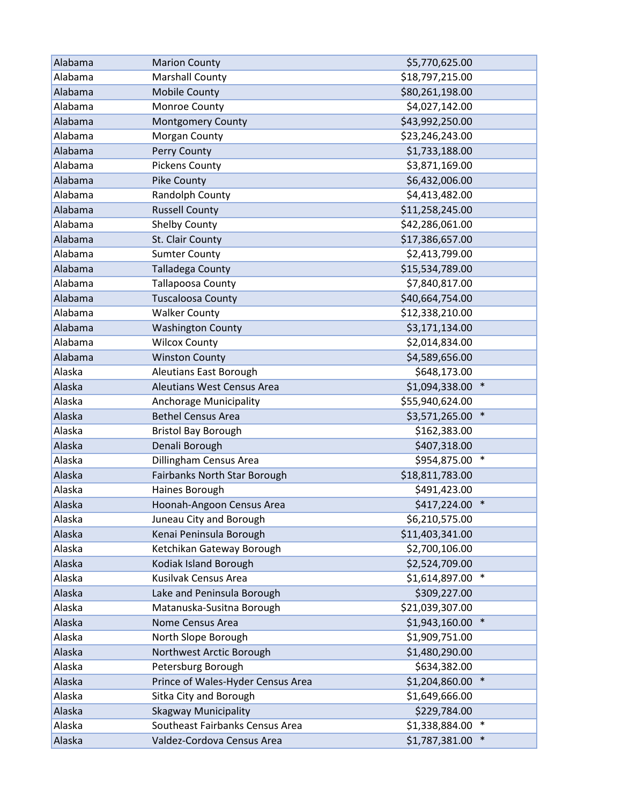| Alabama | <b>Marion County</b>              | \$5,770,625.00           |
|---------|-----------------------------------|--------------------------|
| Alabama | <b>Marshall County</b>            | \$18,797,215.00          |
| Alabama | <b>Mobile County</b>              | \$80,261,198.00          |
| Alabama | Monroe County                     | \$4,027,142.00           |
| Alabama | <b>Montgomery County</b>          | \$43,992,250.00          |
| Alabama | Morgan County                     | \$23,246,243.00          |
| Alabama | Perry County                      | \$1,733,188.00           |
| Alabama | <b>Pickens County</b>             | \$3,871,169.00           |
| Alabama | Pike County                       | \$6,432,006.00           |
| Alabama | Randolph County                   | \$4,413,482.00           |
| Alabama | <b>Russell County</b>             | \$11,258,245.00          |
| Alabama | Shelby County                     | \$42,286,061.00          |
| Alabama | St. Clair County                  | \$17,386,657.00          |
| Alabama | <b>Sumter County</b>              | \$2,413,799.00           |
| Alabama | <b>Talladega County</b>           | \$15,534,789.00          |
| Alabama | Tallapoosa County                 | \$7,840,817.00           |
| Alabama | <b>Tuscaloosa County</b>          | \$40,664,754.00          |
| Alabama | <b>Walker County</b>              | \$12,338,210.00          |
| Alabama | <b>Washington County</b>          | \$3,171,134.00           |
| Alabama | <b>Wilcox County</b>              | \$2,014,834.00           |
| Alabama | <b>Winston County</b>             | \$4,589,656.00           |
| Alaska  | Aleutians East Borough            | \$648,173.00             |
| Alaska  | Aleutians West Census Area        | $\ast$<br>\$1,094,338.00 |
| Alaska  | Anchorage Municipality            | \$55,940,624.00          |
| Alaska  | <b>Bethel Census Area</b>         | $\ast$<br>\$3,571,265.00 |
| Alaska  | <b>Bristol Bay Borough</b>        | \$162,383.00             |
| Alaska  | Denali Borough                    | \$407,318.00             |
| Alaska  | Dillingham Census Area            | $\ast$<br>\$954,875.00   |
| Alaska  | Fairbanks North Star Borough      | \$18,811,783.00          |
| Alaska  | Haines Borough                    | \$491,423.00             |
| Alaska  | Hoonah-Angoon Census Area         | \$417,224.00<br>$\ast$   |
| Alaska  | Juneau City and Borough           | \$6,210,575.00           |
| Alaska  | Kenai Peninsula Borough           | \$11,403,341.00          |
| Alaska  | Ketchikan Gateway Borough         | \$2,700,106.00           |
| Alaska  | Kodiak Island Borough             | \$2,524,709.00           |
| Alaska  | Kusilvak Census Area              | $\ast$<br>\$1,614,897.00 |
| Alaska  | Lake and Peninsula Borough        | \$309,227.00             |
| Alaska  | Matanuska-Susitna Borough         | \$21,039,307.00          |
| Alaska  | Nome Census Area                  | \$1,943,160.00<br>$\ast$ |
| Alaska  | North Slope Borough               | \$1,909,751.00           |
| Alaska  | Northwest Arctic Borough          | \$1,480,290.00           |
| Alaska  | Petersburg Borough                | \$634,382.00             |
| Alaska  | Prince of Wales-Hyder Census Area | $\ast$<br>\$1,204,860.00 |
| Alaska  | Sitka City and Borough            | \$1,649,666.00           |
| Alaska  | <b>Skagway Municipality</b>       | \$229,784.00             |
| Alaska  | Southeast Fairbanks Census Area   | \$1,338,884.00<br>$\ast$ |
| Alaska  | Valdez-Cordova Census Area        | \$1,787,381.00<br>$\ast$ |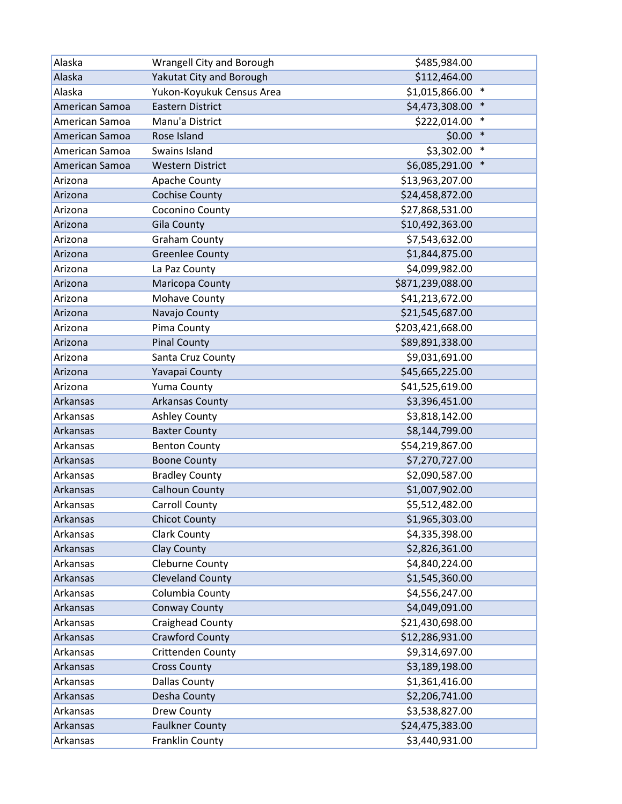| Alaska         | Wrangell City and Borough | \$485,984.00             |
|----------------|---------------------------|--------------------------|
| Alaska         | Yakutat City and Borough  | \$112,464.00             |
| Alaska         | Yukon-Koyukuk Census Area | \$1,015,866.00<br>$\ast$ |
| American Samoa | <b>Eastern District</b>   | $\ast$<br>\$4,473,308.00 |
| American Samoa | Manu'a District           | $\ast$<br>\$222,014.00   |
| American Samoa | Rose Island               | $\ast$<br>\$0.00         |
| American Samoa | Swains Island             | \$3,302.00<br>$\ast$     |
| American Samoa | <b>Western District</b>   | $\ast$<br>\$6,085,291.00 |
| Arizona        | Apache County             | \$13,963,207.00          |
| Arizona        | <b>Cochise County</b>     | \$24,458,872.00          |
| Arizona        | Coconino County           | \$27,868,531.00          |
| Arizona        | <b>Gila County</b>        | \$10,492,363.00          |
| Arizona        | <b>Graham County</b>      | \$7,543,632.00           |
| Arizona        | <b>Greenlee County</b>    | \$1,844,875.00           |
| Arizona        | La Paz County             | \$4,099,982.00           |
| Arizona        | Maricopa County           | \$871,239,088.00         |
| Arizona        | Mohave County             | \$41,213,672.00          |
| Arizona        | Navajo County             | \$21,545,687.00          |
| Arizona        | Pima County               | \$203,421,668.00         |
| Arizona        | <b>Pinal County</b>       | \$89,891,338.00          |
| Arizona        | Santa Cruz County         | \$9,031,691.00           |
| Arizona        | Yavapai County            | \$45,665,225.00          |
| Arizona        | Yuma County               | \$41,525,619.00          |
| Arkansas       | <b>Arkansas County</b>    | \$3,396,451.00           |
| Arkansas       | <b>Ashley County</b>      | \$3,818,142.00           |
| Arkansas       | <b>Baxter County</b>      | \$8,144,799.00           |
| Arkansas       | <b>Benton County</b>      | \$54,219,867.00          |
| Arkansas       | <b>Boone County</b>       | \$7,270,727.00           |
| Arkansas       | <b>Bradley County</b>     | \$2,090,587.00           |
| Arkansas       | <b>Calhoun County</b>     | \$1,007,902.00           |
| Arkansas       | <b>Carroll County</b>     | \$5,512,482.00           |
| Arkansas       | <b>Chicot County</b>      | \$1,965,303.00           |
| Arkansas       | <b>Clark County</b>       | \$4,335,398.00           |
| Arkansas       | <b>Clay County</b>        | \$2,826,361.00           |
| Arkansas       | Cleburne County           | \$4,840,224.00           |
| Arkansas       | <b>Cleveland County</b>   | \$1,545,360.00           |
| Arkansas       | Columbia County           | \$4,556,247.00           |
| Arkansas       | Conway County             | \$4,049,091.00           |
| Arkansas       | Craighead County          | \$21,430,698.00          |
| Arkansas       | <b>Crawford County</b>    | \$12,286,931.00          |
| Arkansas       | Crittenden County         | \$9,314,697.00           |
| Arkansas       | <b>Cross County</b>       | \$3,189,198.00           |
| Arkansas       | <b>Dallas County</b>      | \$1,361,416.00           |
| Arkansas       | Desha County              | \$2,206,741.00           |
| Arkansas       | Drew County               | \$3,538,827.00           |
| Arkansas       | <b>Faulkner County</b>    | \$24,475,383.00          |
| Arkansas       | Franklin County           | \$3,440,931.00           |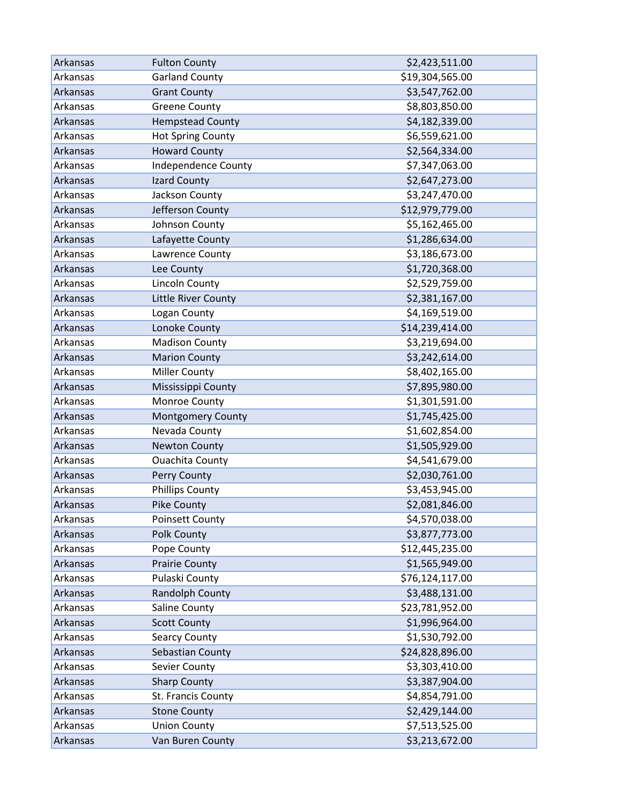| Arkansas | <b>Fulton County</b>       | \$2,423,511.00  |
|----------|----------------------------|-----------------|
| Arkansas | <b>Garland County</b>      | \$19,304,565.00 |
| Arkansas | <b>Grant County</b>        | \$3,547,762.00  |
| Arkansas | <b>Greene County</b>       | \$8,803,850.00  |
| Arkansas | <b>Hempstead County</b>    | \$4,182,339.00  |
| Arkansas | <b>Hot Spring County</b>   | \$6,559,621.00  |
| Arkansas | <b>Howard County</b>       | \$2,564,334.00  |
| Arkansas | <b>Independence County</b> | \$7,347,063.00  |
| Arkansas | Izard County               | \$2,647,273.00  |
| Arkansas | Jackson County             | \$3,247,470.00  |
| Arkansas | Jefferson County           | \$12,979,779.00 |
| Arkansas | Johnson County             | \$5,162,465.00  |
| Arkansas | Lafayette County           | \$1,286,634.00  |
| Arkansas | Lawrence County            | \$3,186,673.00  |
| Arkansas | Lee County                 | \$1,720,368.00  |
| Arkansas | Lincoln County             | \$2,529,759.00  |
| Arkansas | Little River County        | \$2,381,167.00  |
| Arkansas | Logan County               | \$4,169,519.00  |
| Arkansas | Lonoke County              | \$14,239,414.00 |
| Arkansas | <b>Madison County</b>      | \$3,219,694.00  |
| Arkansas | <b>Marion County</b>       | \$3,242,614.00  |
| Arkansas | <b>Miller County</b>       | \$8,402,165.00  |
| Arkansas | Mississippi County         | \$7,895,980.00  |
| Arkansas | Monroe County              | \$1,301,591.00  |
| Arkansas | <b>Montgomery County</b>   | \$1,745,425.00  |
| Arkansas | Nevada County              | \$1,602,854.00  |
| Arkansas | <b>Newton County</b>       | \$1,505,929.00  |
| Arkansas | <b>Ouachita County</b>     | \$4,541,679.00  |
| Arkansas | Perry County               | \$2,030,761.00  |
| Arkansas | <b>Phillips County</b>     | \$3,453,945.00  |
| Arkansas | <b>Pike County</b>         | \$2,081,846.00  |
| Arkansas | <b>Poinsett County</b>     | \$4,570,038.00  |
| Arkansas | <b>Polk County</b>         | \$3,877,773.00  |
| Arkansas | Pope County                | \$12,445,235.00 |
| Arkansas | <b>Prairie County</b>      | \$1,565,949.00  |
| Arkansas | Pulaski County             | \$76,124,117.00 |
| Arkansas | <b>Randolph County</b>     | \$3,488,131.00  |
| Arkansas | Saline County              | \$23,781,952.00 |
| Arkansas | <b>Scott County</b>        | \$1,996,964.00  |
| Arkansas | <b>Searcy County</b>       | \$1,530,792.00  |
| Arkansas | Sebastian County           | \$24,828,896.00 |
| Arkansas | Sevier County              | \$3,303,410.00  |
| Arkansas | <b>Sharp County</b>        | \$3,387,904.00  |
| Arkansas | St. Francis County         | \$4,854,791.00  |
| Arkansas | <b>Stone County</b>        | \$2,429,144.00  |
| Arkansas | <b>Union County</b>        | \$7,513,525.00  |
| Arkansas | Van Buren County           | \$3,213,672.00  |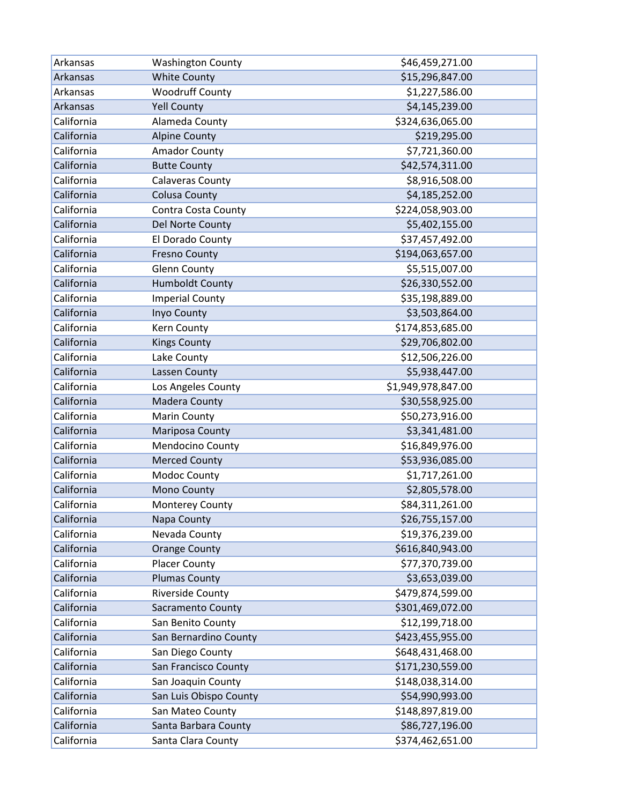| Arkansas   | <b>Washington County</b> | \$46,459,271.00    |
|------------|--------------------------|--------------------|
| Arkansas   | <b>White County</b>      | \$15,296,847.00    |
| Arkansas   | <b>Woodruff County</b>   | \$1,227,586.00     |
| Arkansas   | <b>Yell County</b>       | \$4,145,239.00     |
| California | Alameda County           | \$324,636,065.00   |
| California | <b>Alpine County</b>     | \$219,295.00       |
| California | <b>Amador County</b>     | \$7,721,360.00     |
| California | <b>Butte County</b>      | \$42,574,311.00    |
| California | <b>Calaveras County</b>  | \$8,916,508.00     |
| California | <b>Colusa County</b>     | \$4,185,252.00     |
| California | Contra Costa County      | \$224,058,903.00   |
| California | Del Norte County         | \$5,402,155.00     |
| California | El Dorado County         | \$37,457,492.00    |
| California | <b>Fresno County</b>     | \$194,063,657.00   |
| California | <b>Glenn County</b>      | \$5,515,007.00     |
| California | <b>Humboldt County</b>   | \$26,330,552.00    |
| California | <b>Imperial County</b>   | \$35,198,889.00    |
| California | Inyo County              | \$3,503,864.00     |
| California | Kern County              | \$174,853,685.00   |
| California | <b>Kings County</b>      | \$29,706,802.00    |
| California | Lake County              | \$12,506,226.00    |
| California | Lassen County            | \$5,938,447.00     |
| California | Los Angeles County       | \$1,949,978,847.00 |
| California | <b>Madera County</b>     | \$30,558,925.00    |
| California | <b>Marin County</b>      | \$50,273,916.00    |
| California | Mariposa County          | \$3,341,481.00     |
| California | Mendocino County         | \$16,849,976.00    |
| California | <b>Merced County</b>     | \$53,936,085.00    |
| California | Modoc County             | \$1,717,261.00     |
| California | Mono County              | \$2,805,578.00     |
| California | Monterey County          | \$84,311,261.00    |
| California | Napa County              | \$26,755,157.00    |
| California | Nevada County            | \$19,376,239.00    |
| California | <b>Orange County</b>     | \$616,840,943.00   |
| California | <b>Placer County</b>     | \$77,370,739.00    |
| California | <b>Plumas County</b>     | \$3,653,039.00     |
| California | <b>Riverside County</b>  | \$479,874,599.00   |
| California | Sacramento County        | \$301,469,072.00   |
| California | San Benito County        | \$12,199,718.00    |
| California | San Bernardino County    | \$423,455,955.00   |
| California | San Diego County         | \$648,431,468.00   |
| California | San Francisco County     | \$171,230,559.00   |
| California | San Joaquin County       | \$148,038,314.00   |
| California | San Luis Obispo County   | \$54,990,993.00    |
| California | San Mateo County         | \$148,897,819.00   |
| California | Santa Barbara County     | \$86,727,196.00    |
| California | Santa Clara County       | \$374,462,651.00   |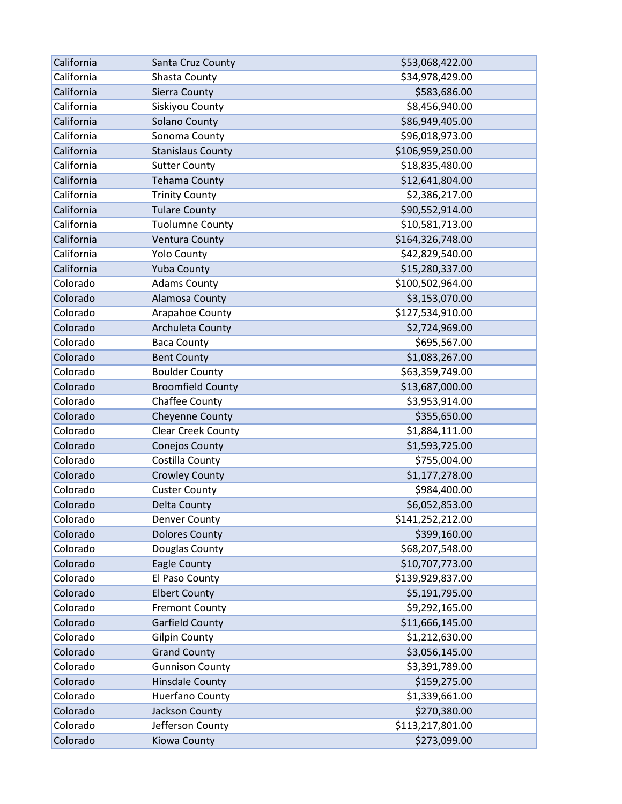| California | Santa Cruz County         | \$53,068,422.00  |
|------------|---------------------------|------------------|
| California | Shasta County             | \$34,978,429.00  |
| California | Sierra County             | \$583,686.00     |
| California | Siskiyou County           | \$8,456,940.00   |
| California | Solano County             | \$86,949,405.00  |
| California | Sonoma County             | \$96,018,973.00  |
| California | <b>Stanislaus County</b>  | \$106,959,250.00 |
| California | <b>Sutter County</b>      | \$18,835,480.00  |
| California | <b>Tehama County</b>      | \$12,641,804.00  |
| California | <b>Trinity County</b>     | \$2,386,217.00   |
| California | <b>Tulare County</b>      | \$90,552,914.00  |
| California | <b>Tuolumne County</b>    | \$10,581,713.00  |
| California | <b>Ventura County</b>     | \$164,326,748.00 |
| California | <b>Yolo County</b>        | \$42,829,540.00  |
| California | <b>Yuba County</b>        | \$15,280,337.00  |
| Colorado   | <b>Adams County</b>       | \$100,502,964.00 |
| Colorado   | Alamosa County            | \$3,153,070.00   |
| Colorado   | Arapahoe County           | \$127,534,910.00 |
| Colorado   | Archuleta County          | \$2,724,969.00   |
| Colorado   | <b>Baca County</b>        | \$695,567.00     |
| Colorado   | <b>Bent County</b>        | \$1,083,267.00   |
| Colorado   | <b>Boulder County</b>     | \$63,359,749.00  |
| Colorado   | <b>Broomfield County</b>  | \$13,687,000.00  |
| Colorado   | Chaffee County            | \$3,953,914.00   |
| Colorado   | <b>Cheyenne County</b>    | \$355,650.00     |
| Colorado   | <b>Clear Creek County</b> | \$1,884,111.00   |
| Colorado   | Conejos County            | \$1,593,725.00   |
| Colorado   | Costilla County           | \$755,004.00     |
| Colorado   | <b>Crowley County</b>     | \$1,177,278.00   |
| Colorado   | <b>Custer County</b>      | \$984,400.00     |
| Colorado   | Delta County              | \$6,052,853.00   |
| Colorado   | <b>Denver County</b>      | \$141,252,212.00 |
| Colorado   | <b>Dolores County</b>     | \$399,160.00     |
| Colorado   | Douglas County            | \$68,207,548.00  |
| Colorado   | Eagle County              | \$10,707,773.00  |
| Colorado   | El Paso County            | \$139,929,837.00 |
| Colorado   | <b>Elbert County</b>      | \$5,191,795.00   |
| Colorado   | <b>Fremont County</b>     | \$9,292,165.00   |
| Colorado   | <b>Garfield County</b>    | \$11,666,145.00  |
| Colorado   | <b>Gilpin County</b>      | \$1,212,630.00   |
| Colorado   | <b>Grand County</b>       | \$3,056,145.00   |
| Colorado   | <b>Gunnison County</b>    | \$3,391,789.00   |
| Colorado   | <b>Hinsdale County</b>    | \$159,275.00     |
| Colorado   | Huerfano County           | \$1,339,661.00   |
| Colorado   | Jackson County            | \$270,380.00     |
| Colorado   | Jefferson County          | \$113,217,801.00 |
| Colorado   | Kiowa County              | \$273,099.00     |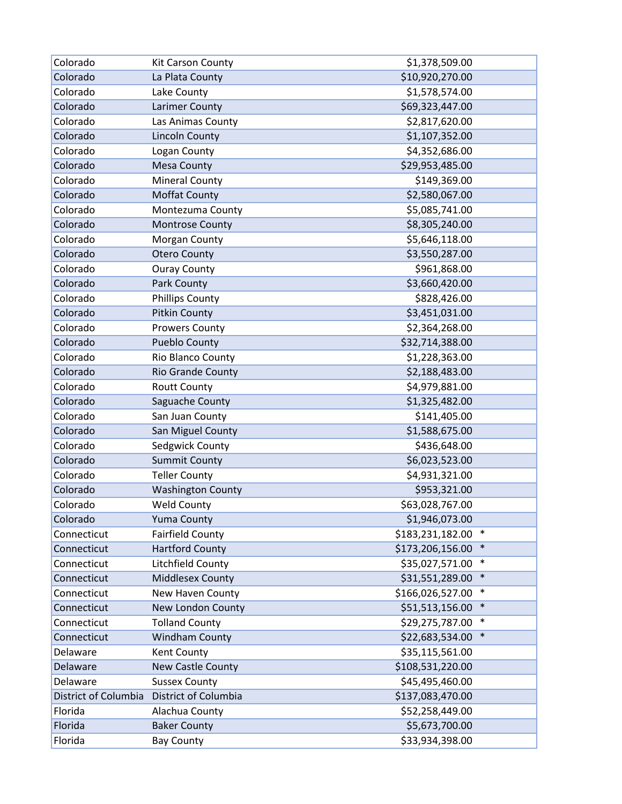| Colorado             | Kit Carson County        | \$1,378,509.00             |
|----------------------|--------------------------|----------------------------|
| Colorado             | La Plata County          | \$10,920,270.00            |
| Colorado             | Lake County              | \$1,578,574.00             |
| Colorado             | Larimer County           | \$69,323,447.00            |
| Colorado             | Las Animas County        | \$2,817,620.00             |
| Colorado             | <b>Lincoln County</b>    | \$1,107,352.00             |
| Colorado             | Logan County             | \$4,352,686.00             |
| Colorado             | Mesa County              | \$29,953,485.00            |
| Colorado             | <b>Mineral County</b>    | \$149,369.00               |
| Colorado             | <b>Moffat County</b>     | \$2,580,067.00             |
| Colorado             | Montezuma County         | \$5,085,741.00             |
| Colorado             | Montrose County          | \$8,305,240.00             |
| Colorado             | Morgan County            | \$5,646,118.00             |
| Colorado             | <b>Otero County</b>      | \$3,550,287.00             |
| Colorado             | <b>Ouray County</b>      | \$961,868.00               |
| Colorado             | Park County              | \$3,660,420.00             |
| Colorado             | <b>Phillips County</b>   | \$828,426.00               |
| Colorado             | <b>Pitkin County</b>     | \$3,451,031.00             |
| Colorado             | <b>Prowers County</b>    | \$2,364,268.00             |
| Colorado             | <b>Pueblo County</b>     | \$32,714,388.00            |
| Colorado             | Rio Blanco County        | \$1,228,363.00             |
| Colorado             | <b>Rio Grande County</b> | \$2,188,483.00             |
| Colorado             | <b>Routt County</b>      | \$4,979,881.00             |
| Colorado             | Saguache County          | \$1,325,482.00             |
| Colorado             | San Juan County          | \$141,405.00               |
| Colorado             | San Miguel County        | \$1,588,675.00             |
| Colorado             | Sedgwick County          | \$436,648.00               |
| Colorado             | <b>Summit County</b>     | \$6,023,523.00             |
| Colorado             | <b>Teller County</b>     | \$4,931,321.00             |
| Colorado             | <b>Washington County</b> | \$953,321.00               |
| Colorado             | <b>Weld County</b>       | \$63,028,767.00            |
| Colorado             | <b>Yuma County</b>       | \$1,946,073.00             |
| Connecticut          | <b>Fairfield County</b>  | \$183,231,182.00<br>$\ast$ |
| Connecticut          | <b>Hartford County</b>   | \$173,206,156.00<br>$\ast$ |
| Connecticut          | Litchfield County        | $\ast$<br>\$35,027,571.00  |
| Connecticut          | <b>Middlesex County</b>  | \$31,551,289.00<br>$\ast$  |
| Connecticut          | New Haven County         | \$166,026,527.00<br>$\ast$ |
| Connecticut          | New London County        | \$51,513,156.00<br>$\ast$  |
| Connecticut          | <b>Tolland County</b>    | $\ast$<br>\$29,275,787.00  |
| Connecticut          | <b>Windham County</b>    | $\ast$<br>\$22,683,534.00  |
| Delaware             | Kent County              | \$35,115,561.00            |
| Delaware             | New Castle County        | \$108,531,220.00           |
| Delaware             | <b>Sussex County</b>     | \$45,495,460.00            |
| District of Columbia | District of Columbia     | \$137,083,470.00           |
| Florida              | Alachua County           | \$52,258,449.00            |
| Florida              | <b>Baker County</b>      | \$5,673,700.00             |
| Florida              | <b>Bay County</b>        | \$33,934,398.00            |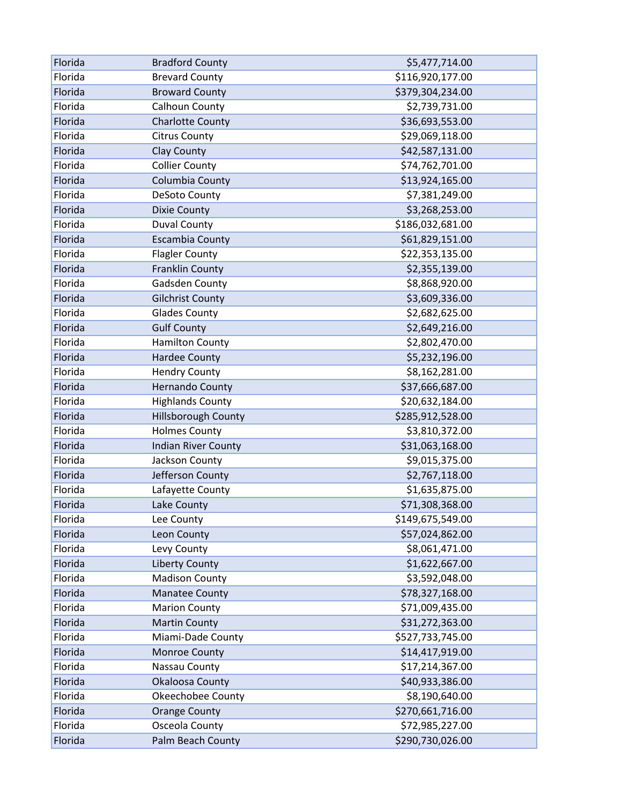| Florida | <b>Bradford County</b>     | \$5,477,714.00   |
|---------|----------------------------|------------------|
| Florida | <b>Brevard County</b>      | \$116,920,177.00 |
| Florida | <b>Broward County</b>      | \$379,304,234.00 |
| Florida | Calhoun County             | \$2,739,731.00   |
| Florida | <b>Charlotte County</b>    | \$36,693,553.00  |
| Florida | <b>Citrus County</b>       | \$29,069,118.00  |
| Florida | Clay County                | \$42,587,131.00  |
| Florida | <b>Collier County</b>      | \$74,762,701.00  |
| Florida | Columbia County            | \$13,924,165.00  |
| Florida | DeSoto County              | \$7,381,249.00   |
| Florida | <b>Dixie County</b>        | \$3,268,253.00   |
| Florida | <b>Duval County</b>        | \$186,032,681.00 |
| Florida | <b>Escambia County</b>     | \$61,829,151.00  |
| Florida | <b>Flagler County</b>      | \$22,353,135.00  |
| Florida | Franklin County            | \$2,355,139.00   |
| Florida | Gadsden County             | \$8,868,920.00   |
| Florida | <b>Gilchrist County</b>    | \$3,609,336.00   |
| Florida | <b>Glades County</b>       | \$2,682,625.00   |
| Florida | <b>Gulf County</b>         | \$2,649,216.00   |
| Florida | <b>Hamilton County</b>     | \$2,802,470.00   |
| Florida | <b>Hardee County</b>       | \$5,232,196.00   |
| Florida | <b>Hendry County</b>       | \$8,162,281.00   |
| Florida | <b>Hernando County</b>     | \$37,666,687.00  |
| Florida | <b>Highlands County</b>    | \$20,632,184.00  |
| Florida | Hillsborough County        | \$285,912,528.00 |
| Florida | <b>Holmes County</b>       | \$3,810,372.00   |
| Florida | <b>Indian River County</b> | \$31,063,168.00  |
| Florida | Jackson County             | \$9,015,375.00   |
| Florida | Jefferson County           | \$2,767,118.00   |
| Florida | Lafayette County           | \$1,635,875.00   |
| Florida | Lake County                | \$71,308,368.00  |
| Florida | Lee County                 | \$149,675,549.00 |
| Florida | Leon County                | \$57,024,862.00  |
| Florida | Levy County                | \$8,061,471.00   |
| Florida | <b>Liberty County</b>      | \$1,622,667.00   |
| Florida | <b>Madison County</b>      | \$3,592,048.00   |
| Florida | <b>Manatee County</b>      | \$78,327,168.00  |
| Florida | <b>Marion County</b>       | \$71,009,435.00  |
| Florida | <b>Martin County</b>       | \$31,272,363.00  |
| Florida | Miami-Dade County          | \$527,733,745.00 |
| Florida | Monroe County              | \$14,417,919.00  |
| Florida | Nassau County              | \$17,214,367.00  |
| Florida | Okaloosa County            | \$40,933,386.00  |
| Florida | <b>Okeechobee County</b>   | \$8,190,640.00   |
| Florida | <b>Orange County</b>       | \$270,661,716.00 |
| Florida | Osceola County             | \$72,985,227.00  |
| Florida | Palm Beach County          | \$290,730,026.00 |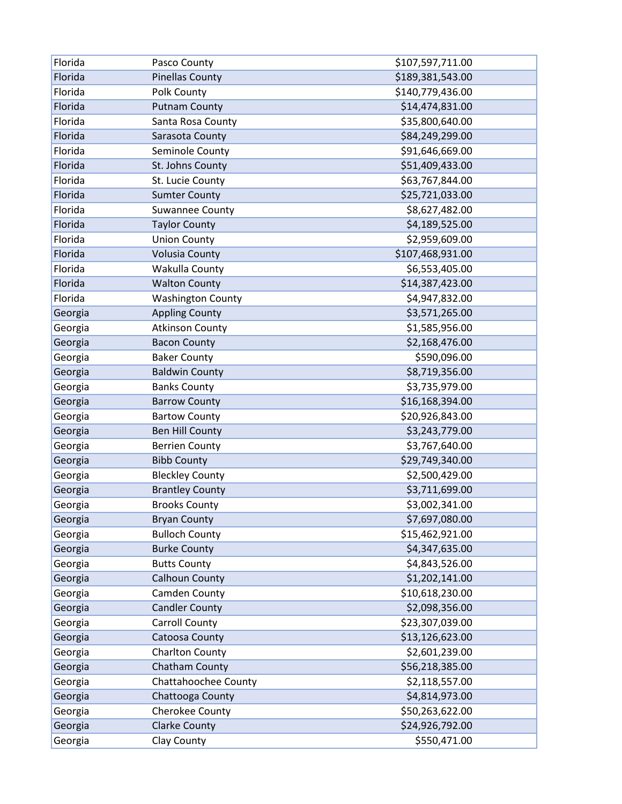| Florida | Pasco County             | \$107,597,711.00 |
|---------|--------------------------|------------------|
| Florida | <b>Pinellas County</b>   | \$189,381,543.00 |
| Florida | Polk County              | \$140,779,436.00 |
| Florida | <b>Putnam County</b>     | \$14,474,831.00  |
| Florida | Santa Rosa County        | \$35,800,640.00  |
| Florida | Sarasota County          | \$84,249,299.00  |
| Florida | Seminole County          | \$91,646,669.00  |
| Florida | St. Johns County         | \$51,409,433.00  |
| Florida | St. Lucie County         | \$63,767,844.00  |
| Florida | <b>Sumter County</b>     | \$25,721,033.00  |
| Florida | <b>Suwannee County</b>   | \$8,627,482.00   |
| Florida | <b>Taylor County</b>     | \$4,189,525.00   |
| Florida | <b>Union County</b>      | \$2,959,609.00   |
| Florida | <b>Volusia County</b>    | \$107,468,931.00 |
| Florida | Wakulla County           | \$6,553,405.00   |
| Florida | <b>Walton County</b>     | \$14,387,423.00  |
| Florida | <b>Washington County</b> | \$4,947,832.00   |
| Georgia | <b>Appling County</b>    | \$3,571,265.00   |
| Georgia | <b>Atkinson County</b>   | \$1,585,956.00   |
| Georgia | <b>Bacon County</b>      | \$2,168,476.00   |
| Georgia | <b>Baker County</b>      | \$590,096.00     |
| Georgia | <b>Baldwin County</b>    | \$8,719,356.00   |
| Georgia | <b>Banks County</b>      | \$3,735,979.00   |
| Georgia | <b>Barrow County</b>     | \$16,168,394.00  |
| Georgia | <b>Bartow County</b>     | \$20,926,843.00  |
| Georgia | <b>Ben Hill County</b>   | \$3,243,779.00   |
| Georgia | <b>Berrien County</b>    | \$3,767,640.00   |
| Georgia | <b>Bibb County</b>       | \$29,749,340.00  |
| Georgia | <b>Bleckley County</b>   | \$2,500,429.00   |
| Georgia | <b>Brantley County</b>   | \$3,711,699.00   |
| Georgia | <b>Brooks County</b>     | \$3,002,341.00   |
| Georgia | <b>Bryan County</b>      | \$7,697,080.00   |
| Georgia | <b>Bulloch County</b>    | \$15,462,921.00  |
| Georgia | <b>Burke County</b>      | \$4,347,635.00   |
| Georgia | <b>Butts County</b>      | \$4,843,526.00   |
| Georgia | <b>Calhoun County</b>    | \$1,202,141.00   |
| Georgia | Camden County            | \$10,618,230.00  |
| Georgia | <b>Candler County</b>    | \$2,098,356.00   |
| Georgia | <b>Carroll County</b>    | \$23,307,039.00  |
| Georgia | Catoosa County           | \$13,126,623.00  |
| Georgia | Charlton County          | \$2,601,239.00   |
| Georgia | Chatham County           | \$56,218,385.00  |
| Georgia | Chattahoochee County     | \$2,118,557.00   |
| Georgia | Chattooga County         | \$4,814,973.00   |
| Georgia | Cherokee County          | \$50,263,622.00  |
| Georgia | <b>Clarke County</b>     | \$24,926,792.00  |
| Georgia | Clay County              | \$550,471.00     |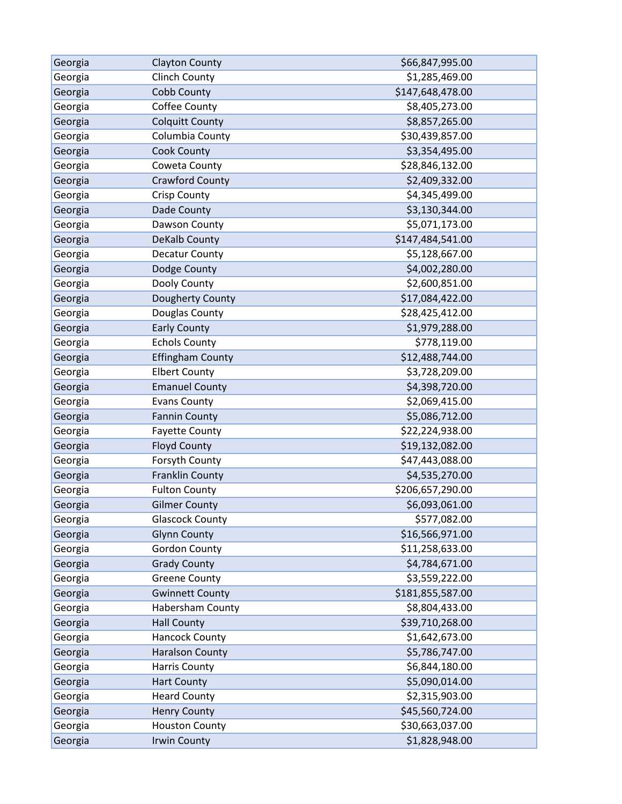| Georgia | <b>Clayton County</b>   | \$66,847,995.00  |
|---------|-------------------------|------------------|
| Georgia | <b>Clinch County</b>    | \$1,285,469.00   |
| Georgia | Cobb County             | \$147,648,478.00 |
| Georgia | Coffee County           | \$8,405,273.00   |
| Georgia | <b>Colquitt County</b>  | \$8,857,265.00   |
| Georgia | Columbia County         | \$30,439,857.00  |
| Georgia | Cook County             | \$3,354,495.00   |
| Georgia | Coweta County           | \$28,846,132.00  |
| Georgia | <b>Crawford County</b>  | \$2,409,332.00   |
| Georgia | <b>Crisp County</b>     | \$4,345,499.00   |
| Georgia | Dade County             | \$3,130,344.00   |
| Georgia | Dawson County           | \$5,071,173.00   |
| Georgia | DeKalb County           | \$147,484,541.00 |
| Georgia | Decatur County          | \$5,128,667.00   |
| Georgia | Dodge County            | \$4,002,280.00   |
| Georgia | Dooly County            | \$2,600,851.00   |
| Georgia | Dougherty County        | \$17,084,422.00  |
| Georgia | Douglas County          | \$28,425,412.00  |
| Georgia | <b>Early County</b>     | \$1,979,288.00   |
| Georgia | <b>Echols County</b>    | \$778,119.00     |
| Georgia | <b>Effingham County</b> | \$12,488,744.00  |
| Georgia | <b>Elbert County</b>    | \$3,728,209.00   |
| Georgia | <b>Emanuel County</b>   | \$4,398,720.00   |
| Georgia | <b>Evans County</b>     | \$2,069,415.00   |
| Georgia | <b>Fannin County</b>    | \$5,086,712.00   |
| Georgia | <b>Fayette County</b>   | \$22,224,938.00  |
| Georgia | <b>Floyd County</b>     | \$19,132,082.00  |
| Georgia | Forsyth County          | \$47,443,088.00  |
| Georgia | <b>Franklin County</b>  | \$4,535,270.00   |
| Georgia | <b>Fulton County</b>    | \$206,657,290.00 |
| Georgia | <b>Gilmer County</b>    | \$6,093,061.00   |
| Georgia | <b>Glascock County</b>  | \$577,082.00     |
| Georgia | <b>Glynn County</b>     | \$16,566,971.00  |
| Georgia | <b>Gordon County</b>    | \$11,258,633.00  |
| Georgia | <b>Grady County</b>     | \$4,784,671.00   |
| Georgia | <b>Greene County</b>    | \$3,559,222.00   |
| Georgia | <b>Gwinnett County</b>  | \$181,855,587.00 |
| Georgia | Habersham County        | \$8,804,433.00   |
| Georgia | <b>Hall County</b>      | \$39,710,268.00  |
| Georgia | Hancock County          | \$1,642,673.00   |
| Georgia | <b>Haralson County</b>  | \$5,786,747.00   |
| Georgia | Harris County           | \$6,844,180.00   |
| Georgia | <b>Hart County</b>      | \$5,090,014.00   |
| Georgia | <b>Heard County</b>     | \$2,315,903.00   |
| Georgia | <b>Henry County</b>     | \$45,560,724.00  |
| Georgia | <b>Houston County</b>   | \$30,663,037.00  |
| Georgia | <b>Irwin County</b>     | \$1,828,948.00   |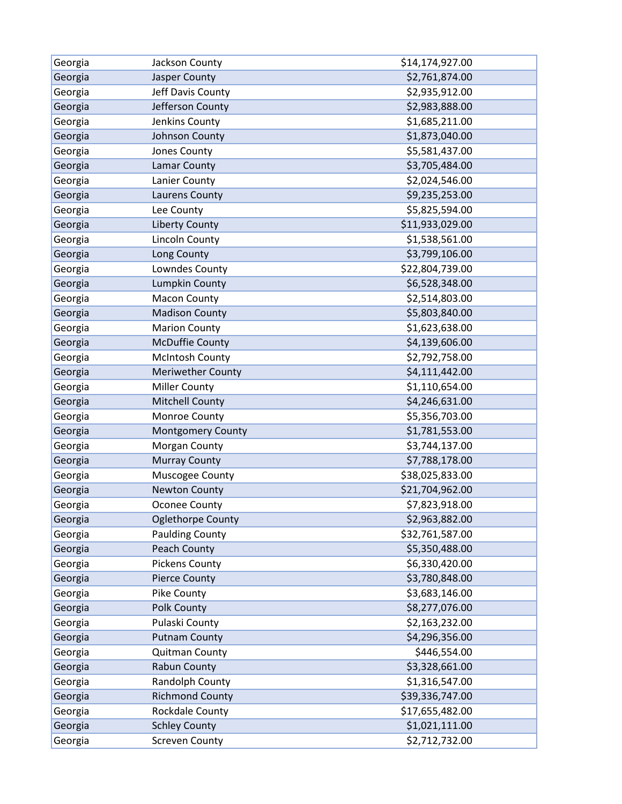| Georgia | Jackson County           | \$14,174,927.00 |
|---------|--------------------------|-----------------|
| Georgia | Jasper County            | \$2,761,874.00  |
| Georgia | Jeff Davis County        | \$2,935,912.00  |
| Georgia | Jefferson County         | \$2,983,888.00  |
| Georgia | Jenkins County           | \$1,685,211.00  |
| Georgia | Johnson County           | \$1,873,040.00  |
| Georgia | Jones County             | \$5,581,437.00  |
| Georgia | Lamar County             | \$3,705,484.00  |
| Georgia | Lanier County            | \$2,024,546.00  |
| Georgia | Laurens County           | \$9,235,253.00  |
| Georgia | Lee County               | \$5,825,594.00  |
| Georgia | <b>Liberty County</b>    | \$11,933,029.00 |
| Georgia | Lincoln County           | \$1,538,561.00  |
| Georgia | Long County              | \$3,799,106.00  |
| Georgia | Lowndes County           | \$22,804,739.00 |
| Georgia | <b>Lumpkin County</b>    | \$6,528,348.00  |
| Georgia | <b>Macon County</b>      | \$2,514,803.00  |
| Georgia | <b>Madison County</b>    | \$5,803,840.00  |
| Georgia | <b>Marion County</b>     | \$1,623,638.00  |
| Georgia | <b>McDuffie County</b>   | \$4,139,606.00  |
| Georgia | <b>McIntosh County</b>   | \$2,792,758.00  |
| Georgia | <b>Meriwether County</b> | \$4,111,442.00  |
| Georgia | <b>Miller County</b>     | \$1,110,654.00  |
| Georgia | <b>Mitchell County</b>   | \$4,246,631.00  |
| Georgia | Monroe County            | \$5,356,703.00  |
| Georgia | <b>Montgomery County</b> | \$1,781,553.00  |
| Georgia | Morgan County            | \$3,744,137.00  |
| Georgia | <b>Murray County</b>     | \$7,788,178.00  |
| Georgia | Muscogee County          | \$38,025,833.00 |
| Georgia | <b>Newton County</b>     | \$21,704,962.00 |
| Georgia | Oconee County            | \$7,823,918.00  |
| Georgia | <b>Oglethorpe County</b> | \$2,963,882.00  |
| Georgia | <b>Paulding County</b>   | \$32,761,587.00 |
| Georgia | Peach County             | \$5,350,488.00  |
| Georgia | <b>Pickens County</b>    | \$6,330,420.00  |
| Georgia | <b>Pierce County</b>     | \$3,780,848.00  |
| Georgia | Pike County              | \$3,683,146.00  |
| Georgia | Polk County              | \$8,277,076.00  |
| Georgia | Pulaski County           | \$2,163,232.00  |
| Georgia | <b>Putnam County</b>     | \$4,296,356.00  |
| Georgia | Quitman County           | \$446,554.00    |
| Georgia | Rabun County             | \$3,328,661.00  |
| Georgia | Randolph County          | \$1,316,547.00  |
| Georgia | <b>Richmond County</b>   | \$39,336,747.00 |
| Georgia | Rockdale County          | \$17,655,482.00 |
| Georgia | <b>Schley County</b>     | \$1,021,111.00  |
| Georgia | <b>Screven County</b>    | \$2,712,732.00  |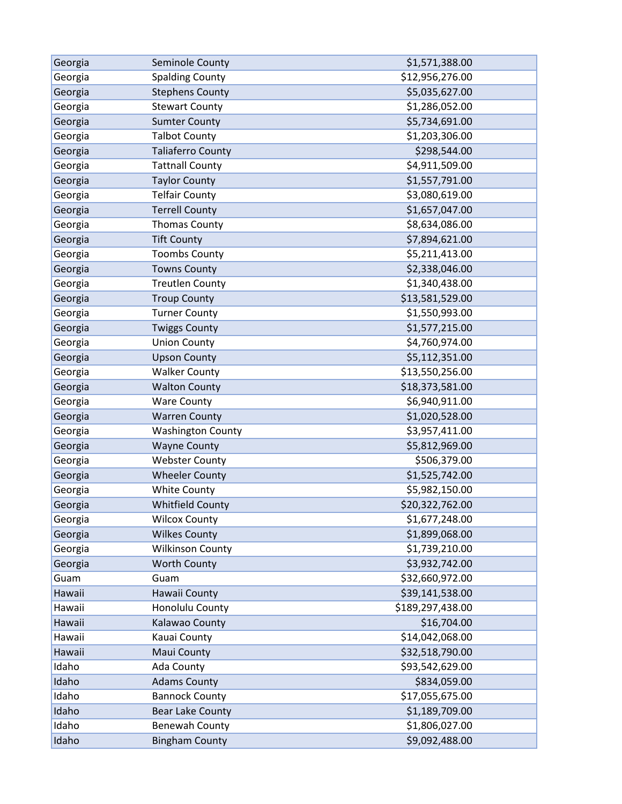| Georgia | Seminole County          | \$1,571,388.00   |
|---------|--------------------------|------------------|
| Georgia | <b>Spalding County</b>   | \$12,956,276.00  |
| Georgia | <b>Stephens County</b>   | \$5,035,627.00   |
| Georgia | <b>Stewart County</b>    | \$1,286,052.00   |
| Georgia | <b>Sumter County</b>     | \$5,734,691.00   |
| Georgia | <b>Talbot County</b>     | \$1,203,306.00   |
| Georgia | <b>Taliaferro County</b> | \$298,544.00     |
| Georgia | <b>Tattnall County</b>   | \$4,911,509.00   |
| Georgia | <b>Taylor County</b>     | \$1,557,791.00   |
| Georgia | <b>Telfair County</b>    | \$3,080,619.00   |
| Georgia | <b>Terrell County</b>    | \$1,657,047.00   |
| Georgia | <b>Thomas County</b>     | \$8,634,086.00   |
| Georgia | <b>Tift County</b>       | \$7,894,621.00   |
| Georgia | <b>Toombs County</b>     | \$5,211,413.00   |
| Georgia | <b>Towns County</b>      | \$2,338,046.00   |
| Georgia | <b>Treutlen County</b>   | \$1,340,438.00   |
| Georgia | <b>Troup County</b>      | \$13,581,529.00  |
| Georgia | <b>Turner County</b>     | \$1,550,993.00   |
| Georgia | <b>Twiggs County</b>     | \$1,577,215.00   |
| Georgia | <b>Union County</b>      | \$4,760,974.00   |
| Georgia | <b>Upson County</b>      | \$5,112,351.00   |
| Georgia | <b>Walker County</b>     | \$13,550,256.00  |
| Georgia | <b>Walton County</b>     | \$18,373,581.00  |
| Georgia | <b>Ware County</b>       | \$6,940,911.00   |
| Georgia | <b>Warren County</b>     | \$1,020,528.00   |
| Georgia | <b>Washington County</b> | \$3,957,411.00   |
| Georgia | <b>Wayne County</b>      | \$5,812,969.00   |
| Georgia | <b>Webster County</b>    | \$506,379.00     |
| Georgia | <b>Wheeler County</b>    | \$1,525,742.00   |
| Georgia | <b>White County</b>      | \$5,982,150.00   |
| Georgia | <b>Whitfield County</b>  | \$20,322,762.00  |
| Georgia | <b>Wilcox County</b>     | \$1,677,248.00   |
| Georgia | <b>Wilkes County</b>     | \$1,899,068.00   |
| Georgia | <b>Wilkinson County</b>  | \$1,739,210.00   |
| Georgia | <b>Worth County</b>      | \$3,932,742.00   |
| Guam    | Guam                     | \$32,660,972.00  |
| Hawaii  | Hawaii County            | \$39,141,538.00  |
| Hawaii  | Honolulu County          | \$189,297,438.00 |
| Hawaii  | Kalawao County           | \$16,704.00      |
| Hawaii  | Kauai County             | \$14,042,068.00  |
| Hawaii  | Maui County              | \$32,518,790.00  |
| Idaho   | Ada County               | \$93,542,629.00  |
| Idaho   | <b>Adams County</b>      | \$834,059.00     |
| Idaho   | <b>Bannock County</b>    | \$17,055,675.00  |
| Idaho   | Bear Lake County         | \$1,189,709.00   |
| Idaho   | <b>Benewah County</b>    | \$1,806,027.00   |
| Idaho   | <b>Bingham County</b>    | \$9,092,488.00   |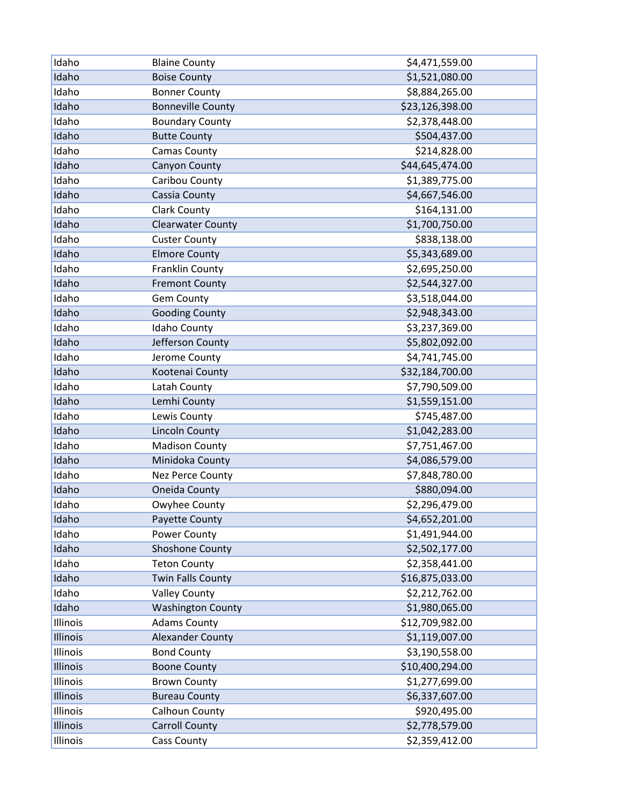| Idaho    | <b>Blaine County</b>     | \$4,471,559.00  |
|----------|--------------------------|-----------------|
| Idaho    | <b>Boise County</b>      | \$1,521,080.00  |
| Idaho    | <b>Bonner County</b>     | \$8,884,265.00  |
| Idaho    | <b>Bonneville County</b> | \$23,126,398.00 |
| Idaho    | <b>Boundary County</b>   | \$2,378,448.00  |
| Idaho    | <b>Butte County</b>      | \$504,437.00    |
| Idaho    | <b>Camas County</b>      | \$214,828.00    |
| Idaho    | Canyon County            | \$44,645,474.00 |
| Idaho    | Caribou County           | \$1,389,775.00  |
| Idaho    | Cassia County            | \$4,667,546.00  |
| Idaho    | <b>Clark County</b>      | \$164,131.00    |
| Idaho    | <b>Clearwater County</b> | \$1,700,750.00  |
| Idaho    | <b>Custer County</b>     | \$838,138.00    |
| Idaho    | <b>Elmore County</b>     | \$5,343,689.00  |
| Idaho    | Franklin County          | \$2,695,250.00  |
| Idaho    | <b>Fremont County</b>    | \$2,544,327.00  |
| Idaho    | <b>Gem County</b>        | \$3,518,044.00  |
| Idaho    | <b>Gooding County</b>    | \$2,948,343.00  |
| Idaho    | Idaho County             | \$3,237,369.00  |
| Idaho    | Jefferson County         | \$5,802,092.00  |
| Idaho    | Jerome County            | \$4,741,745.00  |
| Idaho    | Kootenai County          | \$32,184,700.00 |
| Idaho    | Latah County             | \$7,790,509.00  |
| Idaho    | Lemhi County             | \$1,559,151.00  |
| Idaho    | Lewis County             | \$745,487.00    |
| Idaho    | <b>Lincoln County</b>    | \$1,042,283.00  |
| Idaho    | <b>Madison County</b>    | \$7,751,467.00  |
| Idaho    | Minidoka County          | \$4,086,579.00  |
| Idaho    | Nez Perce County         | \$7,848,780.00  |
| Idaho    | Oneida County            | \$880,094.00    |
| Idaho    | Owyhee County            | \$2,296,479.00  |
| Idaho    | Payette County           | \$4,652,201.00  |
| Idaho    | Power County             | \$1,491,944.00  |
| Idaho    | Shoshone County          | \$2,502,177.00  |
| Idaho    | <b>Teton County</b>      | \$2,358,441.00  |
| Idaho    | <b>Twin Falls County</b> | \$16,875,033.00 |
| Idaho    | <b>Valley County</b>     | \$2,212,762.00  |
| Idaho    | <b>Washington County</b> | \$1,980,065.00  |
| Illinois | <b>Adams County</b>      | \$12,709,982.00 |
| Illinois | <b>Alexander County</b>  | \$1,119,007.00  |
| Illinois | <b>Bond County</b>       | \$3,190,558.00  |
| Illinois | <b>Boone County</b>      | \$10,400,294.00 |
| Illinois | <b>Brown County</b>      | \$1,277,699.00  |
| Illinois | <b>Bureau County</b>     | \$6,337,607.00  |
| Illinois | Calhoun County           | \$920,495.00    |
| Illinois | <b>Carroll County</b>    | \$2,778,579.00  |
| Illinois | <b>Cass County</b>       | \$2,359,412.00  |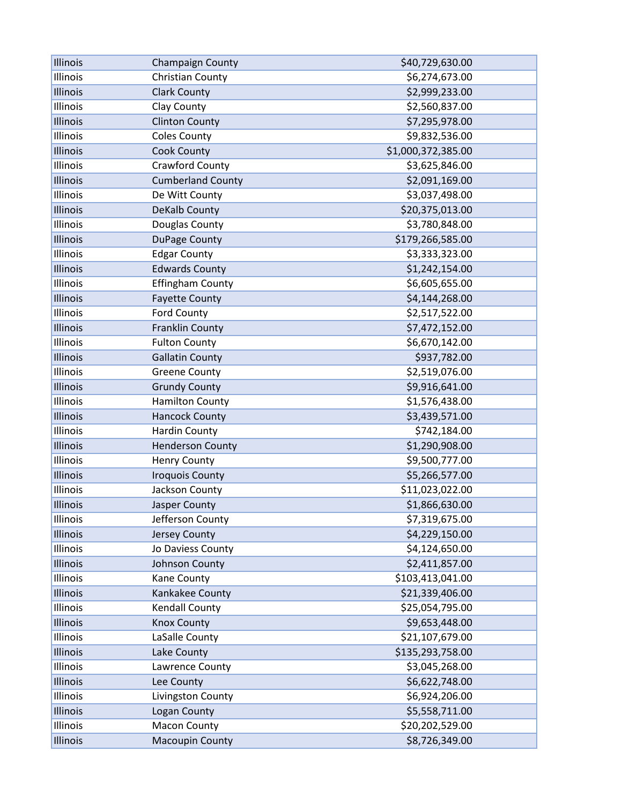| Illinois | Champaign County         | \$40,729,630.00    |
|----------|--------------------------|--------------------|
| Illinois | Christian County         | \$6,274,673.00     |
| Illinois | <b>Clark County</b>      | \$2,999,233.00     |
| Illinois | Clay County              | \$2,560,837.00     |
| Illinois | <b>Clinton County</b>    | \$7,295,978.00     |
| Illinois | <b>Coles County</b>      | \$9,832,536.00     |
| Illinois | <b>Cook County</b>       | \$1,000,372,385.00 |
| Illinois | Crawford County          | \$3,625,846.00     |
| Illinois | <b>Cumberland County</b> | \$2,091,169.00     |
| Illinois | De Witt County           | \$3,037,498.00     |
| Illinois | DeKalb County            | \$20,375,013.00    |
| Illinois | Douglas County           | \$3,780,848.00     |
| Illinois | DuPage County            | \$179,266,585.00   |
| Illinois | <b>Edgar County</b>      | \$3,333,323.00     |
| Illinois | <b>Edwards County</b>    | \$1,242,154.00     |
| Illinois | <b>Effingham County</b>  | \$6,605,655.00     |
| Illinois | <b>Fayette County</b>    | \$4,144,268.00     |
| Illinois | Ford County              | \$2,517,522.00     |
| Illinois | <b>Franklin County</b>   | \$7,472,152.00     |
| Illinois | <b>Fulton County</b>     | \$6,670,142.00     |
| Illinois | <b>Gallatin County</b>   | \$937,782.00       |
| Illinois | <b>Greene County</b>     | \$2,519,076.00     |
| Illinois | <b>Grundy County</b>     | \$9,916,641.00     |
| Illinois | <b>Hamilton County</b>   | \$1,576,438.00     |
| Illinois | <b>Hancock County</b>    | \$3,439,571.00     |
| Illinois | <b>Hardin County</b>     | \$742,184.00       |
| Illinois | <b>Henderson County</b>  | \$1,290,908.00     |
| Illinois | <b>Henry County</b>      | \$9,500,777.00     |
| Illinois | <b>Iroquois County</b>   | \$5,266,577.00     |
| Illinois | Jackson County           | \$11,023,022.00    |
| Illinois | Jasper County            | \$1,866,630.00     |
| Illinois | Jefferson County         | \$7,319,675.00     |
| Illinois | <b>Jersey County</b>     | \$4,229,150.00     |
| Illinois | Jo Daviess County        | \$4,124,650.00     |
| Illinois | Johnson County           | \$2,411,857.00     |
| Illinois | Kane County              | \$103,413,041.00   |
| Illinois | Kankakee County          | \$21,339,406.00    |
| Illinois | <b>Kendall County</b>    | \$25,054,795.00    |
| Illinois | <b>Knox County</b>       | \$9,653,448.00     |
| Illinois | LaSalle County           | \$21,107,679.00    |
| Illinois | Lake County              | \$135,293,758.00   |
| Illinois | Lawrence County          | \$3,045,268.00     |
| Illinois | Lee County               | \$6,622,748.00     |
| Illinois | Livingston County        | \$6,924,206.00     |
| Illinois | Logan County             | \$5,558,711.00     |
| Illinois | <b>Macon County</b>      | \$20,202,529.00    |
| Illinois | <b>Macoupin County</b>   | \$8,726,349.00     |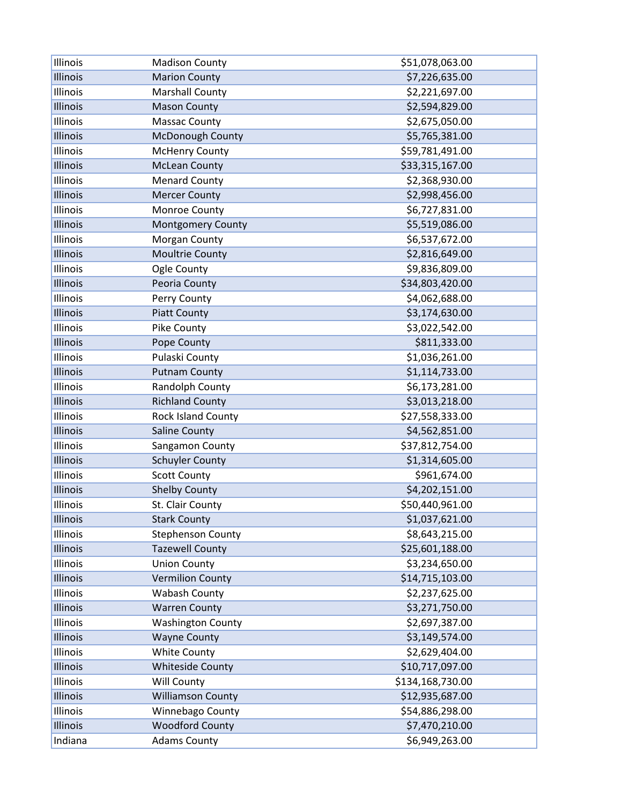| Illinois | <b>Madison County</b>    | \$51,078,063.00  |
|----------|--------------------------|------------------|
| Illinois | <b>Marion County</b>     | \$7,226,635.00   |
| Illinois | <b>Marshall County</b>   | \$2,221,697.00   |
| Illinois | <b>Mason County</b>      | \$2,594,829.00   |
| Illinois | <b>Massac County</b>     | \$2,675,050.00   |
| Illinois | McDonough County         | \$5,765,381.00   |
| Illinois | <b>McHenry County</b>    | \$59,781,491.00  |
| Illinois | <b>McLean County</b>     | \$33,315,167.00  |
| Illinois | <b>Menard County</b>     | \$2,368,930.00   |
| Illinois | <b>Mercer County</b>     | \$2,998,456.00   |
| Illinois | Monroe County            | \$6,727,831.00   |
| Illinois | <b>Montgomery County</b> | \$5,519,086.00   |
| Illinois | Morgan County            | \$6,537,672.00   |
| Illinois | Moultrie County          | \$2,816,649.00   |
| Illinois | Ogle County              | \$9,836,809.00   |
| Illinois | Peoria County            | \$34,803,420.00  |
| Illinois | Perry County             | \$4,062,688.00   |
| Illinois | <b>Piatt County</b>      | \$3,174,630.00   |
| Illinois | Pike County              | \$3,022,542.00   |
| Illinois | Pope County              | \$811,333.00     |
| Illinois | Pulaski County           | \$1,036,261.00   |
| Illinois | <b>Putnam County</b>     | \$1,114,733.00   |
| Illinois | Randolph County          | \$6,173,281.00   |
| Illinois | <b>Richland County</b>   | \$3,013,218.00   |
| Illinois | Rock Island County       | \$27,558,333.00  |
| Illinois | Saline County            | \$4,562,851.00   |
| Illinois | Sangamon County          | \$37,812,754.00  |
| Illinois | <b>Schuyler County</b>   | \$1,314,605.00   |
| Illinois | <b>Scott County</b>      | \$961,674.00     |
| Illinois | <b>Shelby County</b>     | \$4,202,151.00   |
| Illinois | St. Clair County         | \$50,440,961.00  |
| Illinois | <b>Stark County</b>      | \$1,037,621.00   |
| Illinois | <b>Stephenson County</b> | \$8,643,215.00   |
| Illinois | <b>Tazewell County</b>   | \$25,601,188.00  |
| Illinois | <b>Union County</b>      | \$3,234,650.00   |
| Illinois | <b>Vermilion County</b>  | \$14,715,103.00  |
| Illinois | Wabash County            | \$2,237,625.00   |
| Illinois | <b>Warren County</b>     | \$3,271,750.00   |
| Illinois | <b>Washington County</b> | \$2,697,387.00   |
| Illinois | <b>Wayne County</b>      | \$3,149,574.00   |
| Illinois | <b>White County</b>      | \$2,629,404.00   |
| Illinois | <b>Whiteside County</b>  | \$10,717,097.00  |
| Illinois | Will County              | \$134,168,730.00 |
| Illinois | <b>Williamson County</b> | \$12,935,687.00  |
| Illinois | Winnebago County         | \$54,886,298.00  |
| Illinois | <b>Woodford County</b>   | \$7,470,210.00   |
| Indiana  | <b>Adams County</b>      | \$6,949,263.00   |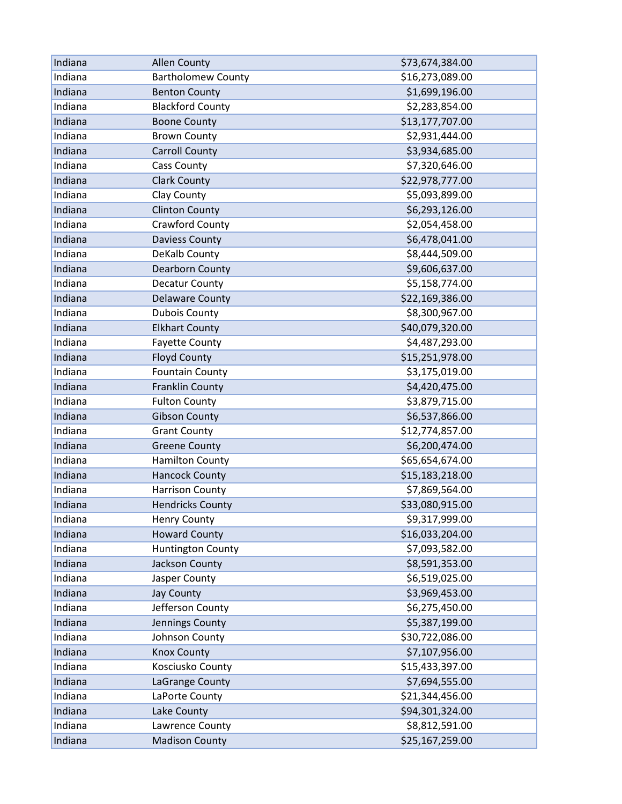| Indiana | <b>Allen County</b>       | \$73,674,384.00 |
|---------|---------------------------|-----------------|
| Indiana | <b>Bartholomew County</b> | \$16,273,089.00 |
| Indiana | <b>Benton County</b>      | \$1,699,196.00  |
| Indiana | <b>Blackford County</b>   | \$2,283,854.00  |
| Indiana | <b>Boone County</b>       | \$13,177,707.00 |
| Indiana | <b>Brown County</b>       | \$2,931,444.00  |
| Indiana | <b>Carroll County</b>     | \$3,934,685.00  |
| Indiana | <b>Cass County</b>        | \$7,320,646.00  |
| Indiana | <b>Clark County</b>       | \$22,978,777.00 |
| Indiana | Clay County               | \$5,093,899.00  |
| Indiana | <b>Clinton County</b>     | \$6,293,126.00  |
| Indiana | Crawford County           | \$2,054,458.00  |
| Indiana | <b>Daviess County</b>     | \$6,478,041.00  |
| Indiana | DeKalb County             | \$8,444,509.00  |
| Indiana | <b>Dearborn County</b>    | \$9,606,637.00  |
| Indiana | <b>Decatur County</b>     | \$5,158,774.00  |
| Indiana | <b>Delaware County</b>    | \$22,169,386.00 |
| Indiana | <b>Dubois County</b>      | \$8,300,967.00  |
| Indiana | <b>Elkhart County</b>     | \$40,079,320.00 |
| Indiana | <b>Fayette County</b>     | \$4,487,293.00  |
| Indiana | <b>Floyd County</b>       | \$15,251,978.00 |
| Indiana | <b>Fountain County</b>    | \$3,175,019.00  |
| Indiana | Franklin County           | \$4,420,475.00  |
| Indiana | <b>Fulton County</b>      | \$3,879,715.00  |
| Indiana | <b>Gibson County</b>      | \$6,537,866.00  |
| Indiana | <b>Grant County</b>       | \$12,774,857.00 |
| Indiana | <b>Greene County</b>      | \$6,200,474.00  |
| Indiana | <b>Hamilton County</b>    | \$65,654,674.00 |
| Indiana | <b>Hancock County</b>     | \$15,183,218.00 |
| Indiana | <b>Harrison County</b>    | \$7,869,564.00  |
| Indiana | <b>Hendricks County</b>   | \$33,080,915.00 |
| Indiana | <b>Henry County</b>       | \$9,317,999.00  |
| Indiana | <b>Howard County</b>      | \$16,033,204.00 |
| Indiana | <b>Huntington County</b>  | \$7,093,582.00  |
| Indiana | Jackson County            | \$8,591,353.00  |
| Indiana | Jasper County             | \$6,519,025.00  |
| Indiana | <b>Jay County</b>         | \$3,969,453.00  |
| Indiana | Jefferson County          | \$6,275,450.00  |
| Indiana | Jennings County           | \$5,387,199.00  |
| Indiana | Johnson County            | \$30,722,086.00 |
| Indiana | <b>Knox County</b>        | \$7,107,956.00  |
| Indiana | Kosciusko County          | \$15,433,397.00 |
| Indiana | LaGrange County           | \$7,694,555.00  |
| Indiana | LaPorte County            | \$21,344,456.00 |
| Indiana | Lake County               | \$94,301,324.00 |
| Indiana | Lawrence County           | \$8,812,591.00  |
| Indiana | <b>Madison County</b>     | \$25,167,259.00 |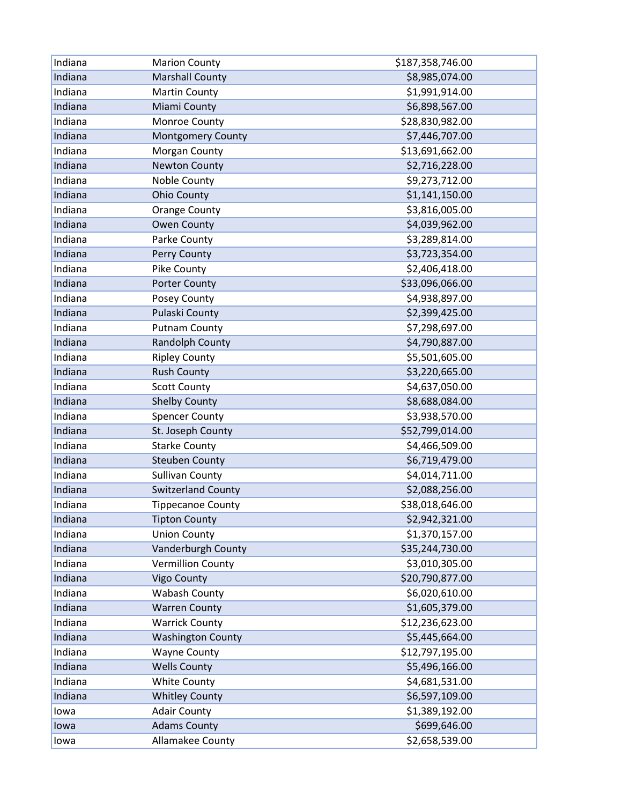| Indiana | <b>Marion County</b>      | \$187,358,746.00 |
|---------|---------------------------|------------------|
| Indiana | <b>Marshall County</b>    | \$8,985,074.00   |
| Indiana | <b>Martin County</b>      | \$1,991,914.00   |
| Indiana | Miami County              | \$6,898,567.00   |
| Indiana | Monroe County             | \$28,830,982.00  |
| Indiana | <b>Montgomery County</b>  | \$7,446,707.00   |
| Indiana | Morgan County             | \$13,691,662.00  |
| Indiana | <b>Newton County</b>      | \$2,716,228.00   |
| Indiana | Noble County              | \$9,273,712.00   |
| Indiana | <b>Ohio County</b>        | \$1,141,150.00   |
| Indiana | <b>Orange County</b>      | \$3,816,005.00   |
| Indiana | <b>Owen County</b>        | \$4,039,962.00   |
| Indiana | Parke County              | \$3,289,814.00   |
| Indiana | Perry County              | \$3,723,354.00   |
| Indiana | Pike County               | \$2,406,418.00   |
| Indiana | <b>Porter County</b>      | \$33,096,066.00  |
| Indiana | Posey County              | \$4,938,897.00   |
| Indiana | <b>Pulaski County</b>     | \$2,399,425.00   |
| Indiana | <b>Putnam County</b>      | \$7,298,697.00   |
| Indiana | Randolph County           | \$4,790,887.00   |
| Indiana | <b>Ripley County</b>      | \$5,501,605.00   |
| Indiana | <b>Rush County</b>        | \$3,220,665.00   |
| Indiana | <b>Scott County</b>       | \$4,637,050.00   |
| Indiana | <b>Shelby County</b>      | \$8,688,084.00   |
| Indiana | <b>Spencer County</b>     | \$3,938,570.00   |
| Indiana | St. Joseph County         | \$52,799,014.00  |
| Indiana | <b>Starke County</b>      | \$4,466,509.00   |
| Indiana | <b>Steuben County</b>     | \$6,719,479.00   |
| Indiana | <b>Sullivan County</b>    | \$4,014,711.00   |
| Indiana | <b>Switzerland County</b> | \$2,088,256.00   |
| Indiana | <b>Tippecanoe County</b>  | \$38,018,646.00  |
| Indiana | <b>Tipton County</b>      | \$2,942,321.00   |
| Indiana | <b>Union County</b>       | \$1,370,157.00   |
| Indiana | Vanderburgh County        | \$35,244,730.00  |
| Indiana | <b>Vermillion County</b>  | \$3,010,305.00   |
| Indiana | <b>Vigo County</b>        | \$20,790,877.00  |
| Indiana | Wabash County             | \$6,020,610.00   |
| Indiana | <b>Warren County</b>      | \$1,605,379.00   |
| Indiana | <b>Warrick County</b>     | \$12,236,623.00  |
| Indiana | <b>Washington County</b>  | \$5,445,664.00   |
| Indiana | <b>Wayne County</b>       | \$12,797,195.00  |
| Indiana | <b>Wells County</b>       | \$5,496,166.00   |
| Indiana | <b>White County</b>       | \$4,681,531.00   |
| Indiana | <b>Whitley County</b>     | \$6,597,109.00   |
| lowa    | <b>Adair County</b>       | \$1,389,192.00   |
| lowa    | <b>Adams County</b>       | \$699,646.00     |
| lowa    | Allamakee County          | \$2,658,539.00   |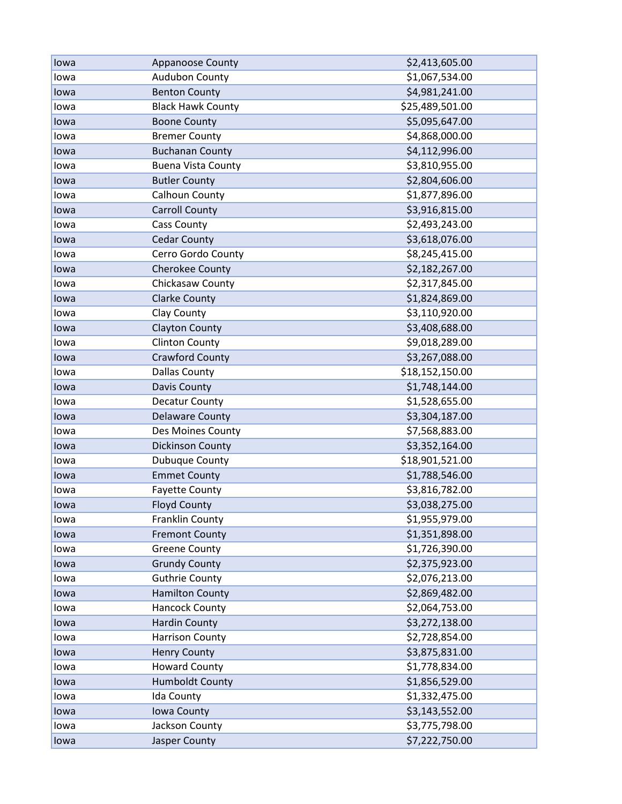| lowa | <b>Appanoose County</b>   | \$2,413,605.00  |
|------|---------------------------|-----------------|
| lowa | Audubon County            | \$1,067,534.00  |
| lowa | <b>Benton County</b>      | \$4,981,241.00  |
| lowa | <b>Black Hawk County</b>  | \$25,489,501.00 |
| lowa | <b>Boone County</b>       | \$5,095,647.00  |
| lowa | <b>Bremer County</b>      | \$4,868,000.00  |
| lowa | <b>Buchanan County</b>    | \$4,112,996.00  |
| lowa | <b>Buena Vista County</b> | \$3,810,955.00  |
| lowa | <b>Butler County</b>      | \$2,804,606.00  |
| lowa | Calhoun County            | \$1,877,896.00  |
| lowa | <b>Carroll County</b>     | \$3,916,815.00  |
| lowa | <b>Cass County</b>        | \$2,493,243.00  |
| lowa | <b>Cedar County</b>       | \$3,618,076.00  |
| lowa | Cerro Gordo County        | \$8,245,415.00  |
| lowa | Cherokee County           | \$2,182,267.00  |
| lowa | Chickasaw County          | \$2,317,845.00  |
| lowa | <b>Clarke County</b>      | \$1,824,869.00  |
| lowa | Clay County               | \$3,110,920.00  |
| lowa | <b>Clayton County</b>     | \$3,408,688.00  |
| lowa | <b>Clinton County</b>     | \$9,018,289.00  |
| lowa | <b>Crawford County</b>    | \$3,267,088.00  |
| lowa | <b>Dallas County</b>      | \$18,152,150.00 |
| lowa | Davis County              | \$1,748,144.00  |
| lowa | Decatur County            | \$1,528,655.00  |
| lowa | <b>Delaware County</b>    | \$3,304,187.00  |
| lowa | Des Moines County         | \$7,568,883.00  |
| lowa | <b>Dickinson County</b>   | \$3,352,164.00  |
| lowa | Dubuque County            | \$18,901,521.00 |
| lowa | <b>Emmet County</b>       | \$1,788,546.00  |
| lowa | <b>Fayette County</b>     | \$3,816,782.00  |
| lowa | <b>Floyd County</b>       | \$3,038,275.00  |
| lowa | Franklin County           | \$1,955,979.00  |
| lowa | <b>Fremont County</b>     | \$1,351,898.00  |
| lowa | <b>Greene County</b>      | \$1,726,390.00  |
| lowa | <b>Grundy County</b>      | \$2,375,923.00  |
| lowa | <b>Guthrie County</b>     | \$2,076,213.00  |
| lowa | <b>Hamilton County</b>    | \$2,869,482.00  |
| lowa | <b>Hancock County</b>     | \$2,064,753.00  |
| lowa | <b>Hardin County</b>      | \$3,272,138.00  |
| lowa | <b>Harrison County</b>    | \$2,728,854.00  |
| lowa | <b>Henry County</b>       | \$3,875,831.00  |
| lowa | <b>Howard County</b>      | \$1,778,834.00  |
| lowa | <b>Humboldt County</b>    | \$1,856,529.00  |
| lowa | Ida County                | \$1,332,475.00  |
| lowa | Iowa County               | \$3,143,552.00  |
| lowa | Jackson County            | \$3,775,798.00  |
| lowa | <b>Jasper County</b>      | \$7,222,750.00  |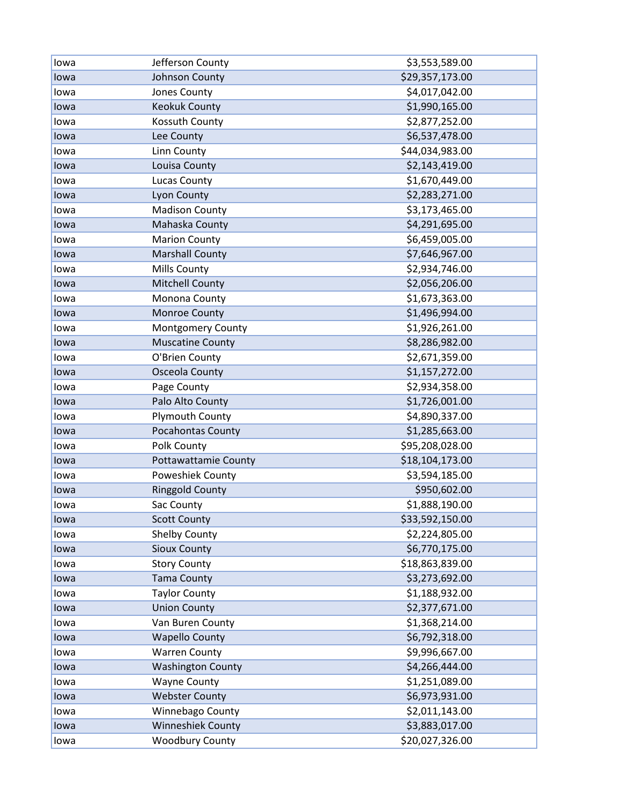| lowa | Jefferson County            | \$3,553,589.00  |
|------|-----------------------------|-----------------|
| lowa | Johnson County              | \$29,357,173.00 |
| lowa | Jones County                | \$4,017,042.00  |
| lowa | <b>Keokuk County</b>        | \$1,990,165.00  |
| lowa | Kossuth County              | \$2,877,252.00  |
| lowa | Lee County                  | \$6,537,478.00  |
| lowa | Linn County                 | \$44,034,983.00 |
| lowa | Louisa County               | \$2,143,419.00  |
| lowa | <b>Lucas County</b>         | \$1,670,449.00  |
| lowa | Lyon County                 | \$2,283,271.00  |
| lowa | <b>Madison County</b>       | \$3,173,465.00  |
| lowa | Mahaska County              | \$4,291,695.00  |
| lowa | <b>Marion County</b>        | \$6,459,005.00  |
| lowa | <b>Marshall County</b>      | \$7,646,967.00  |
| lowa | Mills County                | \$2,934,746.00  |
| lowa | <b>Mitchell County</b>      | \$2,056,206.00  |
| lowa | Monona County               | \$1,673,363.00  |
| lowa | Monroe County               | \$1,496,994.00  |
| lowa | Montgomery County           | \$1,926,261.00  |
| lowa | <b>Muscatine County</b>     | \$8,286,982.00  |
| lowa | O'Brien County              | \$2,671,359.00  |
| lowa | <b>Osceola County</b>       | \$1,157,272.00  |
| lowa | Page County                 | \$2,934,358.00  |
| lowa | Palo Alto County            | \$1,726,001.00  |
| lowa | <b>Plymouth County</b>      | \$4,890,337.00  |
| lowa | Pocahontas County           | \$1,285,663.00  |
| lowa | Polk County                 | \$95,208,028.00 |
| lowa | <b>Pottawattamie County</b> | \$18,104,173.00 |
| lowa | Poweshiek County            | \$3,594,185.00  |
| lowa | <b>Ringgold County</b>      | \$950,602.00    |
| lowa | Sac County                  | \$1,888,190.00  |
| lowa | <b>Scott County</b>         | \$33,592,150.00 |
| lowa | Shelby County               | \$2,224,805.00  |
| lowa | <b>Sioux County</b>         | \$6,770,175.00  |
| lowa | <b>Story County</b>         | \$18,863,839.00 |
| lowa | <b>Tama County</b>          | \$3,273,692.00  |
| lowa | <b>Taylor County</b>        | \$1,188,932.00  |
| lowa | <b>Union County</b>         | \$2,377,671.00  |
| lowa | Van Buren County            | \$1,368,214.00  |
| lowa | <b>Wapello County</b>       | \$6,792,318.00  |
| lowa | <b>Warren County</b>        | \$9,996,667.00  |
| lowa | <b>Washington County</b>    | \$4,266,444.00  |
| lowa | <b>Wayne County</b>         | \$1,251,089.00  |
| lowa | <b>Webster County</b>       | \$6,973,931.00  |
| lowa | Winnebago County            | \$2,011,143.00  |
| lowa | <b>Winneshiek County</b>    | \$3,883,017.00  |
| lowa | <b>Woodbury County</b>      | \$20,027,326.00 |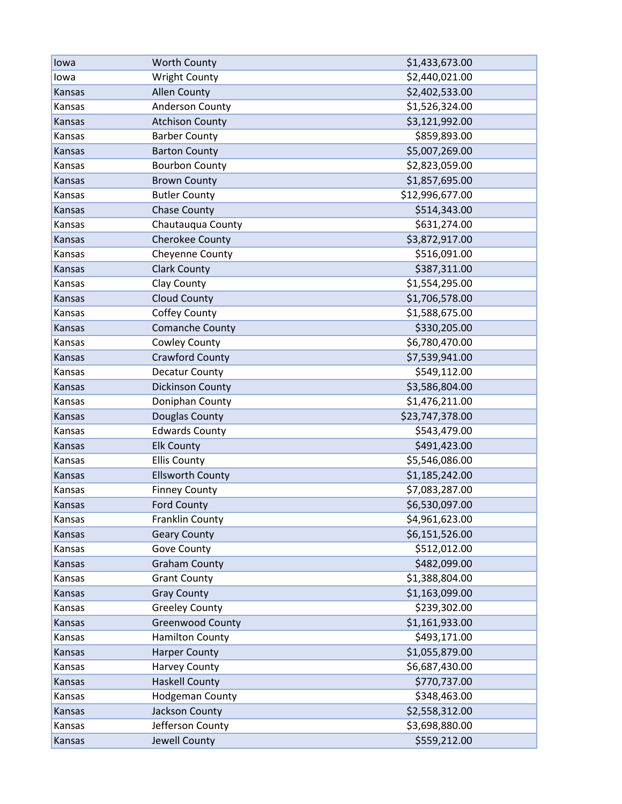| lowa   | <b>Worth County</b>     | \$1,433,673.00  |
|--------|-------------------------|-----------------|
| lowa   | <b>Wright County</b>    | \$2,440,021.00  |
| Kansas | <b>Allen County</b>     | \$2,402,533.00  |
| Kansas | Anderson County         | \$1,526,324.00  |
| Kansas | <b>Atchison County</b>  | \$3,121,992.00  |
| Kansas | <b>Barber County</b>    | \$859,893.00    |
| Kansas | <b>Barton County</b>    | \$5,007,269.00  |
| Kansas | <b>Bourbon County</b>   | \$2,823,059.00  |
| Kansas | <b>Brown County</b>     | \$1,857,695.00  |
| Kansas | <b>Butler County</b>    | \$12,996,677.00 |
| Kansas | <b>Chase County</b>     | \$514,343.00    |
| Kansas | Chautauqua County       | \$631,274.00    |
| Kansas | Cherokee County         | \$3,872,917.00  |
| Kansas | Cheyenne County         | \$516,091.00    |
| Kansas | <b>Clark County</b>     | \$387,311.00    |
| Kansas | Clay County             | \$1,554,295.00  |
| Kansas | <b>Cloud County</b>     | \$1,706,578.00  |
| Kansas | Coffey County           | \$1,588,675.00  |
| Kansas | Comanche County         | \$330,205.00    |
| Kansas | Cowley County           | \$6,780,470.00  |
| Kansas | <b>Crawford County</b>  | \$7,539,941.00  |
| Kansas | Decatur County          | \$549,112.00    |
| Kansas | <b>Dickinson County</b> | \$3,586,804.00  |
| Kansas | Doniphan County         | \$1,476,211.00  |
| Kansas | Douglas County          | \$23,747,378.00 |
| Kansas | <b>Edwards County</b>   | \$543,479.00    |
| Kansas | <b>Elk County</b>       | \$491,423.00    |
| Kansas | <b>Ellis County</b>     | \$5,546,086.00  |
| Kansas | <b>Ellsworth County</b> | \$1,185,242.00  |
| Kansas | <b>Finney County</b>    | \$7,083,287.00  |
| Kansas | <b>Ford County</b>      | \$6,530,097.00  |
| Kansas | Franklin County         | \$4,961,623.00  |
| Kansas | <b>Geary County</b>     | \$6,151,526.00  |
| Kansas | Gove County             | \$512,012.00    |
| Kansas | <b>Graham County</b>    | \$482,099.00    |
| Kansas | <b>Grant County</b>     | \$1,388,804.00  |
| Kansas | <b>Gray County</b>      | \$1,163,099.00  |
| Kansas | <b>Greeley County</b>   | \$239,302.00    |
| Kansas | <b>Greenwood County</b> | \$1,161,933.00  |
| Kansas | <b>Hamilton County</b>  | \$493,171.00    |
| Kansas | <b>Harper County</b>    | \$1,055,879.00  |
| Kansas | <b>Harvey County</b>    | \$6,687,430.00  |
| Kansas | <b>Haskell County</b>   | \$770,737.00    |
| Kansas | <b>Hodgeman County</b>  | \$348,463.00    |
| Kansas | Jackson County          | \$2,558,312.00  |
| Kansas | Jefferson County        | \$3,698,880.00  |
| Kansas | Jewell County           | \$559,212.00    |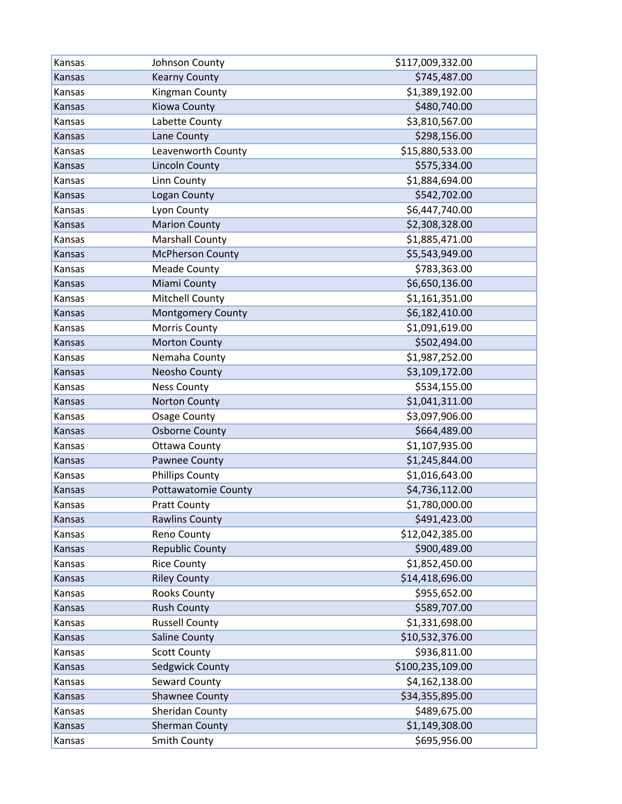| Kansas | Johnson County             | \$117,009,332.00 |
|--------|----------------------------|------------------|
| Kansas | <b>Kearny County</b>       | \$745,487.00     |
| Kansas | Kingman County             | \$1,389,192.00   |
| Kansas | Kiowa County               | \$480,740.00     |
| Kansas | Labette County             | \$3,810,567.00   |
| Kansas | Lane County                | \$298,156.00     |
| Kansas | Leavenworth County         | \$15,880,533.00  |
| Kansas | <b>Lincoln County</b>      | \$575,334.00     |
| Kansas | Linn County                | \$1,884,694.00   |
| Kansas | Logan County               | \$542,702.00     |
| Kansas | Lyon County                | \$6,447,740.00   |
| Kansas | <b>Marion County</b>       | \$2,308,328.00   |
| Kansas | <b>Marshall County</b>     | \$1,885,471.00   |
| Kansas | <b>McPherson County</b>    | \$5,543,949.00   |
| Kansas | <b>Meade County</b>        | \$783,363.00     |
| Kansas | Miami County               | \$6,650,136.00   |
| Kansas | <b>Mitchell County</b>     | \$1,161,351.00   |
| Kansas | <b>Montgomery County</b>   | \$6,182,410.00   |
| Kansas | Morris County              | \$1,091,619.00   |
| Kansas | <b>Morton County</b>       | \$502,494.00     |
| Kansas | Nemaha County              | \$1,987,252.00   |
| Kansas | Neosho County              | \$3,109,172.00   |
| Kansas | <b>Ness County</b>         | \$534,155.00     |
| Kansas | <b>Norton County</b>       | \$1,041,311.00   |
| Kansas | <b>Osage County</b>        | \$3,097,906.00   |
| Kansas | <b>Osborne County</b>      | \$664,489.00     |
| Kansas | <b>Ottawa County</b>       | \$1,107,935.00   |
| Kansas | Pawnee County              | \$1,245,844.00   |
| Kansas | <b>Phillips County</b>     | \$1,016,643.00   |
| Kansas | <b>Pottawatomie County</b> | \$4,736,112.00   |
| Kansas | <b>Pratt County</b>        | \$1,780,000.00   |
| Kansas | <b>Rawlins County</b>      | \$491,423.00     |
| Kansas | Reno County                | \$12,042,385.00  |
| Kansas | <b>Republic County</b>     | \$900,489.00     |
| Kansas | <b>Rice County</b>         | \$1,852,450.00   |
| Kansas | <b>Riley County</b>        | \$14,418,696.00  |
| Kansas | <b>Rooks County</b>        | \$955,652.00     |
| Kansas | <b>Rush County</b>         | \$589,707.00     |
| Kansas | <b>Russell County</b>      | \$1,331,698.00   |
| Kansas | <b>Saline County</b>       | \$10,532,376.00  |
| Kansas | <b>Scott County</b>        | \$936,811.00     |
| Kansas | Sedgwick County            | \$100,235,109.00 |
| Kansas | Seward County              | \$4,162,138.00   |
| Kansas | Shawnee County             | \$34,355,895.00  |
| Kansas | Sheridan County            | \$489,675.00     |
| Kansas | <b>Sherman County</b>      | \$1,149,308.00   |
| Kansas | Smith County               | \$695,956.00     |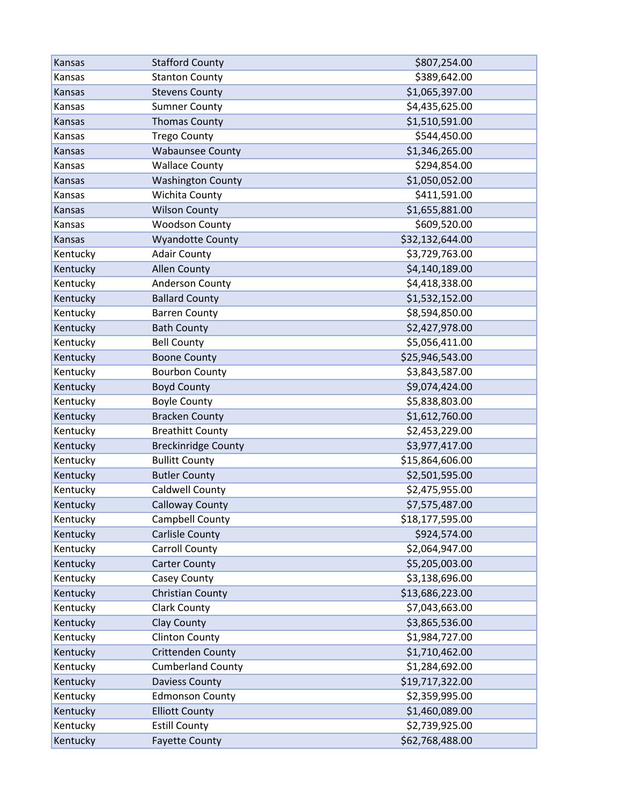| Kansas   | <b>Stafford County</b>     | \$807,254.00    |
|----------|----------------------------|-----------------|
| Kansas   | <b>Stanton County</b>      | \$389,642.00    |
| Kansas   | <b>Stevens County</b>      | \$1,065,397.00  |
| Kansas   | <b>Sumner County</b>       | \$4,435,625.00  |
| Kansas   | <b>Thomas County</b>       | \$1,510,591.00  |
| Kansas   | <b>Trego County</b>        | \$544,450.00    |
| Kansas   | <b>Wabaunsee County</b>    | \$1,346,265.00  |
| Kansas   | <b>Wallace County</b>      | \$294,854.00    |
| Kansas   | <b>Washington County</b>   | \$1,050,052.00  |
| Kansas   | Wichita County             | \$411,591.00    |
| Kansas   | <b>Wilson County</b>       | \$1,655,881.00  |
| Kansas   | <b>Woodson County</b>      | \$609,520.00    |
| Kansas   | <b>Wyandotte County</b>    | \$32,132,644.00 |
| Kentucky | <b>Adair County</b>        | \$3,729,763.00  |
| Kentucky | <b>Allen County</b>        | \$4,140,189.00  |
| Kentucky | Anderson County            | \$4,418,338.00  |
| Kentucky | <b>Ballard County</b>      | \$1,532,152.00  |
| Kentucky | <b>Barren County</b>       | \$8,594,850.00  |
| Kentucky | <b>Bath County</b>         | \$2,427,978.00  |
| Kentucky | <b>Bell County</b>         | \$5,056,411.00  |
| Kentucky | <b>Boone County</b>        | \$25,946,543.00 |
| Kentucky | <b>Bourbon County</b>      | \$3,843,587.00  |
| Kentucky | <b>Boyd County</b>         | \$9,074,424.00  |
| Kentucky | <b>Boyle County</b>        | \$5,838,803.00  |
| Kentucky | <b>Bracken County</b>      | \$1,612,760.00  |
| Kentucky | <b>Breathitt County</b>    | \$2,453,229.00  |
| Kentucky | <b>Breckinridge County</b> | \$3,977,417.00  |
| Kentucky | <b>Bullitt County</b>      | \$15,864,606.00 |
| Kentucky | <b>Butler County</b>       | \$2,501,595.00  |
| Kentucky | Caldwell County            | \$2,475,955.00  |
| Kentucky | <b>Calloway County</b>     | \$7,575,487.00  |
| Kentucky | Campbell County            | \$18,177,595.00 |
| Kentucky | <b>Carlisle County</b>     | \$924,574.00    |
| Kentucky | <b>Carroll County</b>      | \$2,064,947.00  |
| Kentucky | <b>Carter County</b>       | \$5,205,003.00  |
| Kentucky | Casey County               | \$3,138,696.00  |
| Kentucky | Christian County           | \$13,686,223.00 |
| Kentucky | <b>Clark County</b>        | \$7,043,663.00  |
| Kentucky | Clay County                | \$3,865,536.00  |
| Kentucky | <b>Clinton County</b>      | \$1,984,727.00  |
| Kentucky | Crittenden County          | \$1,710,462.00  |
| Kentucky | <b>Cumberland County</b>   | \$1,284,692.00  |
| Kentucky | <b>Daviess County</b>      | \$19,717,322.00 |
| Kentucky | <b>Edmonson County</b>     | \$2,359,995.00  |
| Kentucky | <b>Elliott County</b>      | \$1,460,089.00  |
| Kentucky | <b>Estill County</b>       | \$2,739,925.00  |
| Kentucky | <b>Fayette County</b>      | \$62,768,488.00 |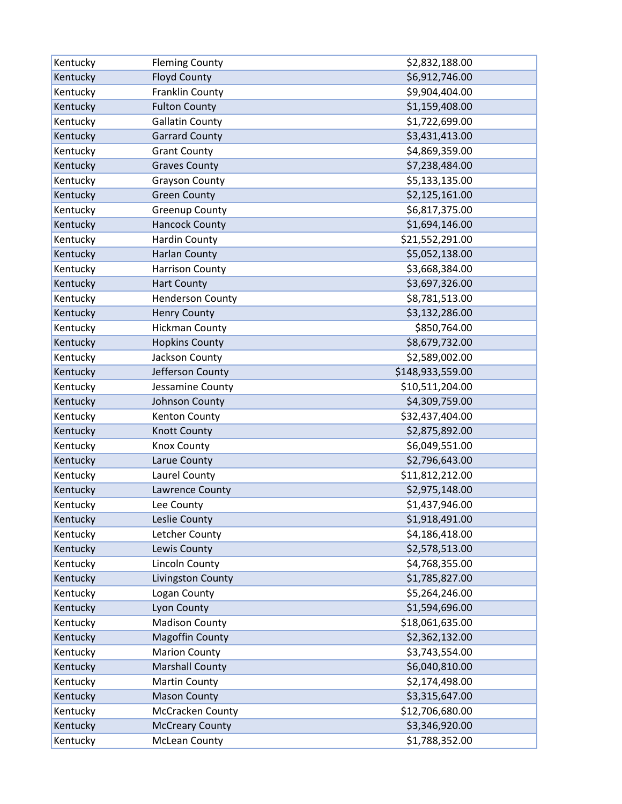| Kentucky | <b>Fleming County</b>   | \$2,832,188.00   |
|----------|-------------------------|------------------|
| Kentucky | <b>Floyd County</b>     | \$6,912,746.00   |
| Kentucky | Franklin County         | \$9,904,404.00   |
| Kentucky | <b>Fulton County</b>    | \$1,159,408.00   |
| Kentucky | <b>Gallatin County</b>  | \$1,722,699.00   |
| Kentucky | <b>Garrard County</b>   | \$3,431,413.00   |
| Kentucky | <b>Grant County</b>     | \$4,869,359.00   |
| Kentucky | <b>Graves County</b>    | \$7,238,484.00   |
| Kentucky | <b>Grayson County</b>   | \$5,133,135.00   |
| Kentucky | <b>Green County</b>     | \$2,125,161.00   |
| Kentucky | <b>Greenup County</b>   | \$6,817,375.00   |
| Kentucky | <b>Hancock County</b>   | \$1,694,146.00   |
| Kentucky | <b>Hardin County</b>    | \$21,552,291.00  |
| Kentucky | <b>Harlan County</b>    | \$5,052,138.00   |
| Kentucky | <b>Harrison County</b>  | \$3,668,384.00   |
| Kentucky | <b>Hart County</b>      | \$3,697,326.00   |
| Kentucky | <b>Henderson County</b> | \$8,781,513.00   |
| Kentucky | <b>Henry County</b>     | \$3,132,286.00   |
| Kentucky | <b>Hickman County</b>   | \$850,764.00     |
| Kentucky | <b>Hopkins County</b>   | \$8,679,732.00   |
| Kentucky | Jackson County          | \$2,589,002.00   |
| Kentucky | Jefferson County        | \$148,933,559.00 |
| Kentucky | Jessamine County        | \$10,511,204.00  |
| Kentucky | Johnson County          | \$4,309,759.00   |
| Kentucky | Kenton County           | \$32,437,404.00  |
| Kentucky | <b>Knott County</b>     | \$2,875,892.00   |
| Kentucky | <b>Knox County</b>      | \$6,049,551.00   |
| Kentucky | Larue County            | \$2,796,643.00   |
| Kentucky | Laurel County           | \$11,812,212.00  |
| Kentucky | Lawrence County         | \$2,975,148.00   |
| Kentucky | Lee County              | \$1,437,946.00   |
| Kentucky | Leslie County           | \$1,918,491.00   |
| Kentucky | Letcher County          | \$4,186,418.00   |
| Kentucky | Lewis County            | \$2,578,513.00   |
| Kentucky | Lincoln County          | \$4,768,355.00   |
| Kentucky | Livingston County       | \$1,785,827.00   |
| Kentucky | Logan County            | \$5,264,246.00   |
| Kentucky | Lyon County             | \$1,594,696.00   |
| Kentucky | <b>Madison County</b>   | \$18,061,635.00  |
| Kentucky | <b>Magoffin County</b>  | \$2,362,132.00   |
| Kentucky | <b>Marion County</b>    | \$3,743,554.00   |
| Kentucky | <b>Marshall County</b>  | \$6,040,810.00   |
| Kentucky | <b>Martin County</b>    | \$2,174,498.00   |
| Kentucky | <b>Mason County</b>     | \$3,315,647.00   |
| Kentucky | McCracken County        | \$12,706,680.00  |
| Kentucky | <b>McCreary County</b>  | \$3,346,920.00   |
| Kentucky | <b>McLean County</b>    | \$1,788,352.00   |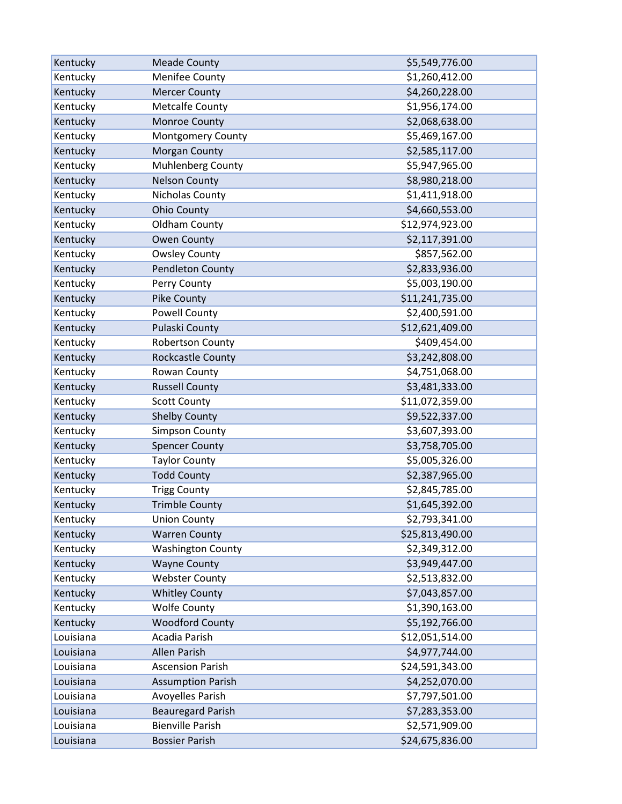| Kentucky  | <b>Meade County</b>      | \$5,549,776.00  |
|-----------|--------------------------|-----------------|
| Kentucky  | Menifee County           | \$1,260,412.00  |
| Kentucky  | <b>Mercer County</b>     | \$4,260,228.00  |
| Kentucky  | <b>Metcalfe County</b>   | \$1,956,174.00  |
| Kentucky  | Monroe County            | \$2,068,638.00  |
| Kentucky  | <b>Montgomery County</b> | \$5,469,167.00  |
| Kentucky  | Morgan County            | \$2,585,117.00  |
| Kentucky  | Muhlenberg County        | \$5,947,965.00  |
| Kentucky  | <b>Nelson County</b>     | \$8,980,218.00  |
| Kentucky  | Nicholas County          | \$1,411,918.00  |
| Kentucky  | <b>Ohio County</b>       | \$4,660,553.00  |
| Kentucky  | Oldham County            | \$12,974,923.00 |
| Kentucky  | <b>Owen County</b>       | \$2,117,391.00  |
| Kentucky  | <b>Owsley County</b>     | \$857,562.00    |
| Kentucky  | <b>Pendleton County</b>  | \$2,833,936.00  |
| Kentucky  | Perry County             | \$5,003,190.00  |
| Kentucky  | Pike County              | \$11,241,735.00 |
| Kentucky  | <b>Powell County</b>     | \$2,400,591.00  |
| Kentucky  | Pulaski County           | \$12,621,409.00 |
| Kentucky  | <b>Robertson County</b>  | \$409,454.00    |
| Kentucky  | Rockcastle County        | \$3,242,808.00  |
| Kentucky  | Rowan County             | \$4,751,068.00  |
| Kentucky  | <b>Russell County</b>    | \$3,481,333.00  |
| Kentucky  | <b>Scott County</b>      | \$11,072,359.00 |
| Kentucky  | <b>Shelby County</b>     | \$9,522,337.00  |
| Kentucky  | <b>Simpson County</b>    | \$3,607,393.00  |
| Kentucky  | <b>Spencer County</b>    | \$3,758,705.00  |
| Kentucky  | <b>Taylor County</b>     | \$5,005,326.00  |
| Kentucky  | <b>Todd County</b>       | \$2,387,965.00  |
| Kentucky  | <b>Trigg County</b>      | \$2,845,785.00  |
| Kentucky  | <b>Trimble County</b>    | \$1,645,392.00  |
| Kentucky  | <b>Union County</b>      | \$2,793,341.00  |
| Kentucky  | <b>Warren County</b>     | \$25,813,490.00 |
| Kentucky  | <b>Washington County</b> | \$2,349,312.00  |
| Kentucky  | <b>Wayne County</b>      | \$3,949,447.00  |
| Kentucky  | <b>Webster County</b>    | \$2,513,832.00  |
| Kentucky  | <b>Whitley County</b>    | \$7,043,857.00  |
| Kentucky  | <b>Wolfe County</b>      | \$1,390,163.00  |
| Kentucky  | <b>Woodford County</b>   | \$5,192,766.00  |
| Louisiana | Acadia Parish            | \$12,051,514.00 |
| Louisiana | <b>Allen Parish</b>      | \$4,977,744.00  |
| Louisiana | <b>Ascension Parish</b>  | \$24,591,343.00 |
| Louisiana | <b>Assumption Parish</b> | \$4,252,070.00  |
| Louisiana | <b>Avoyelles Parish</b>  | \$7,797,501.00  |
| Louisiana | <b>Beauregard Parish</b> | \$7,283,353.00  |
| Louisiana | <b>Bienville Parish</b>  | \$2,571,909.00  |
| Louisiana | <b>Bossier Parish</b>    | \$24,675,836.00 |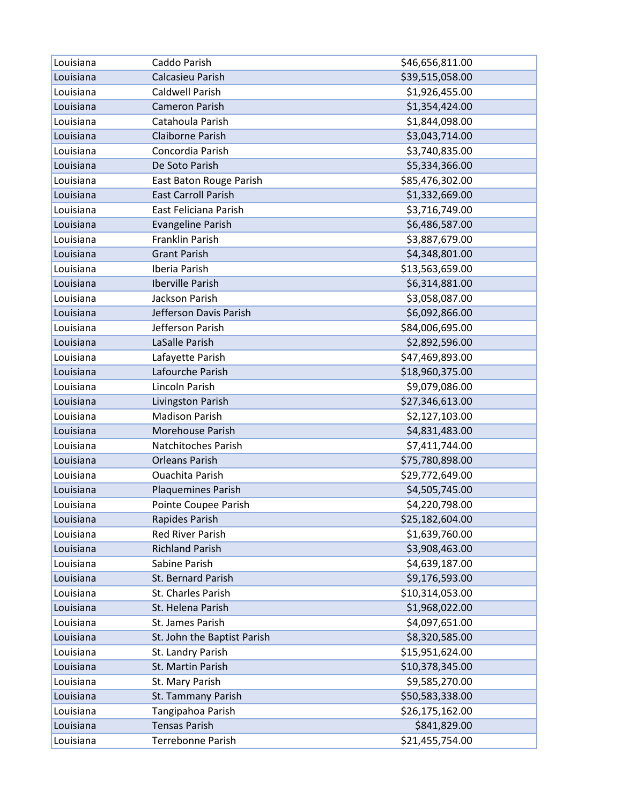| Louisiana | Caddo Parish                | \$46,656,811.00 |
|-----------|-----------------------------|-----------------|
| Louisiana | Calcasieu Parish            | \$39,515,058.00 |
| Louisiana | Caldwell Parish             | \$1,926,455.00  |
| Louisiana | <b>Cameron Parish</b>       | \$1,354,424.00  |
| Louisiana | Catahoula Parish            | \$1,844,098.00  |
| Louisiana | Claiborne Parish            | \$3,043,714.00  |
| Louisiana | Concordia Parish            | \$3,740,835.00  |
| Louisiana | De Soto Parish              | \$5,334,366.00  |
| Louisiana | East Baton Rouge Parish     | \$85,476,302.00 |
| Louisiana | <b>East Carroll Parish</b>  | \$1,332,669.00  |
| Louisiana | East Feliciana Parish       | \$3,716,749.00  |
| Louisiana | <b>Evangeline Parish</b>    | \$6,486,587.00  |
| Louisiana | Franklin Parish             | \$3,887,679.00  |
| Louisiana | <b>Grant Parish</b>         | \$4,348,801.00  |
| Louisiana | Iberia Parish               | \$13,563,659.00 |
| Louisiana | Iberville Parish            | \$6,314,881.00  |
| Louisiana | Jackson Parish              | \$3,058,087.00  |
| Louisiana | Jefferson Davis Parish      | \$6,092,866.00  |
| Louisiana | Jefferson Parish            | \$84,006,695.00 |
| Louisiana | LaSalle Parish              | \$2,892,596.00  |
| Louisiana | Lafayette Parish            | \$47,469,893.00 |
| Louisiana | Lafourche Parish            | \$18,960,375.00 |
| Louisiana | Lincoln Parish              | \$9,079,086.00  |
| Louisiana | Livingston Parish           | \$27,346,613.00 |
| Louisiana | <b>Madison Parish</b>       | \$2,127,103.00  |
| Louisiana | Morehouse Parish            | \$4,831,483.00  |
| Louisiana | Natchitoches Parish         | \$7,411,744.00  |
| Louisiana | <b>Orleans Parish</b>       | \$75,780,898.00 |
| Louisiana | <b>Ouachita Parish</b>      | \$29,772,649.00 |
| Louisiana | Plaquemines Parish          | \$4,505,745.00  |
| Louisiana | Pointe Coupee Parish        | \$4,220,798.00  |
| Louisiana | Rapides Parish              | \$25,182,604.00 |
| Louisiana | <b>Red River Parish</b>     | \$1,639,760.00  |
| Louisiana | <b>Richland Parish</b>      | \$3,908,463.00  |
| Louisiana | Sabine Parish               | \$4,639,187.00  |
| Louisiana | St. Bernard Parish          | \$9,176,593.00  |
| Louisiana | St. Charles Parish          | \$10,314,053.00 |
| Louisiana | St. Helena Parish           | \$1,968,022.00  |
| Louisiana | St. James Parish            | \$4,097,651.00  |
| Louisiana | St. John the Baptist Parish | \$8,320,585.00  |
| Louisiana | St. Landry Parish           | \$15,951,624.00 |
| Louisiana | St. Martin Parish           | \$10,378,345.00 |
| Louisiana | St. Mary Parish             | \$9,585,270.00  |
| Louisiana | St. Tammany Parish          | \$50,583,338.00 |
| Louisiana | Tangipahoa Parish           | \$26,175,162.00 |
| Louisiana | <b>Tensas Parish</b>        | \$841,829.00    |
| Louisiana | Terrebonne Parish           | \$21,455,754.00 |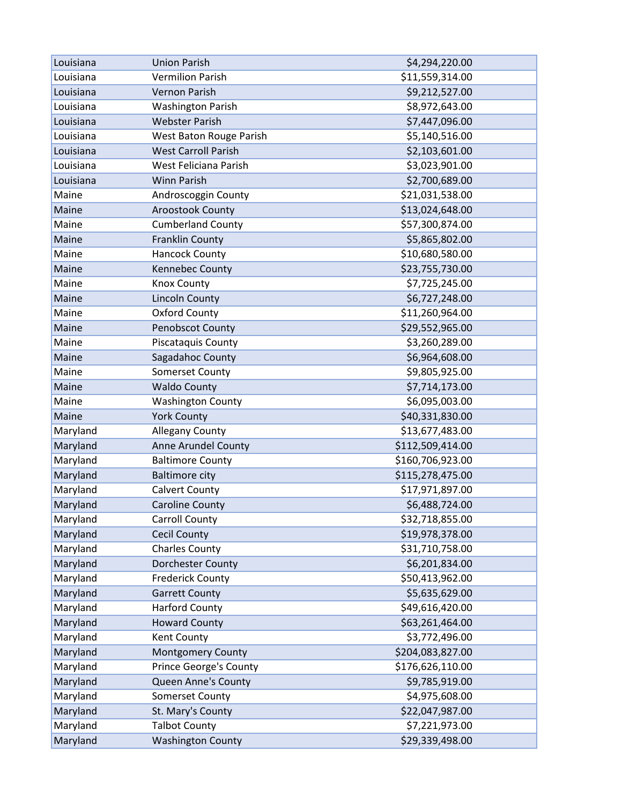| Louisiana | <b>Union Parish</b>           | \$4,294,220.00   |
|-----------|-------------------------------|------------------|
| Louisiana | <b>Vermilion Parish</b>       | \$11,559,314.00  |
| Louisiana | <b>Vernon Parish</b>          | \$9,212,527.00   |
| Louisiana | <b>Washington Parish</b>      | \$8,972,643.00   |
| Louisiana | <b>Webster Parish</b>         | \$7,447,096.00   |
| Louisiana | West Baton Rouge Parish       | \$5,140,516.00   |
| Louisiana | <b>West Carroll Parish</b>    | \$2,103,601.00   |
| Louisiana | West Feliciana Parish         | \$3,023,901.00   |
| Louisiana | <b>Winn Parish</b>            | \$2,700,689.00   |
| Maine     | Androscoggin County           | \$21,031,538.00  |
| Maine     | <b>Aroostook County</b>       | \$13,024,648.00  |
| Maine     | <b>Cumberland County</b>      | \$57,300,874.00  |
| Maine     | <b>Franklin County</b>        | \$5,865,802.00   |
| Maine     | <b>Hancock County</b>         | \$10,680,580.00  |
| Maine     | Kennebec County               | \$23,755,730.00  |
| Maine     | <b>Knox County</b>            | \$7,725,245.00   |
| Maine     | Lincoln County                | \$6,727,248.00   |
| Maine     | <b>Oxford County</b>          | \$11,260,964.00  |
| Maine     | Penobscot County              | \$29,552,965.00  |
| Maine     | Piscataquis County            | \$3,260,289.00   |
| Maine     | Sagadahoc County              | \$6,964,608.00   |
| Maine     | <b>Somerset County</b>        | \$9,805,925.00   |
| Maine     | <b>Waldo County</b>           | \$7,714,173.00   |
| Maine     | <b>Washington County</b>      | \$6,095,003.00   |
| Maine     | <b>York County</b>            | \$40,331,830.00  |
| Maryland  | <b>Allegany County</b>        | \$13,677,483.00  |
| Maryland  | Anne Arundel County           | \$112,509,414.00 |
| Maryland  | <b>Baltimore County</b>       | \$160,706,923.00 |
| Maryland  | <b>Baltimore city</b>         | \$115,278,475.00 |
| Maryland  | <b>Calvert County</b>         | \$17,971,897.00  |
| Maryland  | <b>Caroline County</b>        | \$6,488,724.00   |
| Maryland  | <b>Carroll County</b>         | \$32,718,855.00  |
| Maryland  | <b>Cecil County</b>           | \$19,978,378.00  |
| Maryland  | <b>Charles County</b>         | \$31,710,758.00  |
| Maryland  | Dorchester County             | \$6,201,834.00   |
| Maryland  | <b>Frederick County</b>       | \$50,413,962.00  |
| Maryland  | <b>Garrett County</b>         | \$5,635,629.00   |
| Maryland  | <b>Harford County</b>         | \$49,616,420.00  |
| Maryland  | <b>Howard County</b>          | \$63,261,464.00  |
| Maryland  | Kent County                   | \$3,772,496.00   |
| Maryland  | Montgomery County             | \$204,083,827.00 |
| Maryland  | <b>Prince George's County</b> | \$176,626,110.00 |
| Maryland  | Queen Anne's County           | \$9,785,919.00   |
| Maryland  | <b>Somerset County</b>        | \$4,975,608.00   |
| Maryland  | St. Mary's County             | \$22,047,987.00  |
| Maryland  | <b>Talbot County</b>          | \$7,221,973.00   |
| Maryland  | <b>Washington County</b>      | \$29,339,498.00  |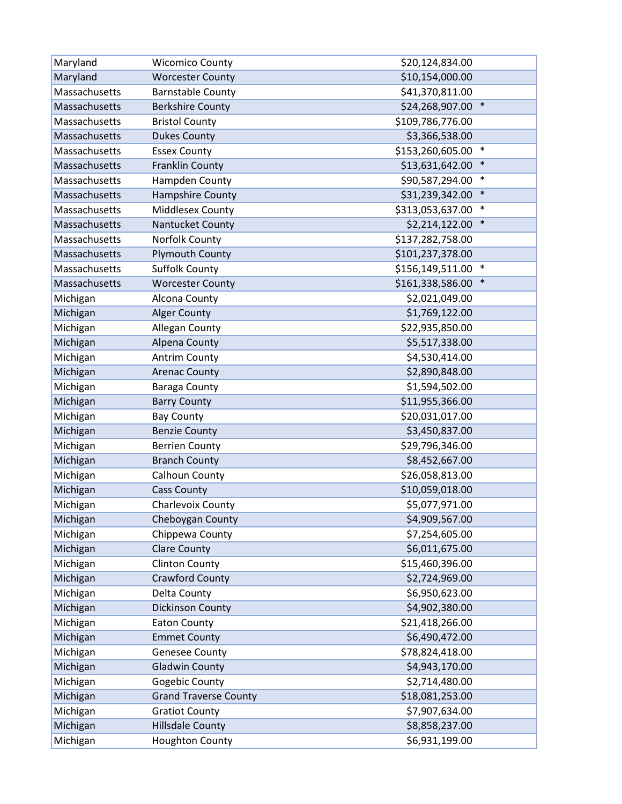| Maryland      | <b>Wicomico County</b>       | \$20,124,834.00            |
|---------------|------------------------------|----------------------------|
| Maryland      | <b>Worcester County</b>      | \$10,154,000.00            |
| Massachusetts | <b>Barnstable County</b>     | \$41,370,811.00            |
| Massachusetts | <b>Berkshire County</b>      | $\ast$<br>\$24,268,907.00  |
| Massachusetts | <b>Bristol County</b>        | \$109,786,776.00           |
| Massachusetts | <b>Dukes County</b>          | \$3,366,538.00             |
| Massachusetts | <b>Essex County</b>          | \$153,260,605.00<br>$\ast$ |
| Massachusetts | <b>Franklin County</b>       | $\ast$<br>\$13,631,642.00  |
| Massachusetts | Hampden County               | \$90,587,294.00<br>$\ast$  |
| Massachusetts | Hampshire County             | $\ast$<br>\$31,239,342.00  |
| Massachusetts | Middlesex County             | $\ast$<br>\$313,053,637.00 |
| Massachusetts | Nantucket County             | $\ast$<br>\$2,214,122.00   |
| Massachusetts | Norfolk County               | \$137,282,758.00           |
| Massachusetts | <b>Plymouth County</b>       | \$101,237,378.00           |
| Massachusetts | <b>Suffolk County</b>        | $\ast$<br>\$156,149,511.00 |
| Massachusetts | <b>Worcester County</b>      | $\ast$<br>\$161,338,586.00 |
| Michigan      | Alcona County                | \$2,021,049.00             |
| Michigan      | <b>Alger County</b>          | \$1,769,122.00             |
| Michigan      | Allegan County               | \$22,935,850.00            |
| Michigan      | Alpena County                | \$5,517,338.00             |
| Michigan      | <b>Antrim County</b>         | \$4,530,414.00             |
| Michigan      | <b>Arenac County</b>         | \$2,890,848.00             |
| Michigan      | <b>Baraga County</b>         | \$1,594,502.00             |
| Michigan      | <b>Barry County</b>          | \$11,955,366.00            |
| Michigan      | <b>Bay County</b>            | \$20,031,017.00            |
| Michigan      | <b>Benzie County</b>         | \$3,450,837.00             |
| Michigan      | <b>Berrien County</b>        | \$29,796,346.00            |
| Michigan      | <b>Branch County</b>         | \$8,452,667.00             |
| Michigan      | Calhoun County               | \$26,058,813.00            |
| Michigan      | <b>Cass County</b>           | \$10,059,018.00            |
| Michigan      | Charlevoix County            | \$5,077,971.00             |
| Michigan      | Cheboygan County             | \$4,909,567.00             |
| Michigan      | Chippewa County              | \$7,254,605.00             |
| Michigan      | <b>Clare County</b>          | \$6,011,675.00             |
| Michigan      | <b>Clinton County</b>        | \$15,460,396.00            |
| Michigan      | <b>Crawford County</b>       | \$2,724,969.00             |
| Michigan      | Delta County                 | \$6,950,623.00             |
| Michigan      | Dickinson County             | \$4,902,380.00             |
| Michigan      | <b>Eaton County</b>          | \$21,418,266.00            |
| Michigan      | <b>Emmet County</b>          | \$6,490,472.00             |
| Michigan      | <b>Genesee County</b>        | \$78,824,418.00            |
| Michigan      | <b>Gladwin County</b>        | \$4,943,170.00             |
| Michigan      | Gogebic County               | \$2,714,480.00             |
| Michigan      | <b>Grand Traverse County</b> | \$18,081,253.00            |
| Michigan      | <b>Gratiot County</b>        | \$7,907,634.00             |
| Michigan      | <b>Hillsdale County</b>      | \$8,858,237.00             |
| Michigan      | <b>Houghton County</b>       | \$6,931,199.00             |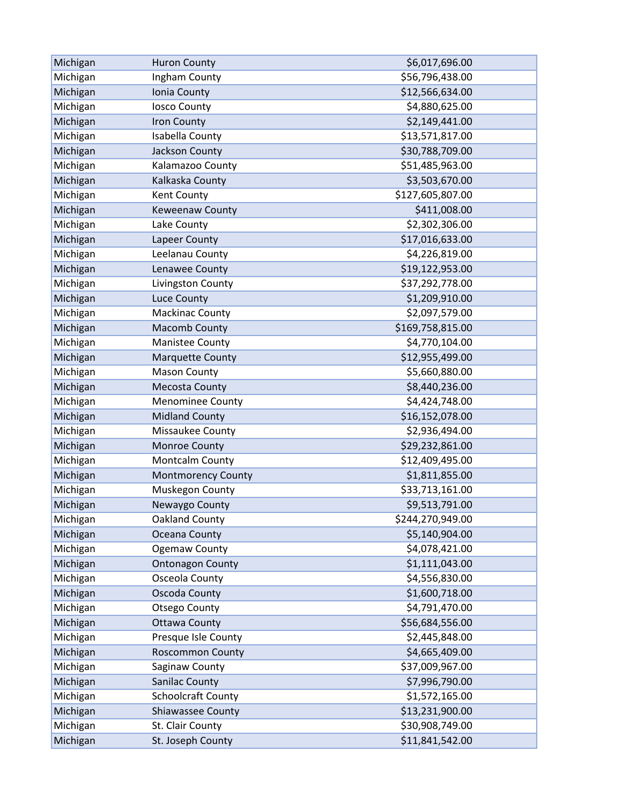| Michigan | <b>Huron County</b>       | \$6,017,696.00   |
|----------|---------------------------|------------------|
| Michigan | Ingham County             | \$56,796,438.00  |
| Michigan | Ionia County              | \$12,566,634.00  |
| Michigan | <b>losco County</b>       | \$4,880,625.00   |
| Michigan | Iron County               | \$2,149,441.00   |
| Michigan | Isabella County           | \$13,571,817.00  |
| Michigan | Jackson County            | \$30,788,709.00  |
| Michigan | Kalamazoo County          | \$51,485,963.00  |
| Michigan | Kalkaska County           | \$3,503,670.00   |
| Michigan | Kent County               | \$127,605,807.00 |
| Michigan | Keweenaw County           | \$411,008.00     |
| Michigan | Lake County               | \$2,302,306.00   |
| Michigan | Lapeer County             | \$17,016,633.00  |
| Michigan | Leelanau County           | \$4,226,819.00   |
| Michigan | Lenawee County            | \$19,122,953.00  |
| Michigan | Livingston County         | \$37,292,778.00  |
| Michigan | Luce County               | \$1,209,910.00   |
| Michigan | <b>Mackinac County</b>    | \$2,097,579.00   |
| Michigan | Macomb County             | \$169,758,815.00 |
| Michigan | Manistee County           | \$4,770,104.00   |
| Michigan | <b>Marquette County</b>   | \$12,955,499.00  |
| Michigan | <b>Mason County</b>       | \$5,660,880.00   |
| Michigan | <b>Mecosta County</b>     | \$8,440,236.00   |
| Michigan | <b>Menominee County</b>   | \$4,424,748.00   |
| Michigan | <b>Midland County</b>     | \$16,152,078.00  |
| Michigan | Missaukee County          | \$2,936,494.00   |
| Michigan | Monroe County             | \$29,232,861.00  |
| Michigan | Montcalm County           | \$12,409,495.00  |
| Michigan | <b>Montmorency County</b> | \$1,811,855.00   |
| Michigan | Muskegon County           | \$33,713,161.00  |
| Michigan | Newaygo County            | \$9,513,791.00   |
| Michigan | Oakland County            | \$244,270,949.00 |
| Michigan | Oceana County             | \$5,140,904.00   |
| Michigan | <b>Ogemaw County</b>      | \$4,078,421.00   |
| Michigan | <b>Ontonagon County</b>   | \$1,111,043.00   |
| Michigan | Osceola County            | \$4,556,830.00   |
| Michigan | Oscoda County             | \$1,600,718.00   |
| Michigan | <b>Otsego County</b>      | \$4,791,470.00   |
| Michigan | <b>Ottawa County</b>      | \$56,684,556.00  |
| Michigan | Presque Isle County       | \$2,445,848.00   |
| Michigan | <b>Roscommon County</b>   | \$4,665,409.00   |
| Michigan | Saginaw County            | \$37,009,967.00  |
| Michigan | <b>Sanilac County</b>     | \$7,996,790.00   |
| Michigan | <b>Schoolcraft County</b> | \$1,572,165.00   |
| Michigan | Shiawassee County         | \$13,231,900.00  |
| Michigan | St. Clair County          | \$30,908,749.00  |
| Michigan | St. Joseph County         | \$11,841,542.00  |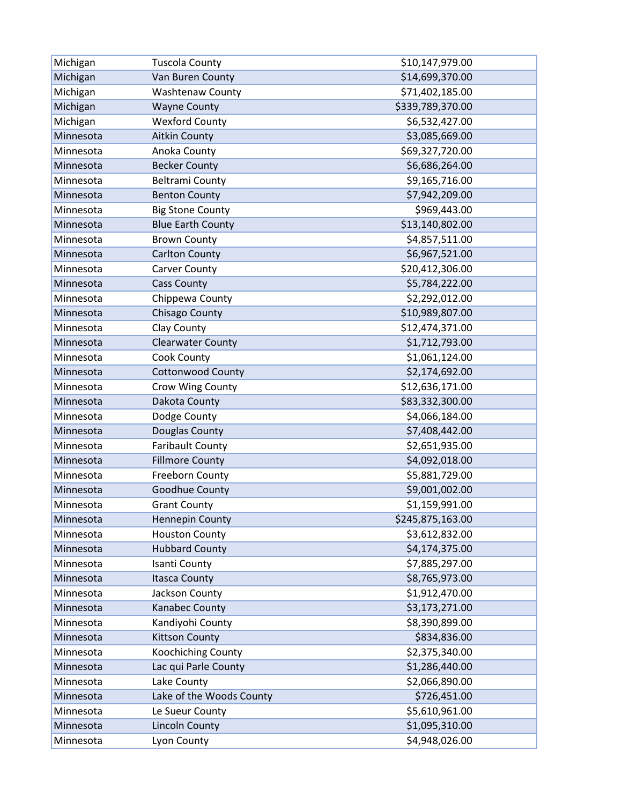| Michigan  | <b>Tuscola County</b>    | \$10,147,979.00  |
|-----------|--------------------------|------------------|
| Michigan  | Van Buren County         | \$14,699,370.00  |
| Michigan  | <b>Washtenaw County</b>  | \$71,402,185.00  |
| Michigan  | <b>Wayne County</b>      | \$339,789,370.00 |
| Michigan  | <b>Wexford County</b>    | \$6,532,427.00   |
| Minnesota | <b>Aitkin County</b>     | \$3,085,669.00   |
| Minnesota | Anoka County             | \$69,327,720.00  |
| Minnesota | <b>Becker County</b>     | \$6,686,264.00   |
| Minnesota | <b>Beltrami County</b>   | \$9,165,716.00   |
| Minnesota | <b>Benton County</b>     | \$7,942,209.00   |
| Minnesota | <b>Big Stone County</b>  | \$969,443.00     |
| Minnesota | <b>Blue Earth County</b> | \$13,140,802.00  |
| Minnesota | <b>Brown County</b>      | \$4,857,511.00   |
| Minnesota | <b>Carlton County</b>    | \$6,967,521.00   |
| Minnesota | <b>Carver County</b>     | \$20,412,306.00  |
| Minnesota | <b>Cass County</b>       | \$5,784,222.00   |
| Minnesota | Chippewa County          | \$2,292,012.00   |
| Minnesota | Chisago County           | \$10,989,807.00  |
| Minnesota | Clay County              | \$12,474,371.00  |
| Minnesota | <b>Clearwater County</b> | \$1,712,793.00   |
| Minnesota | Cook County              | \$1,061,124.00   |
| Minnesota | <b>Cottonwood County</b> | \$2,174,692.00   |
| Minnesota | Crow Wing County         | \$12,636,171.00  |
| Minnesota | Dakota County            | \$83,332,300.00  |
| Minnesota | Dodge County             | \$4,066,184.00   |
| Minnesota | Douglas County           | \$7,408,442.00   |
| Minnesota | <b>Faribault County</b>  | \$2,651,935.00   |
| Minnesota | <b>Fillmore County</b>   | \$4,092,018.00   |
| Minnesota | Freeborn County          | \$5,881,729.00   |
| Minnesota | Goodhue County           | \$9,001,002.00   |
| Minnesota | <b>Grant County</b>      | \$1,159,991.00   |
| Minnesota | Hennepin County          | \$245,875,163.00 |
| Minnesota | <b>Houston County</b>    | \$3,612,832.00   |
| Minnesota | <b>Hubbard County</b>    | \$4,174,375.00   |
| Minnesota | Isanti County            | \$7,885,297.00   |
| Minnesota | <b>Itasca County</b>     | \$8,765,973.00   |
| Minnesota | Jackson County           | \$1,912,470.00   |
| Minnesota | Kanabec County           | \$3,173,271.00   |
| Minnesota | Kandiyohi County         | \$8,390,899.00   |
| Minnesota | <b>Kittson County</b>    | \$834,836.00     |
| Minnesota | Koochiching County       | \$2,375,340.00   |
| Minnesota | Lac qui Parle County     | \$1,286,440.00   |
| Minnesota | Lake County              | \$2,066,890.00   |
| Minnesota | Lake of the Woods County | \$726,451.00     |
| Minnesota | Le Sueur County          | \$5,610,961.00   |
| Minnesota | <b>Lincoln County</b>    | \$1,095,310.00   |
| Minnesota | Lyon County              | \$4,948,026.00   |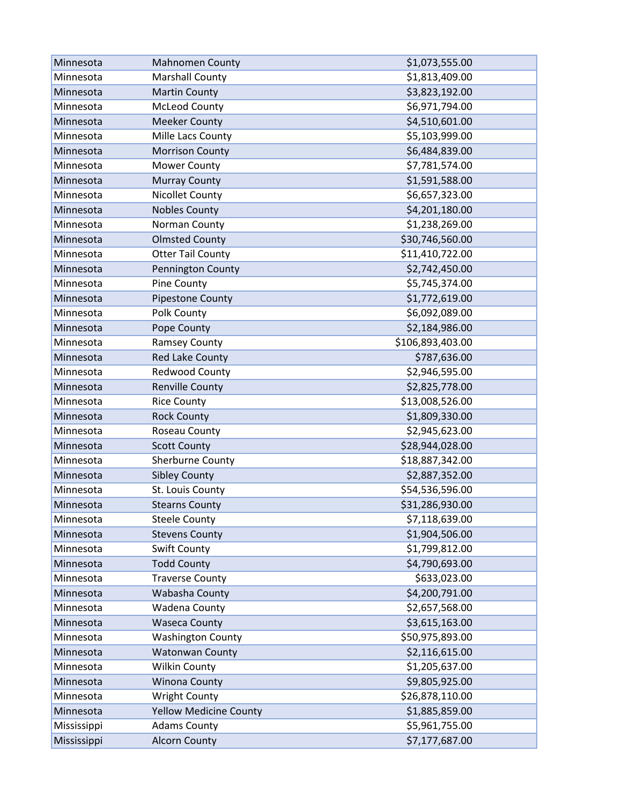| Minnesota   | <b>Mahnomen County</b>        | \$1,073,555.00   |
|-------------|-------------------------------|------------------|
| Minnesota   | <b>Marshall County</b>        | \$1,813,409.00   |
| Minnesota   | <b>Martin County</b>          | \$3,823,192.00   |
| Minnesota   | <b>McLeod County</b>          | \$6,971,794.00   |
| Minnesota   | <b>Meeker County</b>          | \$4,510,601.00   |
| Minnesota   | Mille Lacs County             | \$5,103,999.00   |
| Minnesota   | <b>Morrison County</b>        | \$6,484,839.00   |
| Minnesota   | <b>Mower County</b>           | \$7,781,574.00   |
| Minnesota   | <b>Murray County</b>          | \$1,591,588.00   |
| Minnesota   | <b>Nicollet County</b>        | \$6,657,323.00   |
| Minnesota   | <b>Nobles County</b>          | \$4,201,180.00   |
| Minnesota   | Norman County                 | \$1,238,269.00   |
| Minnesota   | <b>Olmsted County</b>         | \$30,746,560.00  |
| Minnesota   | <b>Otter Tail County</b>      | \$11,410,722.00  |
| Minnesota   | Pennington County             | \$2,742,450.00   |
| Minnesota   | Pine County                   | \$5,745,374.00   |
| Minnesota   | Pipestone County              | \$1,772,619.00   |
| Minnesota   | Polk County                   | \$6,092,089.00   |
| Minnesota   | Pope County                   | \$2,184,986.00   |
| Minnesota   | Ramsey County                 | \$106,893,403.00 |
| Minnesota   | Red Lake County               | \$787,636.00     |
| Minnesota   | Redwood County                | \$2,946,595.00   |
| Minnesota   | <b>Renville County</b>        | \$2,825,778.00   |
| Minnesota   | <b>Rice County</b>            | \$13,008,526.00  |
| Minnesota   | <b>Rock County</b>            | \$1,809,330.00   |
| Minnesota   | Roseau County                 | \$2,945,623.00   |
| Minnesota   | <b>Scott County</b>           | \$28,944,028.00  |
| Minnesota   | Sherburne County              | \$18,887,342.00  |
| Minnesota   | <b>Sibley County</b>          | \$2,887,352.00   |
| Minnesota   | St. Louis County              | \$54,536,596.00  |
| Minnesota   | <b>Stearns County</b>         | \$31,286,930.00  |
| Minnesota   | <b>Steele County</b>          | \$7,118,639.00   |
| Minnesota   | <b>Stevens County</b>         | \$1,904,506.00   |
| Minnesota   | Swift County                  | \$1,799,812.00   |
| Minnesota   | <b>Todd County</b>            | \$4,790,693.00   |
| Minnesota   | <b>Traverse County</b>        | \$633,023.00     |
| Minnesota   | Wabasha County                | \$4,200,791.00   |
| Minnesota   | Wadena County                 | \$2,657,568.00   |
| Minnesota   | <b>Waseca County</b>          | \$3,615,163.00   |
| Minnesota   | <b>Washington County</b>      | \$50,975,893.00  |
| Minnesota   | <b>Watonwan County</b>        | \$2,116,615.00   |
| Minnesota   | <b>Wilkin County</b>          | \$1,205,637.00   |
| Minnesota   | <b>Winona County</b>          | \$9,805,925.00   |
| Minnesota   | <b>Wright County</b>          | \$26,878,110.00  |
| Minnesota   | <b>Yellow Medicine County</b> | \$1,885,859.00   |
| Mississippi | <b>Adams County</b>           | \$5,961,755.00   |
| Mississippi | <b>Alcorn County</b>          | \$7,177,687.00   |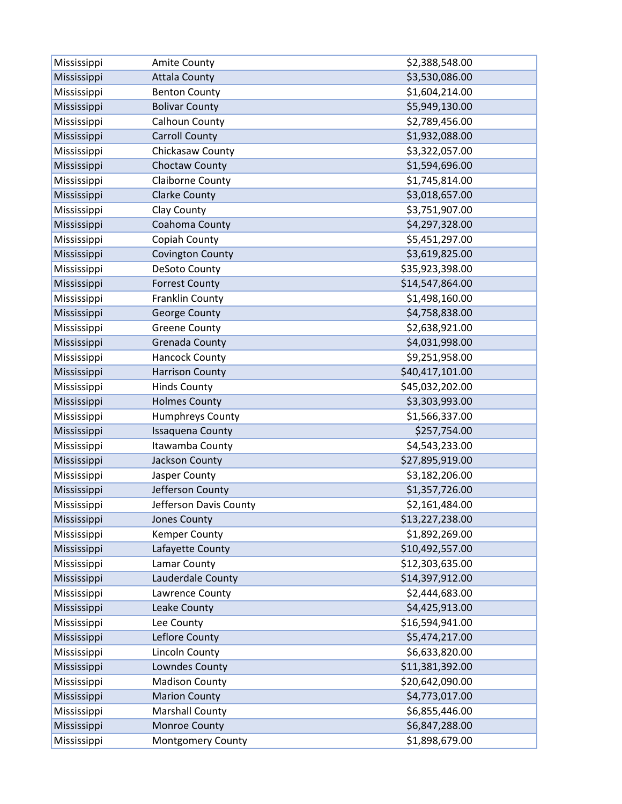| Mississippi | Amite County            | \$2,388,548.00  |
|-------------|-------------------------|-----------------|
| Mississippi | <b>Attala County</b>    | \$3,530,086.00  |
| Mississippi | <b>Benton County</b>    | \$1,604,214.00  |
| Mississippi | <b>Bolivar County</b>   | \$5,949,130.00  |
| Mississippi | Calhoun County          | \$2,789,456.00  |
| Mississippi | <b>Carroll County</b>   | \$1,932,088.00  |
| Mississippi | Chickasaw County        | \$3,322,057.00  |
| Mississippi | Choctaw County          | \$1,594,696.00  |
| Mississippi | Claiborne County        | \$1,745,814.00  |
| Mississippi | <b>Clarke County</b>    | \$3,018,657.00  |
| Mississippi | Clay County             | \$3,751,907.00  |
| Mississippi | Coahoma County          | \$4,297,328.00  |
| Mississippi | Copiah County           | \$5,451,297.00  |
| Mississippi | <b>Covington County</b> | \$3,619,825.00  |
| Mississippi | DeSoto County           | \$35,923,398.00 |
| Mississippi | <b>Forrest County</b>   | \$14,547,864.00 |
| Mississippi | <b>Franklin County</b>  | \$1,498,160.00  |
| Mississippi | George County           | \$4,758,838.00  |
| Mississippi | <b>Greene County</b>    | \$2,638,921.00  |
| Mississippi | Grenada County          | \$4,031,998.00  |
| Mississippi | <b>Hancock County</b>   | \$9,251,958.00  |
| Mississippi | <b>Harrison County</b>  | \$40,417,101.00 |
| Mississippi | <b>Hinds County</b>     | \$45,032,202.00 |
| Mississippi | <b>Holmes County</b>    | \$3,303,993.00  |
| Mississippi | Humphreys County        | \$1,566,337.00  |
| Mississippi | <b>Issaquena County</b> | \$257,754.00    |
| Mississippi | Itawamba County         | \$4,543,233.00  |
| Mississippi | Jackson County          | \$27,895,919.00 |
| Mississippi | Jasper County           | \$3,182,206.00  |
| Mississippi | Jefferson County        | \$1,357,726.00  |
| Mississippi | Jefferson Davis County  | \$2,161,484.00  |
| Mississippi | Jones County            | \$13,227,238.00 |
| Mississippi | <b>Kemper County</b>    | \$1,892,269.00  |
| Mississippi | Lafayette County        | \$10,492,557.00 |
| Mississippi | Lamar County            | \$12,303,635.00 |
| Mississippi | Lauderdale County       | \$14,397,912.00 |
| Mississippi | Lawrence County         | \$2,444,683.00  |
| Mississippi | Leake County            | \$4,425,913.00  |
| Mississippi | Lee County              | \$16,594,941.00 |
| Mississippi | Leflore County          | \$5,474,217.00  |
| Mississippi | Lincoln County          | \$6,633,820.00  |
| Mississippi | Lowndes County          | \$11,381,392.00 |
| Mississippi | <b>Madison County</b>   | \$20,642,090.00 |
| Mississippi | <b>Marion County</b>    | \$4,773,017.00  |
| Mississippi | <b>Marshall County</b>  | \$6,855,446.00  |
| Mississippi | Monroe County           | \$6,847,288.00  |
| Mississippi | Montgomery County       | \$1,898,679.00  |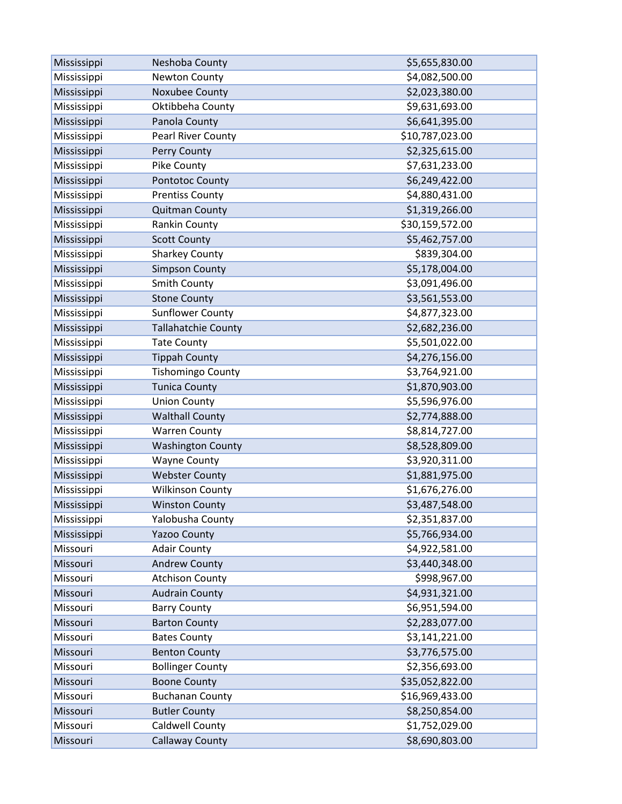| Mississippi | Neshoba County             | \$5,655,830.00  |
|-------------|----------------------------|-----------------|
| Mississippi | <b>Newton County</b>       | \$4,082,500.00  |
| Mississippi | Noxubee County             | \$2,023,380.00  |
| Mississippi | Oktibbeha County           | \$9,631,693.00  |
| Mississippi | Panola County              | \$6,641,395.00  |
| Mississippi | Pearl River County         | \$10,787,023.00 |
| Mississippi | Perry County               | \$2,325,615.00  |
| Mississippi | Pike County                | \$7,631,233.00  |
| Mississippi | Pontotoc County            | \$6,249,422.00  |
| Mississippi | <b>Prentiss County</b>     | \$4,880,431.00  |
| Mississippi | <b>Quitman County</b>      | \$1,319,266.00  |
| Mississippi | Rankin County              | \$30,159,572.00 |
| Mississippi | <b>Scott County</b>        | \$5,462,757.00  |
| Mississippi | <b>Sharkey County</b>      | \$839,304.00    |
| Mississippi | <b>Simpson County</b>      | \$5,178,004.00  |
| Mississippi | Smith County               | \$3,091,496.00  |
| Mississippi | <b>Stone County</b>        | \$3,561,553.00  |
| Mississippi | <b>Sunflower County</b>    | \$4,877,323.00  |
| Mississippi | <b>Tallahatchie County</b> | \$2,682,236.00  |
| Mississippi | <b>Tate County</b>         | \$5,501,022.00  |
| Mississippi | <b>Tippah County</b>       | \$4,276,156.00  |
| Mississippi | <b>Tishomingo County</b>   | \$3,764,921.00  |
| Mississippi | <b>Tunica County</b>       | \$1,870,903.00  |
| Mississippi | <b>Union County</b>        | \$5,596,976.00  |
| Mississippi | <b>Walthall County</b>     | \$2,774,888.00  |
| Mississippi | <b>Warren County</b>       | \$8,814,727.00  |
| Mississippi | <b>Washington County</b>   | \$8,528,809.00  |
| Mississippi | <b>Wayne County</b>        | \$3,920,311.00  |
| Mississippi | <b>Webster County</b>      | \$1,881,975.00  |
| Mississippi | <b>Wilkinson County</b>    | \$1,676,276.00  |
| Mississippi | <b>Winston County</b>      | \$3,487,548.00  |
| Mississippi | Yalobusha County           | \$2,351,837.00  |
| Mississippi | <b>Yazoo County</b>        | \$5,766,934.00  |
| Missouri    | <b>Adair County</b>        | \$4,922,581.00  |
| Missouri    | <b>Andrew County</b>       | \$3,440,348.00  |
| Missouri    | <b>Atchison County</b>     | \$998,967.00    |
| Missouri    | <b>Audrain County</b>      | \$4,931,321.00  |
| Missouri    | <b>Barry County</b>        | \$6,951,594.00  |
| Missouri    | <b>Barton County</b>       | \$2,283,077.00  |
| Missouri    | <b>Bates County</b>        | \$3,141,221.00  |
| Missouri    | <b>Benton County</b>       | \$3,776,575.00  |
| Missouri    | <b>Bollinger County</b>    | \$2,356,693.00  |
| Missouri    | <b>Boone County</b>        | \$35,052,822.00 |
| Missouri    | <b>Buchanan County</b>     | \$16,969,433.00 |
| Missouri    | <b>Butler County</b>       | \$8,250,854.00  |
| Missouri    | Caldwell County            | \$1,752,029.00  |
| Missouri    | <b>Callaway County</b>     | \$8,690,803.00  |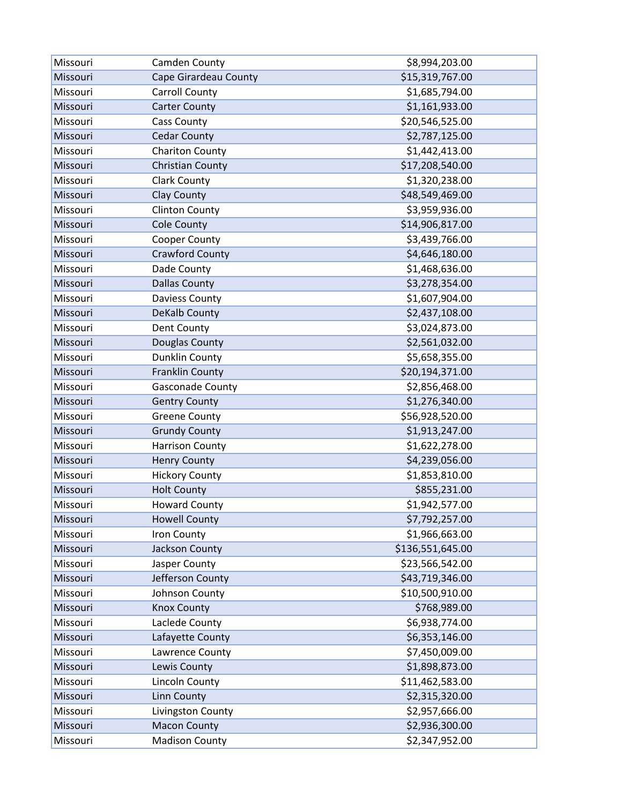| Missouri | Camden County           | \$8,994,203.00   |
|----------|-------------------------|------------------|
| Missouri | Cape Girardeau County   | \$15,319,767.00  |
| Missouri | <b>Carroll County</b>   | \$1,685,794.00   |
| Missouri | <b>Carter County</b>    | \$1,161,933.00   |
| Missouri | <b>Cass County</b>      | \$20,546,525.00  |
| Missouri | <b>Cedar County</b>     | \$2,787,125.00   |
| Missouri | <b>Chariton County</b>  | \$1,442,413.00   |
| Missouri | <b>Christian County</b> | \$17,208,540.00  |
| Missouri | <b>Clark County</b>     | \$1,320,238.00   |
| Missouri | <b>Clay County</b>      | \$48,549,469.00  |
| Missouri | <b>Clinton County</b>   | \$3,959,936.00   |
| Missouri | <b>Cole County</b>      | \$14,906,817.00  |
| Missouri | Cooper County           | \$3,439,766.00   |
| Missouri | <b>Crawford County</b>  | \$4,646,180.00   |
| Missouri | Dade County             | \$1,468,636.00   |
| Missouri | <b>Dallas County</b>    | \$3,278,354.00   |
| Missouri | <b>Daviess County</b>   | \$1,607,904.00   |
| Missouri | DeKalb County           | \$2,437,108.00   |
| Missouri | Dent County             | \$3,024,873.00   |
| Missouri | Douglas County          | \$2,561,032.00   |
| Missouri | <b>Dunklin County</b>   | \$5,658,355.00   |
| Missouri | <b>Franklin County</b>  | \$20,194,371.00  |
| Missouri | Gasconade County        | \$2,856,468.00   |
| Missouri | <b>Gentry County</b>    | \$1,276,340.00   |
| Missouri | <b>Greene County</b>    | \$56,928,520.00  |
| Missouri | <b>Grundy County</b>    | \$1,913,247.00   |
| Missouri | <b>Harrison County</b>  | \$1,622,278.00   |
| Missouri | <b>Henry County</b>     | \$4,239,056.00   |
| Missouri | <b>Hickory County</b>   | \$1,853,810.00   |
| Missouri | <b>Holt County</b>      | \$855,231.00     |
| Missouri | <b>Howard County</b>    | \$1,942,577.00   |
| Missouri | <b>Howell County</b>    | \$7,792,257.00   |
| Missouri | Iron County             | \$1,966,663.00   |
| Missouri | Jackson County          | \$136,551,645.00 |
| Missouri | Jasper County           | \$23,566,542.00  |
| Missouri | Jefferson County        | \$43,719,346.00  |
| Missouri | Johnson County          | \$10,500,910.00  |
| Missouri | <b>Knox County</b>      | \$768,989.00     |
| Missouri | Laclede County          | \$6,938,774.00   |
| Missouri | Lafayette County        | \$6,353,146.00   |
| Missouri | Lawrence County         | \$7,450,009.00   |
| Missouri | Lewis County            | \$1,898,873.00   |
| Missouri | <b>Lincoln County</b>   | \$11,462,583.00  |
| Missouri | Linn County             | \$2,315,320.00   |
| Missouri | Livingston County       | \$2,957,666.00   |
| Missouri | <b>Macon County</b>     | \$2,936,300.00   |
| Missouri | <b>Madison County</b>   | \$2,347,952.00   |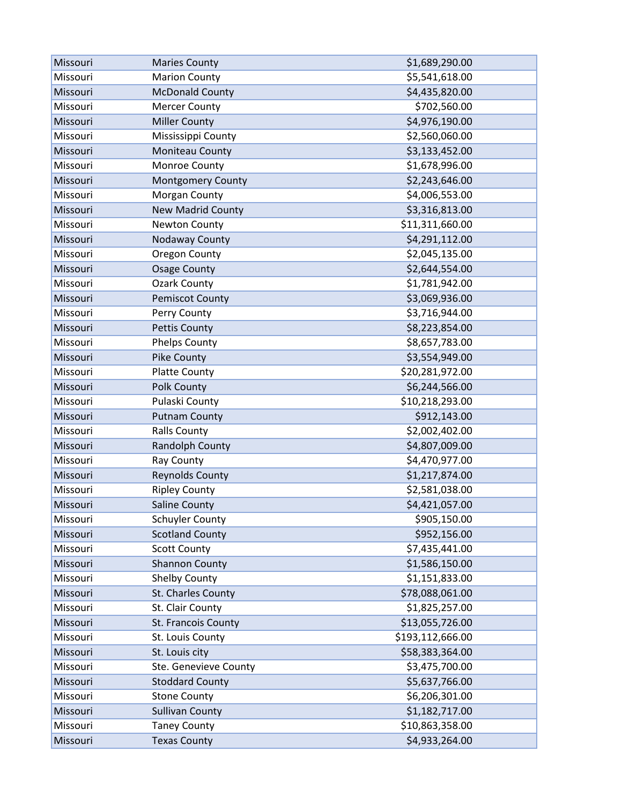| Missouri | <b>Maries County</b>     | \$1,689,290.00   |
|----------|--------------------------|------------------|
| Missouri | <b>Marion County</b>     | \$5,541,618.00   |
| Missouri | <b>McDonald County</b>   | \$4,435,820.00   |
| Missouri | <b>Mercer County</b>     | \$702,560.00     |
| Missouri | <b>Miller County</b>     | \$4,976,190.00   |
| Missouri | Mississippi County       | \$2,560,060.00   |
| Missouri | Moniteau County          | \$3,133,452.00   |
| Missouri | Monroe County            | \$1,678,996.00   |
| Missouri | <b>Montgomery County</b> | \$2,243,646.00   |
| Missouri | Morgan County            | \$4,006,553.00   |
| Missouri | <b>New Madrid County</b> | \$3,316,813.00   |
| Missouri | Newton County            | \$11,311,660.00  |
| Missouri | Nodaway County           | \$4,291,112.00   |
| Missouri | <b>Oregon County</b>     | \$2,045,135.00   |
| Missouri | <b>Osage County</b>      | \$2,644,554.00   |
| Missouri | <b>Ozark County</b>      | \$1,781,942.00   |
| Missouri | <b>Pemiscot County</b>   | \$3,069,936.00   |
| Missouri | Perry County             | \$3,716,944.00   |
| Missouri | <b>Pettis County</b>     | \$8,223,854.00   |
| Missouri | Phelps County            | \$8,657,783.00   |
| Missouri | Pike County              | \$3,554,949.00   |
| Missouri | <b>Platte County</b>     | \$20,281,972.00  |
| Missouri | Polk County              | \$6,244,566.00   |
| Missouri | Pulaski County           | \$10,218,293.00  |
| Missouri | <b>Putnam County</b>     | \$912,143.00     |
| Missouri | <b>Ralls County</b>      | \$2,002,402.00   |
| Missouri | Randolph County          | \$4,807,009.00   |
| Missouri | Ray County               | \$4,470,977.00   |
| Missouri | <b>Reynolds County</b>   | \$1,217,874.00   |
| Missouri | <b>Ripley County</b>     | \$2,581,038.00   |
| Missouri | <b>Saline County</b>     | \$4,421,057.00   |
| Missouri | <b>Schuyler County</b>   | \$905,150.00     |
| Missouri | <b>Scotland County</b>   | \$952,156.00     |
| Missouri | <b>Scott County</b>      | \$7,435,441.00   |
| Missouri | <b>Shannon County</b>    | \$1,586,150.00   |
| Missouri | <b>Shelby County</b>     | \$1,151,833.00   |
| Missouri | St. Charles County       | \$78,088,061.00  |
| Missouri | St. Clair County         | \$1,825,257.00   |
| Missouri | St. Francois County      | \$13,055,726.00  |
| Missouri | St. Louis County         | \$193,112,666.00 |
| Missouri | St. Louis city           | \$58,383,364.00  |
| Missouri | Ste. Genevieve County    | \$3,475,700.00   |
| Missouri | <b>Stoddard County</b>   | \$5,637,766.00   |
| Missouri | <b>Stone County</b>      | \$6,206,301.00   |
| Missouri | <b>Sullivan County</b>   | \$1,182,717.00   |
| Missouri | <b>Taney County</b>      | \$10,863,358.00  |
| Missouri | <b>Texas County</b>      | \$4,933,264.00   |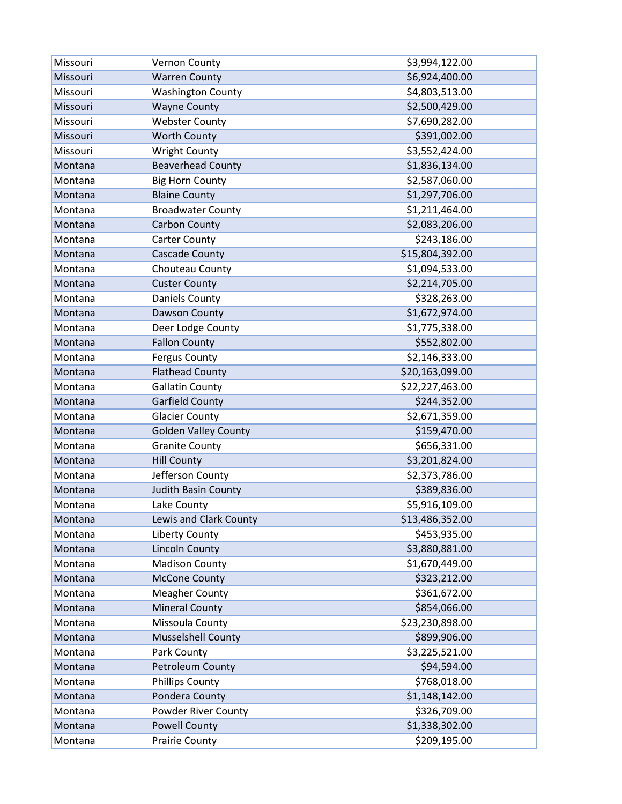| Missouri | Vernon County               | \$3,994,122.00  |
|----------|-----------------------------|-----------------|
| Missouri | <b>Warren County</b>        | \$6,924,400.00  |
| Missouri | <b>Washington County</b>    | \$4,803,513.00  |
| Missouri | <b>Wayne County</b>         | \$2,500,429.00  |
| Missouri | <b>Webster County</b>       | \$7,690,282.00  |
| Missouri | <b>Worth County</b>         | \$391,002.00    |
| Missouri | <b>Wright County</b>        | \$3,552,424.00  |
| Montana  | <b>Beaverhead County</b>    | \$1,836,134.00  |
| Montana  | <b>Big Horn County</b>      | \$2,587,060.00  |
| Montana  | <b>Blaine County</b>        | \$1,297,706.00  |
| Montana  | <b>Broadwater County</b>    | \$1,211,464.00  |
| Montana  | <b>Carbon County</b>        | \$2,083,206.00  |
| Montana  | <b>Carter County</b>        | \$243,186.00    |
| Montana  | <b>Cascade County</b>       | \$15,804,392.00 |
| Montana  | Chouteau County             | \$1,094,533.00  |
| Montana  | <b>Custer County</b>        | \$2,214,705.00  |
| Montana  | <b>Daniels County</b>       | \$328,263.00    |
| Montana  | Dawson County               | \$1,672,974.00  |
| Montana  | Deer Lodge County           | \$1,775,338.00  |
| Montana  | <b>Fallon County</b>        | \$552,802.00    |
| Montana  | <b>Fergus County</b>        | \$2,146,333.00  |
| Montana  | <b>Flathead County</b>      | \$20,163,099.00 |
| Montana  | <b>Gallatin County</b>      | \$22,227,463.00 |
| Montana  | <b>Garfield County</b>      | \$244,352.00    |
| Montana  | <b>Glacier County</b>       | \$2,671,359.00  |
| Montana  | <b>Golden Valley County</b> | \$159,470.00    |
| Montana  | <b>Granite County</b>       | \$656,331.00    |
| Montana  | <b>Hill County</b>          | \$3,201,824.00  |
| Montana  | Jefferson County            | \$2,373,786.00  |
| Montana  | <b>Judith Basin County</b>  | \$389,836.00    |
| Montana  | Lake County                 | \$5,916,109.00  |
| Montana  | Lewis and Clark County      | \$13,486,352.00 |
| Montana  | <b>Liberty County</b>       | \$453,935.00    |
| Montana  | <b>Lincoln County</b>       | \$3,880,881.00  |
| Montana  | <b>Madison County</b>       | \$1,670,449.00  |
| Montana  | <b>McCone County</b>        | \$323,212.00    |
| Montana  | <b>Meagher County</b>       | \$361,672.00    |
| Montana  | <b>Mineral County</b>       | \$854,066.00    |
| Montana  | Missoula County             | \$23,230,898.00 |
| Montana  | <b>Musselshell County</b>   | \$899,906.00    |
| Montana  | Park County                 | \$3,225,521.00  |
| Montana  | Petroleum County            | \$94,594.00     |
| Montana  | <b>Phillips County</b>      | \$768,018.00    |
| Montana  | Pondera County              | \$1,148,142.00  |
| Montana  | Powder River County         | \$326,709.00    |
| Montana  | <b>Powell County</b>        | \$1,338,302.00  |
| Montana  | <b>Prairie County</b>       | \$209,195.00    |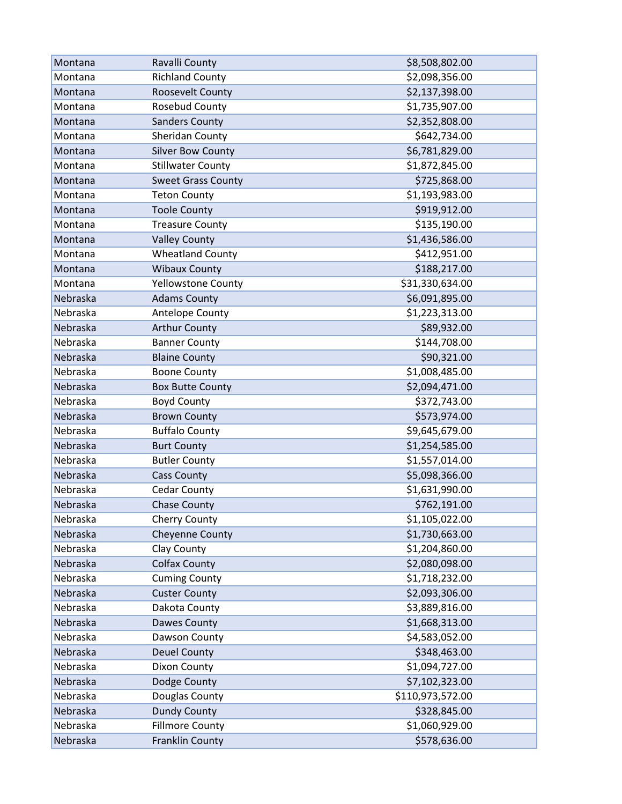| Montana  | Ravalli County            | \$8,508,802.00   |
|----------|---------------------------|------------------|
| Montana  | <b>Richland County</b>    | \$2,098,356.00   |
| Montana  | Roosevelt County          | \$2,137,398.00   |
| Montana  | Rosebud County            | \$1,735,907.00   |
| Montana  | <b>Sanders County</b>     | \$2,352,808.00   |
| Montana  | Sheridan County           | \$642,734.00     |
| Montana  | <b>Silver Bow County</b>  | \$6,781,829.00   |
| Montana  | <b>Stillwater County</b>  | \$1,872,845.00   |
| Montana  | <b>Sweet Grass County</b> | \$725,868.00     |
| Montana  | <b>Teton County</b>       | \$1,193,983.00   |
| Montana  | <b>Toole County</b>       | \$919,912.00     |
| Montana  | <b>Treasure County</b>    | \$135,190.00     |
| Montana  | <b>Valley County</b>      | \$1,436,586.00   |
| Montana  | <b>Wheatland County</b>   | \$412,951.00     |
| Montana  | <b>Wibaux County</b>      | \$188,217.00     |
| Montana  | Yellowstone County        | \$31,330,634.00  |
| Nebraska | <b>Adams County</b>       | \$6,091,895.00   |
| Nebraska | Antelope County           | \$1,223,313.00   |
| Nebraska | <b>Arthur County</b>      | \$89,932.00      |
| Nebraska | <b>Banner County</b>      | \$144,708.00     |
| Nebraska | <b>Blaine County</b>      | \$90,321.00      |
| Nebraska | <b>Boone County</b>       | \$1,008,485.00   |
| Nebraska | <b>Box Butte County</b>   | \$2,094,471.00   |
| Nebraska | <b>Boyd County</b>        | \$372,743.00     |
| Nebraska | <b>Brown County</b>       | \$573,974.00     |
| Nebraska | <b>Buffalo County</b>     | \$9,645,679.00   |
| Nebraska | <b>Burt County</b>        | \$1,254,585.00   |
| Nebraska | <b>Butler County</b>      | \$1,557,014.00   |
| Nebraska | <b>Cass County</b>        | \$5,098,366.00   |
| Nebraska | <b>Cedar County</b>       | \$1,631,990.00   |
| Nebraska | <b>Chase County</b>       | \$762,191.00     |
| Nebraska | Cherry County             | \$1,105,022.00   |
| Nebraska | <b>Cheyenne County</b>    | \$1,730,663.00   |
| Nebraska | Clay County               | \$1,204,860.00   |
| Nebraska | <b>Colfax County</b>      | \$2,080,098.00   |
| Nebraska | <b>Cuming County</b>      | \$1,718,232.00   |
| Nebraska | <b>Custer County</b>      | \$2,093,306.00   |
| Nebraska | Dakota County             | \$3,889,816.00   |
| Nebraska | Dawes County              | \$1,668,313.00   |
| Nebraska | Dawson County             | \$4,583,052.00   |
| Nebraska | <b>Deuel County</b>       | \$348,463.00     |
| Nebraska | Dixon County              | \$1,094,727.00   |
| Nebraska | Dodge County              | \$7,102,323.00   |
| Nebraska | Douglas County            | \$110,973,572.00 |
| Nebraska | <b>Dundy County</b>       | \$328,845.00     |
| Nebraska | <b>Fillmore County</b>    | \$1,060,929.00   |
| Nebraska | Franklin County           | \$578,636.00     |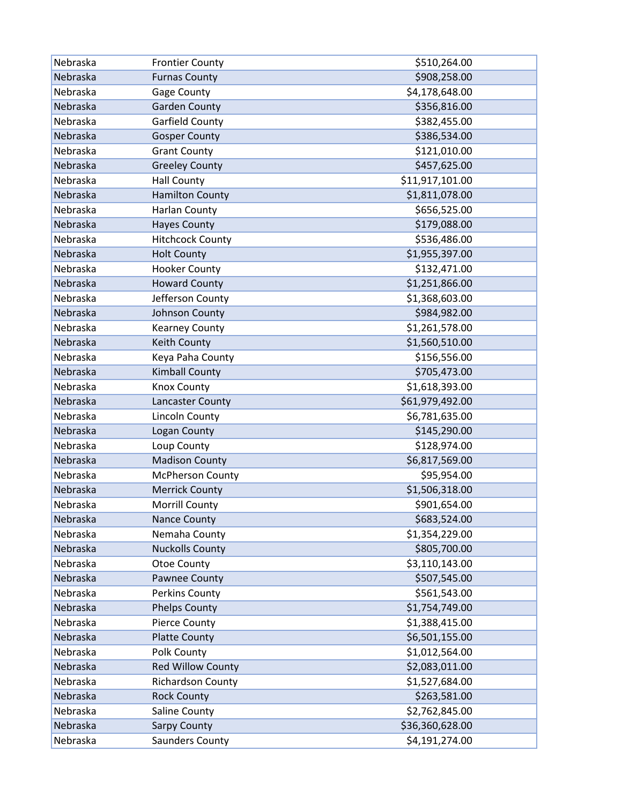| Nebraska | <b>Frontier County</b>   | \$510,264.00    |
|----------|--------------------------|-----------------|
| Nebraska | <b>Furnas County</b>     | \$908,258.00    |
| Nebraska | <b>Gage County</b>       | \$4,178,648.00  |
| Nebraska | <b>Garden County</b>     | \$356,816.00    |
| Nebraska | Garfield County          | \$382,455.00    |
| Nebraska | <b>Gosper County</b>     | \$386,534.00    |
| Nebraska | <b>Grant County</b>      | \$121,010.00    |
| Nebraska | <b>Greeley County</b>    | \$457,625.00    |
| Nebraska | <b>Hall County</b>       | \$11,917,101.00 |
| Nebraska | <b>Hamilton County</b>   | \$1,811,078.00  |
| Nebraska | <b>Harlan County</b>     | \$656,525.00    |
| Nebraska | <b>Hayes County</b>      | \$179,088.00    |
| Nebraska | <b>Hitchcock County</b>  | \$536,486.00    |
| Nebraska | <b>Holt County</b>       | \$1,955,397.00  |
| Nebraska | <b>Hooker County</b>     | \$132,471.00    |
| Nebraska | <b>Howard County</b>     | \$1,251,866.00  |
| Nebraska | Jefferson County         | \$1,368,603.00  |
| Nebraska | Johnson County           | \$984,982.00    |
| Nebraska | <b>Kearney County</b>    | \$1,261,578.00  |
| Nebraska | Keith County             | \$1,560,510.00  |
| Nebraska | Keya Paha County         | \$156,556.00    |
| Nebraska | <b>Kimball County</b>    | \$705,473.00    |
| Nebraska | <b>Knox County</b>       | \$1,618,393.00  |
| Nebraska | Lancaster County         | \$61,979,492.00 |
| Nebraska | <b>Lincoln County</b>    | \$6,781,635.00  |
| Nebraska | Logan County             | \$145,290.00    |
| Nebraska | Loup County              | \$128,974.00    |
| Nebraska | <b>Madison County</b>    | \$6,817,569.00  |
| Nebraska | <b>McPherson County</b>  | \$95,954.00     |
| Nebraska | <b>Merrick County</b>    | \$1,506,318.00  |
| Nebraska | <b>Morrill County</b>    | \$901,654.00    |
| Nebraska | <b>Nance County</b>      | \$683,524.00    |
| Nebraska | Nemaha County            | \$1,354,229.00  |
| Nebraska | <b>Nuckolls County</b>   | \$805,700.00    |
| Nebraska | Otoe County              | \$3,110,143.00  |
| Nebraska | Pawnee County            | \$507,545.00    |
| Nebraska | Perkins County           | \$561,543.00    |
| Nebraska | <b>Phelps County</b>     | \$1,754,749.00  |
| Nebraska | <b>Pierce County</b>     | \$1,388,415.00  |
| Nebraska | <b>Platte County</b>     | \$6,501,155.00  |
| Nebraska | Polk County              | \$1,012,564.00  |
| Nebraska | <b>Red Willow County</b> | \$2,083,011.00  |
| Nebraska | <b>Richardson County</b> | \$1,527,684.00  |
| Nebraska | <b>Rock County</b>       | \$263,581.00    |
| Nebraska | Saline County            | \$2,762,845.00  |
| Nebraska | <b>Sarpy County</b>      | \$36,360,628.00 |
| Nebraska | Saunders County          | \$4,191,274.00  |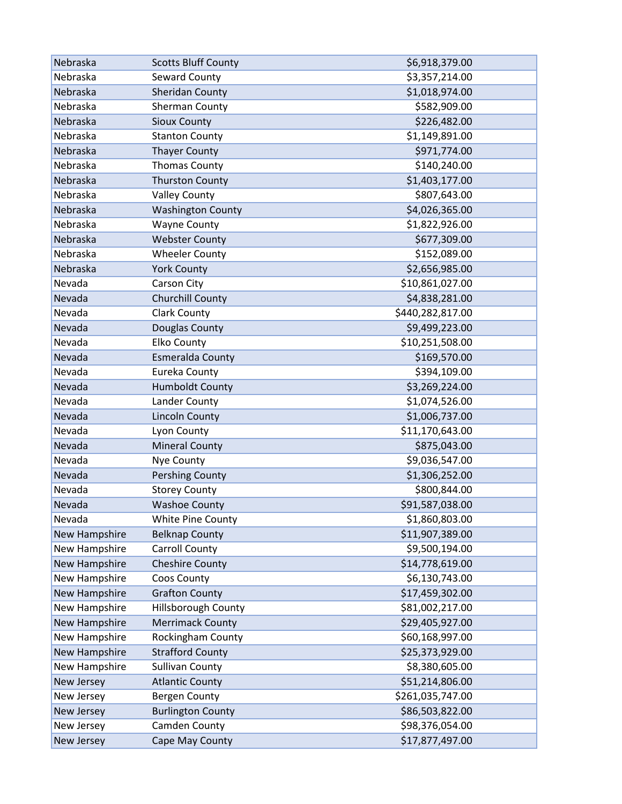| Nebraska             | <b>Scotts Bluff County</b> | \$6,918,379.00   |
|----------------------|----------------------------|------------------|
| Nebraska             | Seward County              | \$3,357,214.00   |
| Nebraska             | Sheridan County            | \$1,018,974.00   |
| Nebraska             | Sherman County             | \$582,909.00     |
| Nebraska             | <b>Sioux County</b>        | \$226,482.00     |
| Nebraska             | <b>Stanton County</b>      | \$1,149,891.00   |
| Nebraska             | <b>Thayer County</b>       | \$971,774.00     |
| Nebraska             | <b>Thomas County</b>       | \$140,240.00     |
| Nebraska             | <b>Thurston County</b>     | \$1,403,177.00   |
| Nebraska             | <b>Valley County</b>       | \$807,643.00     |
| Nebraska             | <b>Washington County</b>   | \$4,026,365.00   |
| Nebraska             | <b>Wayne County</b>        | \$1,822,926.00   |
| Nebraska             | <b>Webster County</b>      | \$677,309.00     |
| Nebraska             | <b>Wheeler County</b>      | \$152,089.00     |
| Nebraska             | <b>York County</b>         | \$2,656,985.00   |
| Nevada               | Carson City                | \$10,861,027.00  |
| Nevada               | Churchill County           | \$4,838,281.00   |
| Nevada               | <b>Clark County</b>        | \$440,282,817.00 |
| Nevada               | Douglas County             | \$9,499,223.00   |
| Nevada               | <b>Elko County</b>         | \$10,251,508.00  |
| Nevada               | <b>Esmeralda County</b>    | \$169,570.00     |
| Nevada               | Eureka County              | \$394,109.00     |
| Nevada               | <b>Humboldt County</b>     | \$3,269,224.00   |
| Nevada               | Lander County              | \$1,074,526.00   |
| Nevada               | <b>Lincoln County</b>      | \$1,006,737.00   |
| Nevada               | Lyon County                | \$11,170,643.00  |
| Nevada               | <b>Mineral County</b>      | \$875,043.00     |
| Nevada               | Nye County                 | \$9,036,547.00   |
| Nevada               | <b>Pershing County</b>     | \$1,306,252.00   |
| Nevada               | <b>Storey County</b>       | \$800,844.00     |
| Nevada               | <b>Washoe County</b>       | \$91,587,038.00  |
| Nevada               | White Pine County          | \$1,860,803.00   |
| New Hampshire        | <b>Belknap County</b>      | \$11,907,389.00  |
| New Hampshire        | <b>Carroll County</b>      | \$9,500,194.00   |
| <b>New Hampshire</b> | <b>Cheshire County</b>     | \$14,778,619.00  |
| New Hampshire        | Coos County                | \$6,130,743.00   |
| New Hampshire        | <b>Grafton County</b>      | \$17,459,302.00  |
| New Hampshire        | Hillsborough County        | \$81,002,217.00  |
| <b>New Hampshire</b> | <b>Merrimack County</b>    | \$29,405,927.00  |
| New Hampshire        | Rockingham County          | \$60,168,997.00  |
| New Hampshire        | <b>Strafford County</b>    | \$25,373,929.00  |
| New Hampshire        | <b>Sullivan County</b>     | \$8,380,605.00   |
| New Jersey           | <b>Atlantic County</b>     | \$51,214,806.00  |
| New Jersey           | <b>Bergen County</b>       | \$261,035,747.00 |
| New Jersey           | <b>Burlington County</b>   | \$86,503,822.00  |
| New Jersey           | Camden County              | \$98,376,054.00  |
| New Jersey           | Cape May County            | \$17,877,497.00  |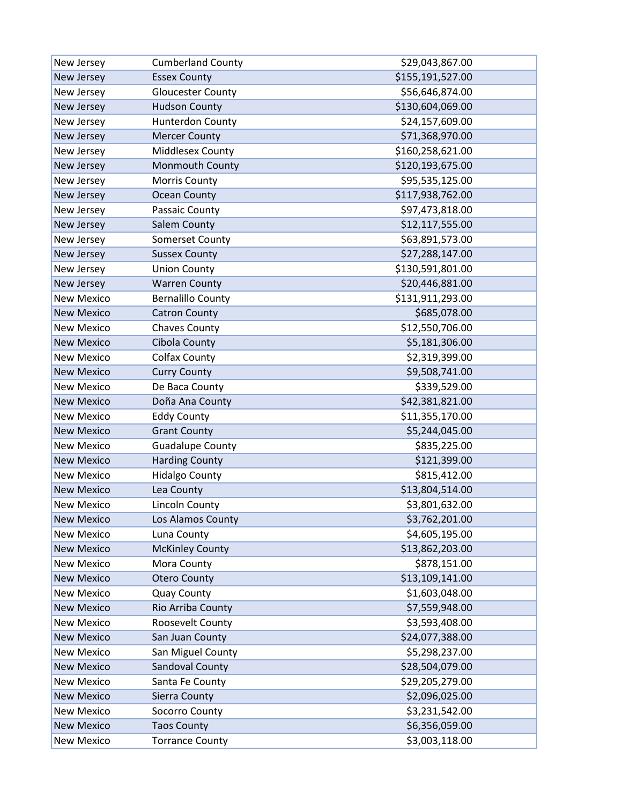| New Jersey        | <b>Cumberland County</b> | \$29,043,867.00  |
|-------------------|--------------------------|------------------|
| New Jersey        | <b>Essex County</b>      | \$155,191,527.00 |
| New Jersey        | <b>Gloucester County</b> | \$56,646,874.00  |
| New Jersey        | <b>Hudson County</b>     | \$130,604,069.00 |
| New Jersey        | <b>Hunterdon County</b>  | \$24,157,609.00  |
| New Jersey        | <b>Mercer County</b>     | \$71,368,970.00  |
| New Jersey        | Middlesex County         | \$160,258,621.00 |
| New Jersey        | Monmouth County          | \$120,193,675.00 |
| New Jersey        | Morris County            | \$95,535,125.00  |
| New Jersey        | <b>Ocean County</b>      | \$117,938,762.00 |
| New Jersey        | Passaic County           | \$97,473,818.00  |
| New Jersey        | Salem County             | \$12,117,555.00  |
| New Jersey        | Somerset County          | \$63,891,573.00  |
| New Jersey        | <b>Sussex County</b>     | \$27,288,147.00  |
| New Jersey        | <b>Union County</b>      | \$130,591,801.00 |
| New Jersey        | <b>Warren County</b>     | \$20,446,881.00  |
| <b>New Mexico</b> | <b>Bernalillo County</b> | \$131,911,293.00 |
| <b>New Mexico</b> | <b>Catron County</b>     | \$685,078.00     |
| <b>New Mexico</b> | <b>Chaves County</b>     | \$12,550,706.00  |
| <b>New Mexico</b> | Cibola County            | \$5,181,306.00   |
| <b>New Mexico</b> | <b>Colfax County</b>     | \$2,319,399.00   |
| <b>New Mexico</b> | <b>Curry County</b>      | \$9,508,741.00   |
| <b>New Mexico</b> | De Baca County           | \$339,529.00     |
| <b>New Mexico</b> | Doña Ana County          | \$42,381,821.00  |
| <b>New Mexico</b> | <b>Eddy County</b>       | \$11,355,170.00  |
| <b>New Mexico</b> | <b>Grant County</b>      | \$5,244,045.00   |
| <b>New Mexico</b> | <b>Guadalupe County</b>  | \$835,225.00     |
| <b>New Mexico</b> | <b>Harding County</b>    | \$121,399.00     |
| <b>New Mexico</b> | <b>Hidalgo County</b>    | \$815,412.00     |
| <b>New Mexico</b> | Lea County               | \$13,804,514.00  |
| <b>New Mexico</b> | <b>Lincoln County</b>    | \$3,801,632.00   |
| <b>New Mexico</b> | Los Alamos County        | \$3,762,201.00   |
| <b>New Mexico</b> | Luna County              | \$4,605,195.00   |
| <b>New Mexico</b> | <b>McKinley County</b>   | \$13,862,203.00  |
| <b>New Mexico</b> | Mora County              | \$878,151.00     |
| <b>New Mexico</b> | <b>Otero County</b>      | \$13,109,141.00  |
| <b>New Mexico</b> | <b>Quay County</b>       | \$1,603,048.00   |
| <b>New Mexico</b> | Rio Arriba County        | \$7,559,948.00   |
| <b>New Mexico</b> | Roosevelt County         | \$3,593,408.00   |
| <b>New Mexico</b> | San Juan County          | \$24,077,388.00  |
| <b>New Mexico</b> | San Miguel County        | \$5,298,237.00   |
| <b>New Mexico</b> | Sandoval County          | \$28,504,079.00  |
| <b>New Mexico</b> | Santa Fe County          | \$29,205,279.00  |
| <b>New Mexico</b> | Sierra County            | \$2,096,025.00   |
| <b>New Mexico</b> | Socorro County           | \$3,231,542.00   |
| <b>New Mexico</b> | <b>Taos County</b>       | \$6,356,059.00   |
| <b>New Mexico</b> | <b>Torrance County</b>   | \$3,003,118.00   |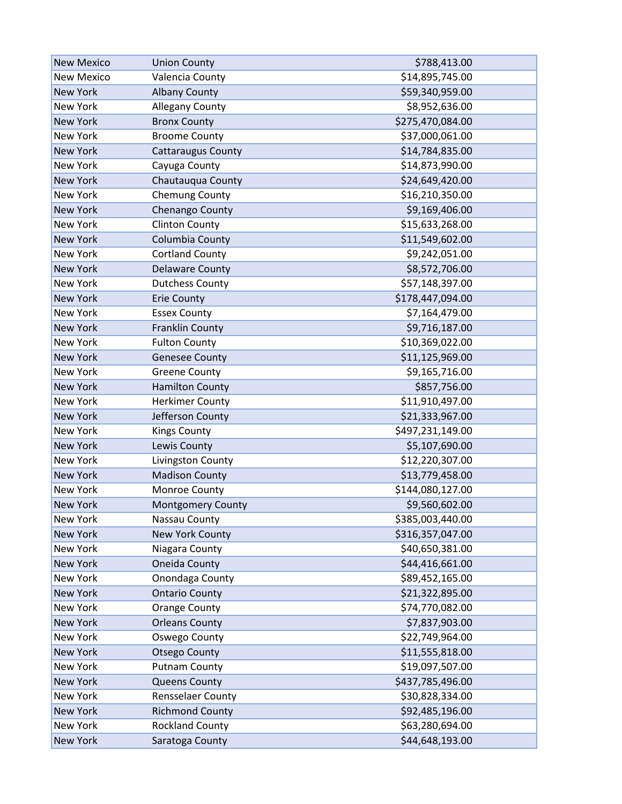| <b>New Mexico</b> | <b>Union County</b>       | \$788,413.00     |
|-------------------|---------------------------|------------------|
| <b>New Mexico</b> | Valencia County           | \$14,895,745.00  |
| <b>New York</b>   | <b>Albany County</b>      | \$59,340,959.00  |
| <b>New York</b>   | Allegany County           | \$8,952,636.00   |
| <b>New York</b>   | <b>Bronx County</b>       | \$275,470,084.00 |
| New York          | <b>Broome County</b>      | \$37,000,061.00  |
| <b>New York</b>   | <b>Cattaraugus County</b> | \$14,784,835.00  |
| <b>New York</b>   | Cayuga County             | \$14,873,990.00  |
| <b>New York</b>   | Chautauqua County         | \$24,649,420.00  |
| <b>New York</b>   | Chemung County            | \$16,210,350.00  |
| <b>New York</b>   | Chenango County           | \$9,169,406.00   |
| <b>New York</b>   | <b>Clinton County</b>     | \$15,633,268.00  |
| <b>New York</b>   | Columbia County           | \$11,549,602.00  |
| <b>New York</b>   | <b>Cortland County</b>    | \$9,242,051.00   |
| <b>New York</b>   | <b>Delaware County</b>    | \$8,572,706.00   |
| <b>New York</b>   | <b>Dutchess County</b>    | \$57,148,397.00  |
| <b>New York</b>   | <b>Erie County</b>        | \$178,447,094.00 |
| <b>New York</b>   | <b>Essex County</b>       | \$7,164,479.00   |
| <b>New York</b>   | <b>Franklin County</b>    | \$9,716,187.00   |
| <b>New York</b>   | <b>Fulton County</b>      | \$10,369,022.00  |
| <b>New York</b>   | <b>Genesee County</b>     | \$11,125,969.00  |
| <b>New York</b>   | <b>Greene County</b>      | \$9,165,716.00   |
| <b>New York</b>   | <b>Hamilton County</b>    | \$857,756.00     |
| New York          | <b>Herkimer County</b>    | \$11,910,497.00  |
| <b>New York</b>   | Jefferson County          | \$21,333,967.00  |
| <b>New York</b>   | <b>Kings County</b>       | \$497,231,149.00 |
| <b>New York</b>   | Lewis County              | \$5,107,690.00   |
| <b>New York</b>   | Livingston County         | \$12,220,307.00  |
| <b>New York</b>   | <b>Madison County</b>     | \$13,779,458.00  |
| <b>New York</b>   | Monroe County             | \$144,080,127.00 |
| <b>New York</b>   | <b>Montgomery County</b>  | \$9,560,602.00   |
| New York          | Nassau County             | \$385,003,440.00 |
| <b>New York</b>   | New York County           | \$316,357,047.00 |
| <b>New York</b>   | Niagara County            | \$40,650,381.00  |
| <b>New York</b>   | Oneida County             | \$44,416,661.00  |
| <b>New York</b>   | Onondaga County           | \$89,452,165.00  |
| <b>New York</b>   | <b>Ontario County</b>     | \$21,322,895.00  |
| New York          | <b>Orange County</b>      | \$74,770,082.00  |
| <b>New York</b>   | <b>Orleans County</b>     | \$7,837,903.00   |
| New York          | <b>Oswego County</b>      | \$22,749,964.00  |
| <b>New York</b>   | <b>Otsego County</b>      | \$11,555,818.00  |
| New York          | <b>Putnam County</b>      | \$19,097,507.00  |
| <b>New York</b>   | <b>Queens County</b>      | \$437,785,496.00 |
| New York          | Rensselaer County         | \$30,828,334.00  |
| <b>New York</b>   | <b>Richmond County</b>    | \$92,485,196.00  |
| New York          | <b>Rockland County</b>    | \$63,280,694.00  |
| <b>New York</b>   | Saratoga County           | \$44,648,193.00  |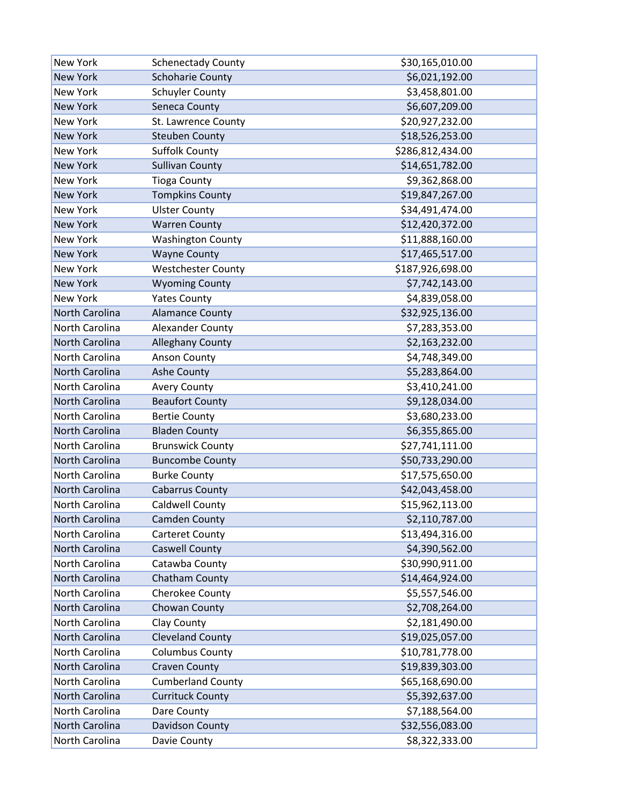| New York              | <b>Schenectady County</b> | \$30,165,010.00  |
|-----------------------|---------------------------|------------------|
| <b>New York</b>       | <b>Schoharie County</b>   | \$6,021,192.00   |
| <b>New York</b>       | <b>Schuyler County</b>    | \$3,458,801.00   |
| <b>New York</b>       | Seneca County             | \$6,607,209.00   |
| <b>New York</b>       | St. Lawrence County       | \$20,927,232.00  |
| <b>New York</b>       | <b>Steuben County</b>     | \$18,526,253.00  |
| <b>New York</b>       | <b>Suffolk County</b>     | \$286,812,434.00 |
| <b>New York</b>       | <b>Sullivan County</b>    | \$14,651,782.00  |
| <b>New York</b>       | <b>Tioga County</b>       | \$9,362,868.00   |
| <b>New York</b>       | <b>Tompkins County</b>    | \$19,847,267.00  |
| New York              | <b>Ulster County</b>      | \$34,491,474.00  |
| <b>New York</b>       | <b>Warren County</b>      | \$12,420,372.00  |
| New York              | <b>Washington County</b>  | \$11,888,160.00  |
| <b>New York</b>       | <b>Wayne County</b>       | \$17,465,517.00  |
| <b>New York</b>       | <b>Westchester County</b> | \$187,926,698.00 |
| <b>New York</b>       | <b>Wyoming County</b>     | \$7,742,143.00   |
| New York              | <b>Yates County</b>       | \$4,839,058.00   |
| <b>North Carolina</b> | <b>Alamance County</b>    | \$32,925,136.00  |
| North Carolina        | Alexander County          | \$7,283,353.00   |
| <b>North Carolina</b> | <b>Alleghany County</b>   | \$2,163,232.00   |
| North Carolina        | <b>Anson County</b>       | \$4,748,349.00   |
| North Carolina        | Ashe County               | \$5,283,864.00   |
| North Carolina        | <b>Avery County</b>       | \$3,410,241.00   |
| North Carolina        | <b>Beaufort County</b>    | \$9,128,034.00   |
| North Carolina        | <b>Bertie County</b>      | \$3,680,233.00   |
| North Carolina        | <b>Bladen County</b>      | \$6,355,865.00   |
| North Carolina        | <b>Brunswick County</b>   | \$27,741,111.00  |
| North Carolina        | <b>Buncombe County</b>    | \$50,733,290.00  |
| North Carolina        | <b>Burke County</b>       | \$17,575,650.00  |
| North Carolina        | <b>Cabarrus County</b>    | \$42,043,458.00  |
| North Carolina        | <b>Caldwell County</b>    | \$15,962,113.00  |
| North Carolina        | <b>Camden County</b>      | \$2,110,787.00   |
| North Carolina        | <b>Carteret County</b>    | \$13,494,316.00  |
| North Carolina        | <b>Caswell County</b>     | \$4,390,562.00   |
| North Carolina        | Catawba County            | \$30,990,911.00  |
| North Carolina        | Chatham County            | \$14,464,924.00  |
| North Carolina        | Cherokee County           | \$5,557,546.00   |
| North Carolina        | Chowan County             | \$2,708,264.00   |
| North Carolina        | Clay County               | \$2,181,490.00   |
| North Carolina        | <b>Cleveland County</b>   | \$19,025,057.00  |
| North Carolina        | <b>Columbus County</b>    | \$10,781,778.00  |
| North Carolina        | <b>Craven County</b>      | \$19,839,303.00  |
| North Carolina        | <b>Cumberland County</b>  | \$65,168,690.00  |
| North Carolina        | <b>Currituck County</b>   | \$5,392,637.00   |
| North Carolina        | Dare County               | \$7,188,564.00   |
| North Carolina        | Davidson County           | \$32,556,083.00  |
| North Carolina        | Davie County              | \$8,322,333.00   |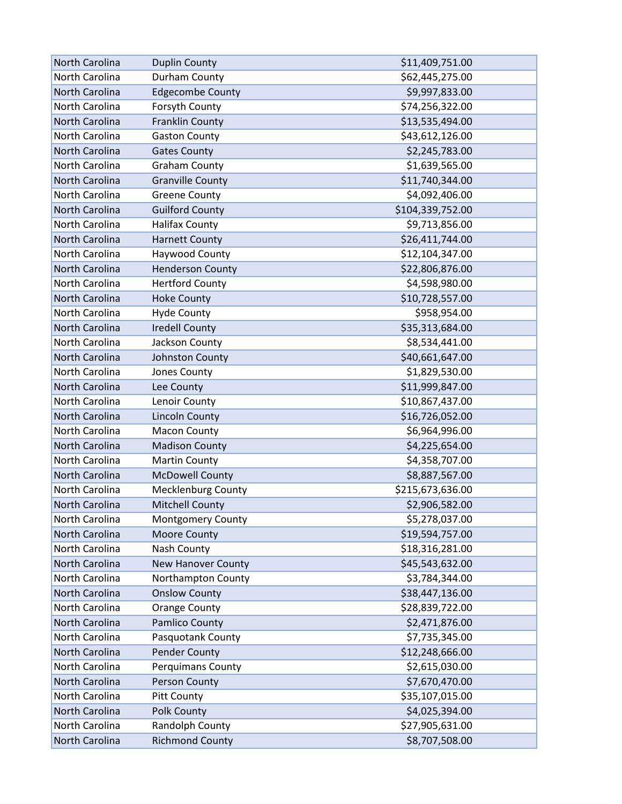| <b>North Carolina</b> | <b>Duplin County</b>      | \$11,409,751.00  |
|-----------------------|---------------------------|------------------|
| North Carolina        | Durham County             | \$62,445,275.00  |
| North Carolina        | <b>Edgecombe County</b>   | \$9,997,833.00   |
| North Carolina        | Forsyth County            | \$74,256,322.00  |
| <b>North Carolina</b> | <b>Franklin County</b>    | \$13,535,494.00  |
| North Carolina        | <b>Gaston County</b>      | \$43,612,126.00  |
| North Carolina        | <b>Gates County</b>       | \$2,245,783.00   |
| North Carolina        | <b>Graham County</b>      | \$1,639,565.00   |
| North Carolina        | <b>Granville County</b>   | \$11,740,344.00  |
| North Carolina        | <b>Greene County</b>      | \$4,092,406.00   |
| North Carolina        | <b>Guilford County</b>    | \$104,339,752.00 |
| North Carolina        | <b>Halifax County</b>     | \$9,713,856.00   |
| North Carolina        | <b>Harnett County</b>     | \$26,411,744.00  |
| North Carolina        | Haywood County            | \$12,104,347.00  |
| <b>North Carolina</b> | <b>Henderson County</b>   | \$22,806,876.00  |
| North Carolina        | <b>Hertford County</b>    | \$4,598,980.00   |
| North Carolina        | <b>Hoke County</b>        | \$10,728,557.00  |
| North Carolina        | <b>Hyde County</b>        | \$958,954.00     |
| North Carolina        | <b>Iredell County</b>     | \$35,313,684.00  |
| North Carolina        | Jackson County            | \$8,534,441.00   |
| North Carolina        | Johnston County           | \$40,661,647.00  |
| North Carolina        | Jones County              | \$1,829,530.00   |
| North Carolina        | Lee County                | \$11,999,847.00  |
| North Carolina        | Lenoir County             | \$10,867,437.00  |
| North Carolina        | <b>Lincoln County</b>     | \$16,726,052.00  |
| North Carolina        | <b>Macon County</b>       | \$6,964,996.00   |
| North Carolina        | <b>Madison County</b>     | \$4,225,654.00   |
| North Carolina        | <b>Martin County</b>      | \$4,358,707.00   |
| North Carolina        | <b>McDowell County</b>    | \$8,887,567.00   |
| North Carolina        | <b>Mecklenburg County</b> | \$215,673,636.00 |
| North Carolina        | <b>Mitchell County</b>    | \$2,906,582.00   |
| North Carolina        | Montgomery County         | \$5,278,037.00   |
| North Carolina        | Moore County              | \$19,594,757.00  |
| North Carolina        | Nash County               | \$18,316,281.00  |
| North Carolina        | <b>New Hanover County</b> | \$45,543,632.00  |
| North Carolina        | Northampton County        | \$3,784,344.00   |
| North Carolina        | <b>Onslow County</b>      | \$38,447,136.00  |
| North Carolina        | <b>Orange County</b>      | \$28,839,722.00  |
| North Carolina        | Pamlico County            | \$2,471,876.00   |
| North Carolina        | Pasquotank County         | \$7,735,345.00   |
| North Carolina        | <b>Pender County</b>      | \$12,248,666.00  |
| North Carolina        | Perquimans County         | \$2,615,030.00   |
| North Carolina        | Person County             | \$7,670,470.00   |
| North Carolina        | <b>Pitt County</b>        | \$35,107,015.00  |
| North Carolina        | Polk County               | \$4,025,394.00   |
| North Carolina        | Randolph County           | \$27,905,631.00  |
| North Carolina        | <b>Richmond County</b>    | \$8,707,508.00   |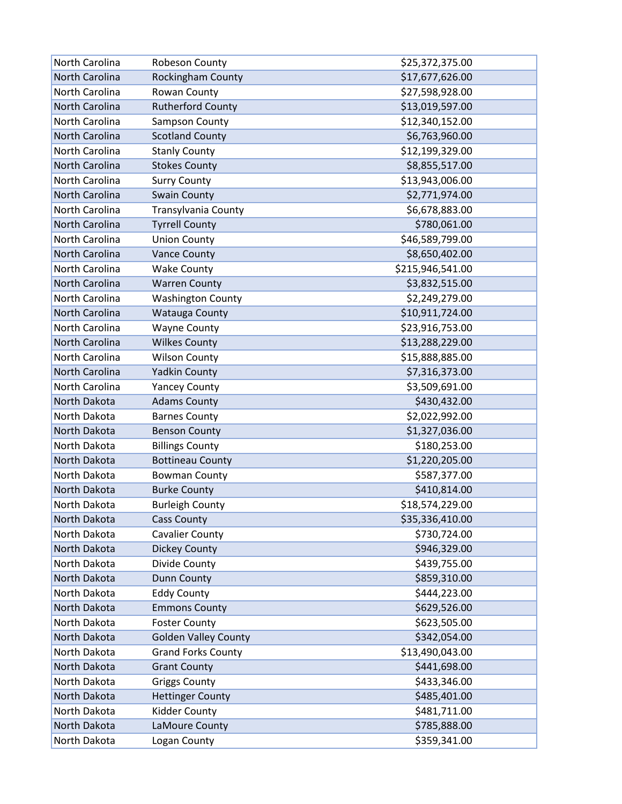| North Carolina        | Robeson County              | \$25,372,375.00  |
|-----------------------|-----------------------------|------------------|
| North Carolina        | Rockingham County           | \$17,677,626.00  |
| North Carolina        | Rowan County                | \$27,598,928.00  |
| North Carolina        | <b>Rutherford County</b>    | \$13,019,597.00  |
| North Carolina        | Sampson County              | \$12,340,152.00  |
| North Carolina        | <b>Scotland County</b>      | \$6,763,960.00   |
| North Carolina        | <b>Stanly County</b>        | \$12,199,329.00  |
| <b>North Carolina</b> | <b>Stokes County</b>        | \$8,855,517.00   |
| North Carolina        | <b>Surry County</b>         | \$13,943,006.00  |
| North Carolina        | <b>Swain County</b>         | \$2,771,974.00   |
| North Carolina        | Transylvania County         | \$6,678,883.00   |
| North Carolina        | <b>Tyrrell County</b>       | \$780,061.00     |
| North Carolina        | <b>Union County</b>         | \$46,589,799.00  |
| North Carolina        | <b>Vance County</b>         | \$8,650,402.00   |
| North Carolina        | <b>Wake County</b>          | \$215,946,541.00 |
| North Carolina        | <b>Warren County</b>        | \$3,832,515.00   |
| North Carolina        | <b>Washington County</b>    | \$2,249,279.00   |
| North Carolina        | <b>Watauga County</b>       | \$10,911,724.00  |
| North Carolina        | <b>Wayne County</b>         | \$23,916,753.00  |
| North Carolina        | <b>Wilkes County</b>        | \$13,288,229.00  |
| North Carolina        | <b>Wilson County</b>        | \$15,888,885.00  |
| North Carolina        | <b>Yadkin County</b>        | \$7,316,373.00   |
| North Carolina        | <b>Yancey County</b>        | \$3,509,691.00   |
| North Dakota          | <b>Adams County</b>         | \$430,432.00     |
| North Dakota          | <b>Barnes County</b>        | \$2,022,992.00   |
| North Dakota          | <b>Benson County</b>        | \$1,327,036.00   |
| North Dakota          | <b>Billings County</b>      | \$180,253.00     |
| North Dakota          | <b>Bottineau County</b>     | \$1,220,205.00   |
| North Dakota          | <b>Bowman County</b>        | \$587,377.00     |
| North Dakota          | <b>Burke County</b>         | \$410,814.00     |
| North Dakota          | <b>Burleigh County</b>      | \$18,574,229.00  |
| North Dakota          | <b>Cass County</b>          | \$35,336,410.00  |
| North Dakota          | <b>Cavalier County</b>      | \$730,724.00     |
| North Dakota          | <b>Dickey County</b>        | \$946,329.00     |
| North Dakota          | Divide County               | \$439,755.00     |
| North Dakota          | <b>Dunn County</b>          | \$859,310.00     |
| North Dakota          | <b>Eddy County</b>          | \$444,223.00     |
| North Dakota          | <b>Emmons County</b>        | \$629,526.00     |
| North Dakota          | <b>Foster County</b>        | \$623,505.00     |
| North Dakota          | <b>Golden Valley County</b> | \$342,054.00     |
| North Dakota          | <b>Grand Forks County</b>   | \$13,490,043.00  |
| North Dakota          | <b>Grant County</b>         | \$441,698.00     |
| North Dakota          | <b>Griggs County</b>        | \$433,346.00     |
| North Dakota          | <b>Hettinger County</b>     | \$485,401.00     |
| North Dakota          | Kidder County               | \$481,711.00     |
| North Dakota          | LaMoure County              | \$785,888.00     |
| North Dakota          | Logan County                | \$359,341.00     |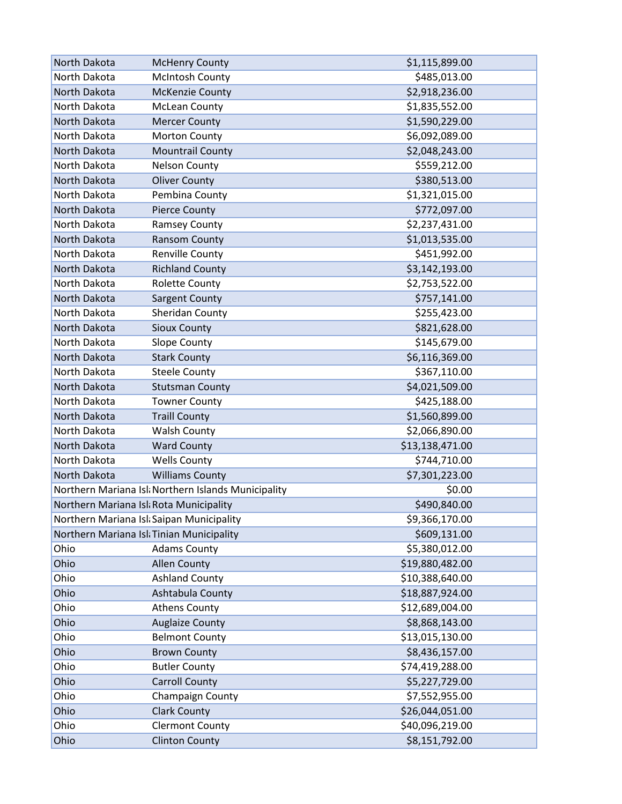| North Dakota                              | <b>McHenry County</b>                              | \$1,115,899.00  |
|-------------------------------------------|----------------------------------------------------|-----------------|
| North Dakota                              | <b>McIntosh County</b>                             | \$485,013.00    |
| North Dakota                              | <b>McKenzie County</b>                             | \$2,918,236.00  |
| North Dakota                              | <b>McLean County</b>                               | \$1,835,552.00  |
| North Dakota                              | <b>Mercer County</b>                               | \$1,590,229.00  |
| North Dakota                              | <b>Morton County</b>                               | \$6,092,089.00  |
| North Dakota                              | <b>Mountrail County</b>                            | \$2,048,243.00  |
| North Dakota                              | <b>Nelson County</b>                               | \$559,212.00    |
| North Dakota                              | <b>Oliver County</b>                               | \$380,513.00    |
| North Dakota                              | Pembina County                                     | \$1,321,015.00  |
| North Dakota                              | <b>Pierce County</b>                               | \$772,097.00    |
| North Dakota                              | <b>Ramsey County</b>                               | \$2,237,431.00  |
| North Dakota                              | Ransom County                                      | \$1,013,535.00  |
| North Dakota                              | Renville County                                    | \$451,992.00    |
| North Dakota                              | <b>Richland County</b>                             | \$3,142,193.00  |
| North Dakota                              | <b>Rolette County</b>                              | \$2,753,522.00  |
| North Dakota                              | <b>Sargent County</b>                              | \$757,141.00    |
| North Dakota                              | Sheridan County                                    | \$255,423.00    |
| North Dakota                              | <b>Sioux County</b>                                | \$821,628.00    |
| North Dakota                              | <b>Slope County</b>                                | \$145,679.00    |
| North Dakota                              | <b>Stark County</b>                                | \$6,116,369.00  |
| North Dakota                              | <b>Steele County</b>                               | \$367,110.00    |
| North Dakota                              | <b>Stutsman County</b>                             | \$4,021,509.00  |
| North Dakota                              | <b>Towner County</b>                               | \$425,188.00    |
| North Dakota                              | <b>Traill County</b>                               | \$1,560,899.00  |
| North Dakota                              | <b>Walsh County</b>                                | \$2,066,890.00  |
| North Dakota                              | <b>Ward County</b>                                 | \$13,138,471.00 |
| North Dakota                              | <b>Wells County</b>                                | \$744,710.00    |
| North Dakota                              | <b>Williams County</b>                             | \$7,301,223.00  |
|                                           | Northern Mariana Isl Northern Islands Municipality | \$0.00          |
| Northern Mariana Isl Rota Municipality    |                                                    | \$490,840.00    |
| Northern Mariana Isl: Saipan Municipality |                                                    | \$9,366,170.00  |
| Northern Mariana Isl: Tinian Municipality |                                                    | \$609,131.00    |
| Ohio                                      | <b>Adams County</b>                                | \$5,380,012.00  |
| Ohio                                      | <b>Allen County</b>                                | \$19,880,482.00 |
| Ohio                                      | <b>Ashland County</b>                              | \$10,388,640.00 |
| Ohio                                      | Ashtabula County                                   | \$18,887,924.00 |
| Ohio                                      | <b>Athens County</b>                               | \$12,689,004.00 |
| Ohio                                      | <b>Auglaize County</b>                             | \$8,868,143.00  |
| Ohio                                      | <b>Belmont County</b>                              | \$13,015,130.00 |
| Ohio                                      | <b>Brown County</b>                                | \$8,436,157.00  |
| Ohio                                      | <b>Butler County</b>                               | \$74,419,288.00 |
| Ohio                                      | <b>Carroll County</b>                              | \$5,227,729.00  |
| Ohio                                      | Champaign County                                   | \$7,552,955.00  |
| Ohio                                      | <b>Clark County</b>                                | \$26,044,051.00 |
| Ohio                                      | <b>Clermont County</b>                             | \$40,096,219.00 |
| Ohio                                      | <b>Clinton County</b>                              | \$8,151,792.00  |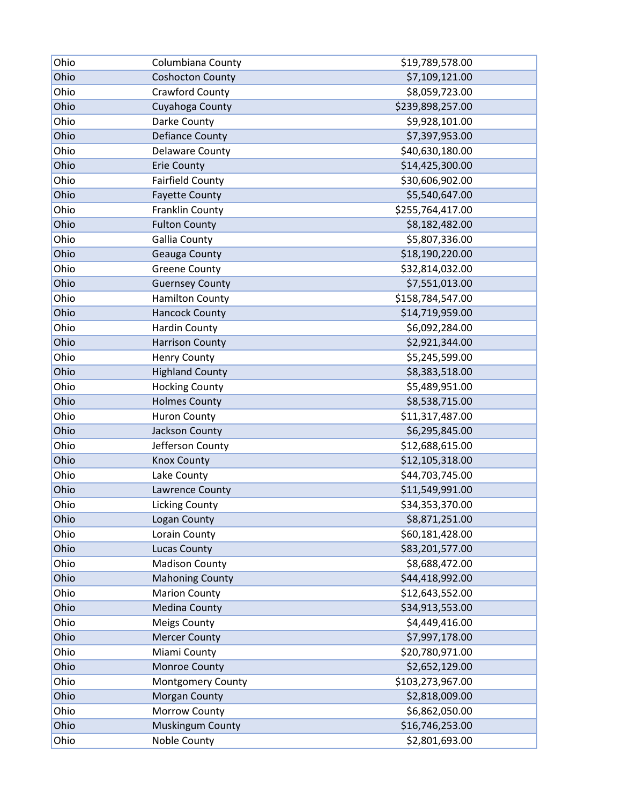| Ohio | Columbiana County       | \$19,789,578.00  |
|------|-------------------------|------------------|
| Ohio | <b>Coshocton County</b> | \$7,109,121.00   |
| Ohio | Crawford County         | \$8,059,723.00   |
| Ohio | Cuyahoga County         | \$239,898,257.00 |
| Ohio | Darke County            | \$9,928,101.00   |
| Ohio | <b>Defiance County</b>  | \$7,397,953.00   |
| Ohio | <b>Delaware County</b>  | \$40,630,180.00  |
| Ohio | <b>Erie County</b>      | \$14,425,300.00  |
| Ohio | <b>Fairfield County</b> | \$30,606,902.00  |
| Ohio | <b>Fayette County</b>   | \$5,540,647.00   |
| Ohio | Franklin County         | \$255,764,417.00 |
| Ohio | <b>Fulton County</b>    | \$8,182,482.00   |
| Ohio | <b>Gallia County</b>    | \$5,807,336.00   |
| Ohio | Geauga County           | \$18,190,220.00  |
| Ohio | <b>Greene County</b>    | \$32,814,032.00  |
| Ohio | <b>Guernsey County</b>  | \$7,551,013.00   |
| Ohio | <b>Hamilton County</b>  | \$158,784,547.00 |
| Ohio | <b>Hancock County</b>   | \$14,719,959.00  |
| Ohio | <b>Hardin County</b>    | \$6,092,284.00   |
| Ohio | <b>Harrison County</b>  | \$2,921,344.00   |
| Ohio | Henry County            | \$5,245,599.00   |
| Ohio | <b>Highland County</b>  | \$8,383,518.00   |
| Ohio | <b>Hocking County</b>   | \$5,489,951.00   |
| Ohio | <b>Holmes County</b>    | \$8,538,715.00   |
| Ohio | <b>Huron County</b>     | \$11,317,487.00  |
| Ohio | Jackson County          | \$6,295,845.00   |
| Ohio | Jefferson County        | \$12,688,615.00  |
| Ohio | <b>Knox County</b>      | \$12,105,318.00  |
| Ohio | Lake County             | \$44,703,745.00  |
| Ohio | Lawrence County         | \$11,549,991.00  |
| Ohio | <b>Licking County</b>   | \$34,353,370.00  |
| Ohio | Logan County            | \$8,871,251.00   |
| Ohio | Lorain County           | \$60,181,428.00  |
| Ohio | <b>Lucas County</b>     | \$83,201,577.00  |
| Ohio | <b>Madison County</b>   | \$8,688,472.00   |
| Ohio | <b>Mahoning County</b>  | \$44,418,992.00  |
| Ohio | <b>Marion County</b>    | \$12,643,552.00  |
| Ohio | <b>Medina County</b>    | \$34,913,553.00  |
| Ohio | <b>Meigs County</b>     | \$4,449,416.00   |
| Ohio | <b>Mercer County</b>    | \$7,997,178.00   |
| Ohio | Miami County            | \$20,780,971.00  |
| Ohio | Monroe County           | \$2,652,129.00   |
| Ohio | Montgomery County       | \$103,273,967.00 |
| Ohio | Morgan County           | \$2,818,009.00   |
| Ohio | Morrow County           | \$6,862,050.00   |
| Ohio | Muskingum County        | \$16,746,253.00  |
| Ohio | Noble County            | \$2,801,693.00   |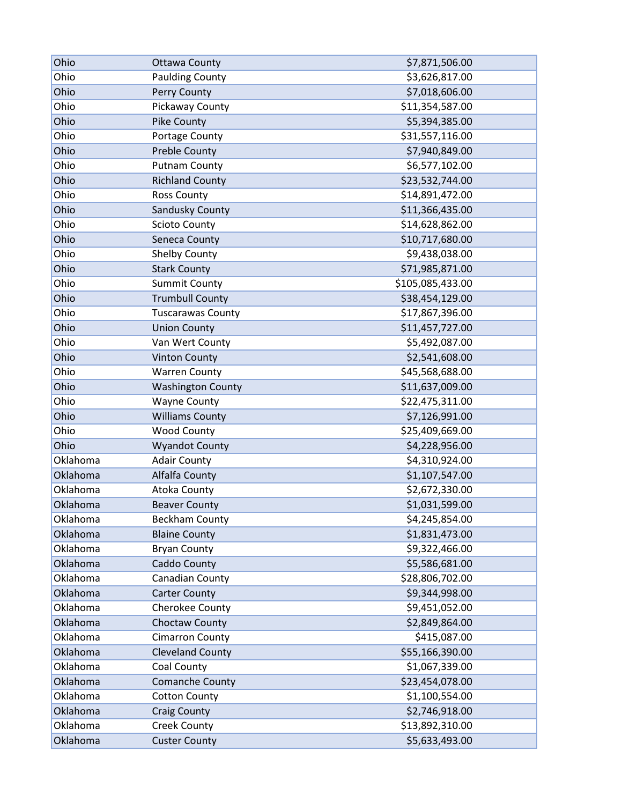| Ohio     | <b>Ottawa County</b>     | \$7,871,506.00   |
|----------|--------------------------|------------------|
| Ohio     | <b>Paulding County</b>   | \$3,626,817.00   |
| Ohio     | Perry County             | \$7,018,606.00   |
| Ohio     | Pickaway County          | \$11,354,587.00  |
| Ohio     | <b>Pike County</b>       | \$5,394,385.00   |
| Ohio     | Portage County           | \$31,557,116.00  |
| Ohio     | <b>Preble County</b>     | \$7,940,849.00   |
| Ohio     | <b>Putnam County</b>     | \$6,577,102.00   |
| Ohio     | <b>Richland County</b>   | \$23,532,744.00  |
| Ohio     | <b>Ross County</b>       | \$14,891,472.00  |
| Ohio     | Sandusky County          | \$11,366,435.00  |
| Ohio     | <b>Scioto County</b>     | \$14,628,862.00  |
| Ohio     | Seneca County            | \$10,717,680.00  |
| Ohio     | <b>Shelby County</b>     | \$9,438,038.00   |
| Ohio     | <b>Stark County</b>      | \$71,985,871.00  |
| Ohio     | <b>Summit County</b>     | \$105,085,433.00 |
| Ohio     | <b>Trumbull County</b>   | \$38,454,129.00  |
| Ohio     | <b>Tuscarawas County</b> | \$17,867,396.00  |
| Ohio     | <b>Union County</b>      | \$11,457,727.00  |
| Ohio     | Van Wert County          | \$5,492,087.00   |
| Ohio     | <b>Vinton County</b>     | \$2,541,608.00   |
| Ohio     | <b>Warren County</b>     | \$45,568,688.00  |
| Ohio     | <b>Washington County</b> | \$11,637,009.00  |
| Ohio     | <b>Wayne County</b>      | \$22,475,311.00  |
| Ohio     | <b>Williams County</b>   | \$7,126,991.00   |
| Ohio     | <b>Wood County</b>       | \$25,409,669.00  |
| Ohio     | <b>Wyandot County</b>    | \$4,228,956.00   |
| Oklahoma | <b>Adair County</b>      | \$4,310,924.00   |
| Oklahoma | Alfalfa County           | \$1,107,547.00   |
| Oklahoma | Atoka County             | \$2,672,330.00   |
| Oklahoma | <b>Beaver County</b>     | \$1,031,599.00   |
| Oklahoma | <b>Beckham County</b>    | \$4,245,854.00   |
| Oklahoma | <b>Blaine County</b>     | \$1,831,473.00   |
| Oklahoma | <b>Bryan County</b>      | \$9,322,466.00   |
| Oklahoma | Caddo County             | \$5,586,681.00   |
| Oklahoma | Canadian County          | \$28,806,702.00  |
| Oklahoma | <b>Carter County</b>     | \$9,344,998.00   |
| Oklahoma | Cherokee County          | \$9,451,052.00   |
| Oklahoma | Choctaw County           | \$2,849,864.00   |
| Oklahoma | <b>Cimarron County</b>   | \$415,087.00     |
| Oklahoma | <b>Cleveland County</b>  | \$55,166,390.00  |
| Oklahoma | Coal County              | \$1,067,339.00   |
| Oklahoma | <b>Comanche County</b>   | \$23,454,078.00  |
| Oklahoma | <b>Cotton County</b>     | \$1,100,554.00   |
| Oklahoma | <b>Craig County</b>      | \$2,746,918.00   |
| Oklahoma | <b>Creek County</b>      | \$13,892,310.00  |
| Oklahoma | <b>Custer County</b>     | \$5,633,493.00   |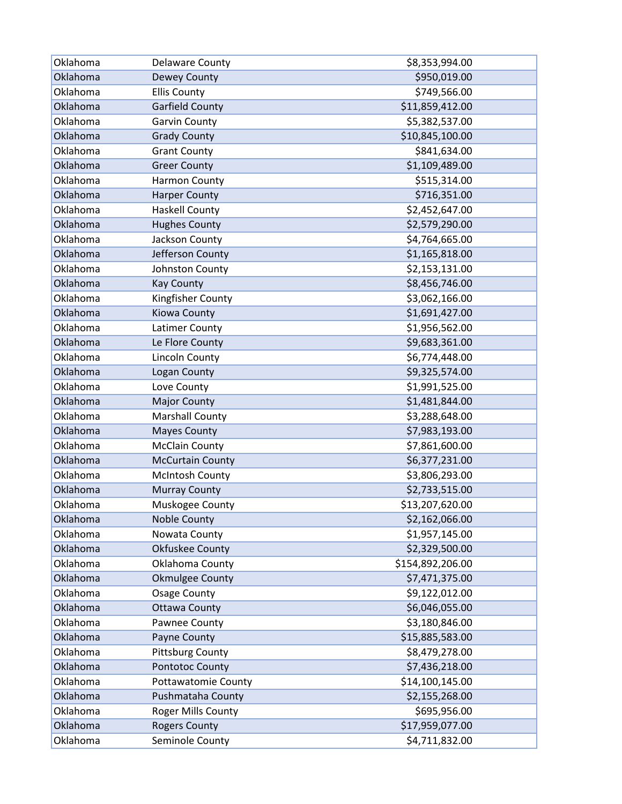| Oklahoma | <b>Delaware County</b>     | \$8,353,994.00   |
|----------|----------------------------|------------------|
| Oklahoma | Dewey County               | \$950,019.00     |
| Oklahoma | <b>Ellis County</b>        | \$749,566.00     |
| Oklahoma | <b>Garfield County</b>     | \$11,859,412.00  |
| Oklahoma | <b>Garvin County</b>       | \$5,382,537.00   |
| Oklahoma | <b>Grady County</b>        | \$10,845,100.00  |
| Oklahoma | <b>Grant County</b>        | \$841,634.00     |
| Oklahoma | <b>Greer County</b>        | \$1,109,489.00   |
| Oklahoma | Harmon County              | \$515,314.00     |
| Oklahoma | <b>Harper County</b>       | \$716,351.00     |
| Oklahoma | <b>Haskell County</b>      | \$2,452,647.00   |
| Oklahoma | <b>Hughes County</b>       | \$2,579,290.00   |
| Oklahoma | Jackson County             | \$4,764,665.00   |
| Oklahoma | Jefferson County           | \$1,165,818.00   |
| Oklahoma | Johnston County            | \$2,153,131.00   |
| Oklahoma | <b>Kay County</b>          | \$8,456,746.00   |
| Oklahoma | Kingfisher County          | \$3,062,166.00   |
| Oklahoma | Kiowa County               | \$1,691,427.00   |
| Oklahoma | Latimer County             | \$1,956,562.00   |
| Oklahoma | Le Flore County            | \$9,683,361.00   |
| Oklahoma | Lincoln County             | \$6,774,448.00   |
| Oklahoma | Logan County               | \$9,325,574.00   |
| Oklahoma | Love County                | \$1,991,525.00   |
| Oklahoma | <b>Major County</b>        | \$1,481,844.00   |
| Oklahoma | <b>Marshall County</b>     | \$3,288,648.00   |
| Oklahoma | <b>Mayes County</b>        | \$7,983,193.00   |
| Oklahoma | <b>McClain County</b>      | \$7,861,600.00   |
| Oklahoma | <b>McCurtain County</b>    | \$6,377,231.00   |
| Oklahoma | <b>McIntosh County</b>     | \$3,806,293.00   |
| Oklahoma | <b>Murray County</b>       | \$2,733,515.00   |
| Oklahoma | Muskogee County            | \$13,207,620.00  |
| Oklahoma | <b>Noble County</b>        | \$2,162,066.00   |
| Oklahoma | Nowata County              | \$1,957,145.00   |
| Oklahoma | Okfuskee County            | \$2,329,500.00   |
| Oklahoma | Oklahoma County            | \$154,892,206.00 |
| Oklahoma | <b>Okmulgee County</b>     | \$7,471,375.00   |
| Oklahoma | <b>Osage County</b>        | \$9,122,012.00   |
| Oklahoma | <b>Ottawa County</b>       | \$6,046,055.00   |
| Oklahoma | Pawnee County              | \$3,180,846.00   |
| Oklahoma | Payne County               | \$15,885,583.00  |
| Oklahoma | <b>Pittsburg County</b>    | \$8,479,278.00   |
| Oklahoma | Pontotoc County            | \$7,436,218.00   |
| Oklahoma | <b>Pottawatomie County</b> | \$14,100,145.00  |
| Oklahoma | Pushmataha County          | \$2,155,268.00   |
| Oklahoma | Roger Mills County         | \$695,956.00     |
| Oklahoma | <b>Rogers County</b>       | \$17,959,077.00  |
| Oklahoma | Seminole County            | \$4,711,832.00   |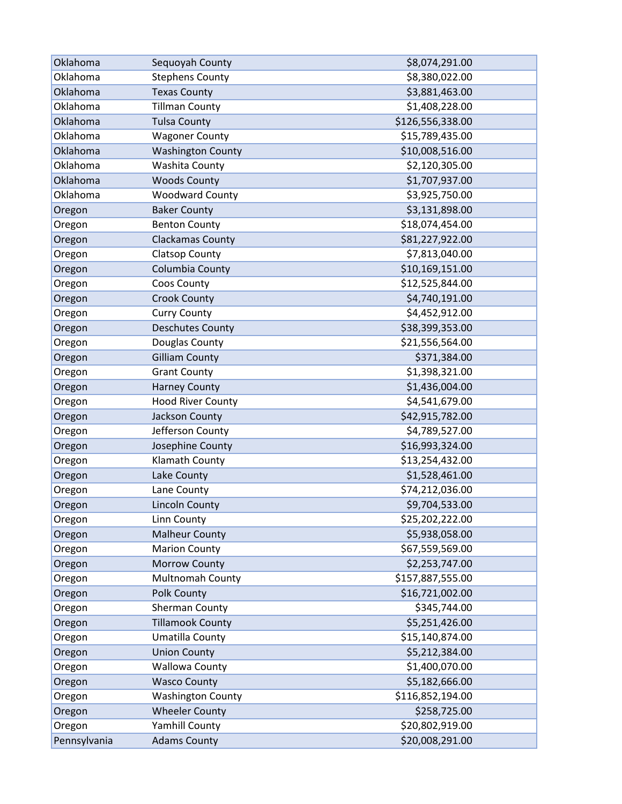| Oklahoma     | Sequoyah County          | \$8,074,291.00   |
|--------------|--------------------------|------------------|
| Oklahoma     | <b>Stephens County</b>   | \$8,380,022.00   |
| Oklahoma     | <b>Texas County</b>      | \$3,881,463.00   |
| Oklahoma     | <b>Tillman County</b>    | \$1,408,228.00   |
| Oklahoma     | <b>Tulsa County</b>      | \$126,556,338.00 |
| Oklahoma     | <b>Wagoner County</b>    | \$15,789,435.00  |
| Oklahoma     | <b>Washington County</b> | \$10,008,516.00  |
| Oklahoma     | Washita County           | \$2,120,305.00   |
| Oklahoma     | <b>Woods County</b>      | \$1,707,937.00   |
| Oklahoma     | <b>Woodward County</b>   | \$3,925,750.00   |
| Oregon       | <b>Baker County</b>      | \$3,131,898.00   |
| Oregon       | <b>Benton County</b>     | \$18,074,454.00  |
| Oregon       | <b>Clackamas County</b>  | \$81,227,922.00  |
| Oregon       | <b>Clatsop County</b>    | \$7,813,040.00   |
| Oregon       | Columbia County          | \$10,169,151.00  |
| Oregon       | Coos County              | \$12,525,844.00  |
| Oregon       | <b>Crook County</b>      | \$4,740,191.00   |
| Oregon       | <b>Curry County</b>      | \$4,452,912.00   |
| Oregon       | <b>Deschutes County</b>  | \$38,399,353.00  |
| Oregon       | Douglas County           | \$21,556,564.00  |
| Oregon       | <b>Gilliam County</b>    | \$371,384.00     |
| Oregon       | <b>Grant County</b>      | \$1,398,321.00   |
| Oregon       | <b>Harney County</b>     | \$1,436,004.00   |
| Oregon       | <b>Hood River County</b> | \$4,541,679.00   |
| Oregon       | Jackson County           | \$42,915,782.00  |
| Oregon       | Jefferson County         | \$4,789,527.00   |
| Oregon       | Josephine County         | \$16,993,324.00  |
| Oregon       | Klamath County           | \$13,254,432.00  |
| Oregon       | Lake County              | \$1,528,461.00   |
| Oregon       | Lane County              | \$74,212,036.00  |
| Oregon       | <b>Lincoln County</b>    | \$9,704,533.00   |
| Oregon       | Linn County              | \$25,202,222.00  |
| Oregon       | <b>Malheur County</b>    | \$5,938,058.00   |
| Oregon       | <b>Marion County</b>     | \$67,559,569.00  |
| Oregon       | Morrow County            | \$2,253,747.00   |
| Oregon       | Multnomah County         | \$157,887,555.00 |
| Oregon       | Polk County              | \$16,721,002.00  |
| Oregon       | Sherman County           | \$345,744.00     |
| Oregon       | <b>Tillamook County</b>  | \$5,251,426.00   |
| Oregon       | Umatilla County          | \$15,140,874.00  |
| Oregon       | <b>Union County</b>      | \$5,212,384.00   |
| Oregon       | <b>Wallowa County</b>    | \$1,400,070.00   |
| Oregon       | <b>Wasco County</b>      | \$5,182,666.00   |
| Oregon       | <b>Washington County</b> | \$116,852,194.00 |
| Oregon       | <b>Wheeler County</b>    | \$258,725.00     |
| Oregon       | Yamhill County           | \$20,802,919.00  |
| Pennsylvania | <b>Adams County</b>      | \$20,008,291.00  |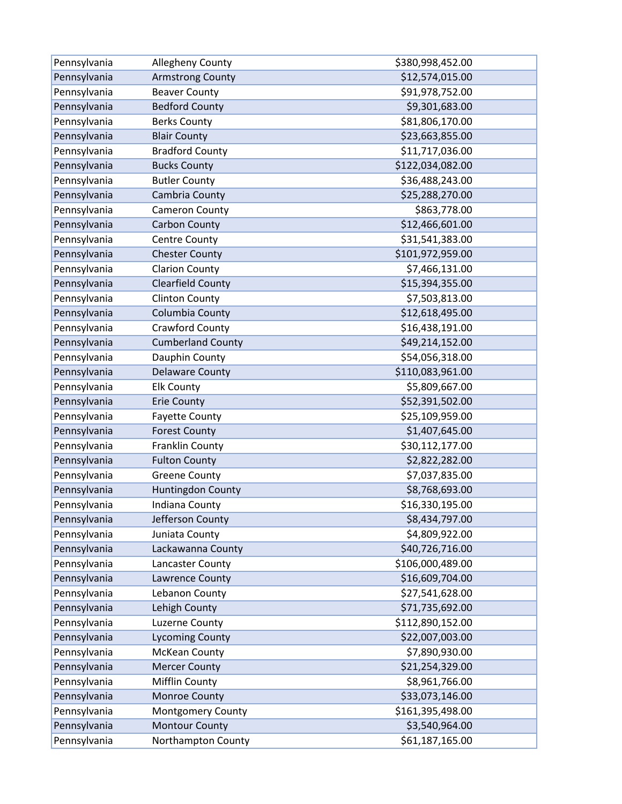| Pennsylvania | Allegheny County         | \$380,998,452.00 |
|--------------|--------------------------|------------------|
| Pennsylvania | <b>Armstrong County</b>  | \$12,574,015.00  |
| Pennsylvania | <b>Beaver County</b>     | \$91,978,752.00  |
| Pennsylvania | <b>Bedford County</b>    | \$9,301,683.00   |
| Pennsylvania | <b>Berks County</b>      | \$81,806,170.00  |
| Pennsylvania | <b>Blair County</b>      | \$23,663,855.00  |
| Pennsylvania | <b>Bradford County</b>   | \$11,717,036.00  |
| Pennsylvania | <b>Bucks County</b>      | \$122,034,082.00 |
| Pennsylvania | <b>Butler County</b>     | \$36,488,243.00  |
| Pennsylvania | Cambria County           | \$25,288,270.00  |
| Pennsylvania | Cameron County           | \$863,778.00     |
| Pennsylvania | <b>Carbon County</b>     | \$12,466,601.00  |
| Pennsylvania | Centre County            | \$31,541,383.00  |
| Pennsylvania | <b>Chester County</b>    | \$101,972,959.00 |
| Pennsylvania | <b>Clarion County</b>    | \$7,466,131.00   |
| Pennsylvania | <b>Clearfield County</b> | \$15,394,355.00  |
| Pennsylvania | <b>Clinton County</b>    | \$7,503,813.00   |
| Pennsylvania | Columbia County          | \$12,618,495.00  |
| Pennsylvania | Crawford County          | \$16,438,191.00  |
| Pennsylvania | <b>Cumberland County</b> | \$49,214,152.00  |
| Pennsylvania | Dauphin County           | \$54,056,318.00  |
| Pennsylvania | <b>Delaware County</b>   | \$110,083,961.00 |
| Pennsylvania | <b>Elk County</b>        | \$5,809,667.00   |
| Pennsylvania | <b>Erie County</b>       | \$52,391,502.00  |
| Pennsylvania | <b>Fayette County</b>    | \$25,109,959.00  |
| Pennsylvania | <b>Forest County</b>     | \$1,407,645.00   |
| Pennsylvania | Franklin County          | \$30,112,177.00  |
| Pennsylvania | <b>Fulton County</b>     | \$2,822,282.00   |
| Pennsylvania | <b>Greene County</b>     | \$7,037,835.00   |
| Pennsylvania | Huntingdon County        | \$8,768,693.00   |
| Pennsylvania | Indiana County           | \$16,330,195.00  |
| Pennsylvania | Jefferson County         | \$8,434,797.00   |
| Pennsylvania | Juniata County           | \$4,809,922.00   |
| Pennsylvania | Lackawanna County        | \$40,726,716.00  |
| Pennsylvania | Lancaster County         | \$106,000,489.00 |
| Pennsylvania | Lawrence County          | \$16,609,704.00  |
| Pennsylvania | Lebanon County           | \$27,541,628.00  |
| Pennsylvania | Lehigh County            | \$71,735,692.00  |
| Pennsylvania | Luzerne County           | \$112,890,152.00 |
| Pennsylvania | <b>Lycoming County</b>   | \$22,007,003.00  |
| Pennsylvania | <b>McKean County</b>     | \$7,890,930.00   |
| Pennsylvania | <b>Mercer County</b>     | \$21,254,329.00  |
| Pennsylvania | Mifflin County           | \$8,961,766.00   |
| Pennsylvania | Monroe County            | \$33,073,146.00  |
| Pennsylvania | Montgomery County        | \$161,395,498.00 |
| Pennsylvania | <b>Montour County</b>    | \$3,540,964.00   |
| Pennsylvania | Northampton County       | \$61,187,165.00  |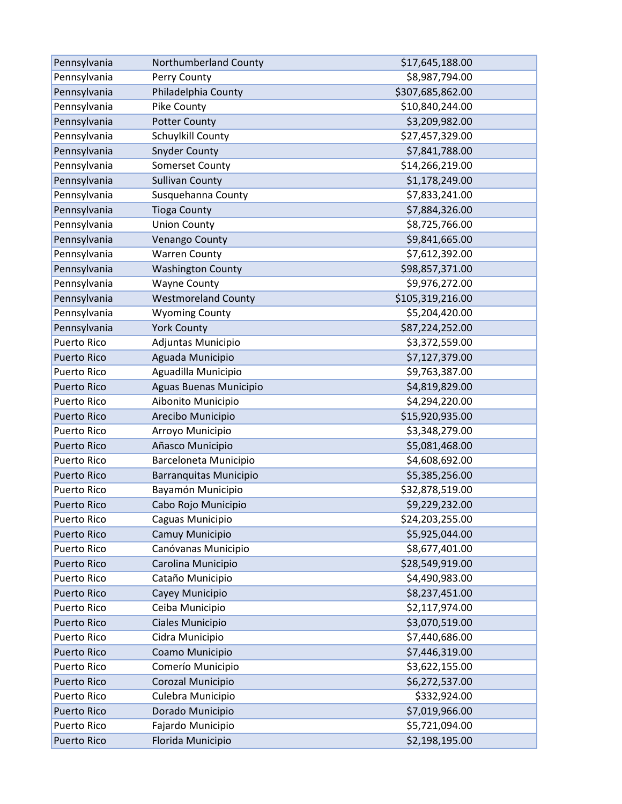| Pennsylvania       | Northumberland County         | \$17,645,188.00  |
|--------------------|-------------------------------|------------------|
| Pennsylvania       | Perry County                  | \$8,987,794.00   |
| Pennsylvania       | Philadelphia County           | \$307,685,862.00 |
| Pennsylvania       | Pike County                   | \$10,840,244.00  |
| Pennsylvania       | <b>Potter County</b>          | \$3,209,982.00   |
| Pennsylvania       | Schuylkill County             | \$27,457,329.00  |
| Pennsylvania       | <b>Snyder County</b>          | \$7,841,788.00   |
| Pennsylvania       | <b>Somerset County</b>        | \$14,266,219.00  |
| Pennsylvania       | <b>Sullivan County</b>        | \$1,178,249.00   |
| Pennsylvania       | Susquehanna County            | \$7,833,241.00   |
| Pennsylvania       | <b>Tioga County</b>           | \$7,884,326.00   |
| Pennsylvania       | <b>Union County</b>           | \$8,725,766.00   |
| Pennsylvania       | Venango County                | \$9,841,665.00   |
| Pennsylvania       | <b>Warren County</b>          | \$7,612,392.00   |
| Pennsylvania       | <b>Washington County</b>      | \$98,857,371.00  |
| Pennsylvania       | <b>Wayne County</b>           | \$9,976,272.00   |
| Pennsylvania       | <b>Westmoreland County</b>    | \$105,319,216.00 |
| Pennsylvania       | <b>Wyoming County</b>         | \$5,204,420.00   |
| Pennsylvania       | <b>York County</b>            | \$87,224,252.00  |
| <b>Puerto Rico</b> | Adjuntas Municipio            | \$3,372,559.00   |
| <b>Puerto Rico</b> | Aguada Municipio              | \$7,127,379.00   |
| Puerto Rico        | Aguadilla Municipio           | \$9,763,387.00   |
| <b>Puerto Rico</b> | Aguas Buenas Municipio        | \$4,819,829.00   |
| Puerto Rico        | Aibonito Municipio            | \$4,294,220.00   |
| <b>Puerto Rico</b> | Arecibo Municipio             | \$15,920,935.00  |
| <b>Puerto Rico</b> | Arroyo Municipio              | \$3,348,279.00   |
| <b>Puerto Rico</b> | Añasco Municipio              | \$5,081,468.00   |
| <b>Puerto Rico</b> | Barceloneta Municipio         | \$4,608,692.00   |
| <b>Puerto Rico</b> | <b>Barranquitas Municipio</b> | \$5,385,256.00   |
| Puerto Rico        | Bayamón Municipio             | \$32,878,519.00  |
| <b>Puerto Rico</b> | Cabo Rojo Municipio           | \$9,229,232.00   |
| <b>Puerto Rico</b> | Caguas Municipio              | \$24,203,255.00  |
| <b>Puerto Rico</b> | Camuy Municipio               | \$5,925,044.00   |
| Puerto Rico        | Canóvanas Municipio           | \$8,677,401.00   |
| <b>Puerto Rico</b> | Carolina Municipio            | \$28,549,919.00  |
| Puerto Rico        | Cataño Municipio              | \$4,490,983.00   |
| <b>Puerto Rico</b> | Cayey Municipio               | \$8,237,451.00   |
| Puerto Rico        | Ceiba Municipio               | \$2,117,974.00   |
| <b>Puerto Rico</b> | Ciales Municipio              | \$3,070,519.00   |
| Puerto Rico        | Cidra Municipio               | \$7,440,686.00   |
| <b>Puerto Rico</b> | Coamo Municipio               | \$7,446,319.00   |
| Puerto Rico        | Comerío Municipio             | \$3,622,155.00   |
| <b>Puerto Rico</b> | Corozal Municipio             | \$6,272,537.00   |
| <b>Puerto Rico</b> | Culebra Municipio             | \$332,924.00     |
| <b>Puerto Rico</b> | Dorado Municipio              | \$7,019,966.00   |
| <b>Puerto Rico</b> | Fajardo Municipio             | \$5,721,094.00   |
| <b>Puerto Rico</b> | Florida Municipio             | \$2,198,195.00   |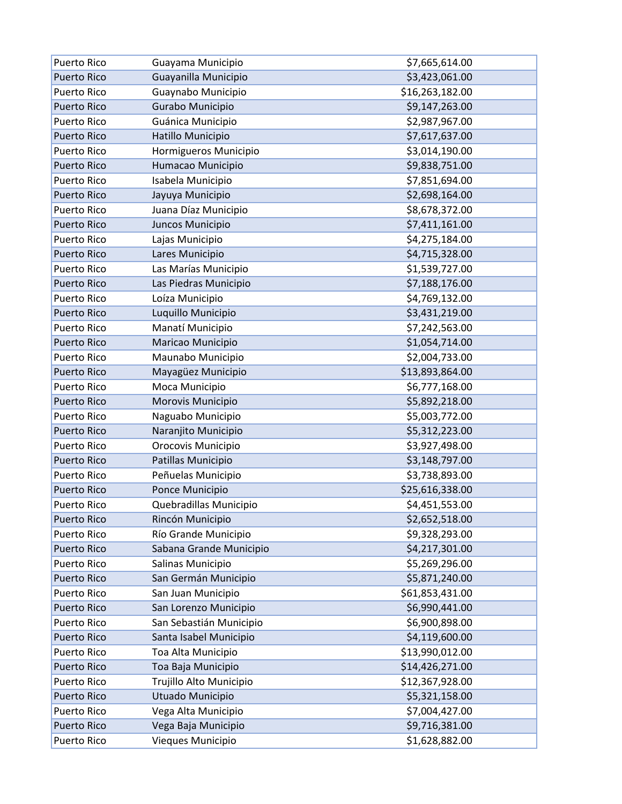| <b>Puerto Rico</b> | Guayama Municipio       | \$7,665,614.00  |
|--------------------|-------------------------|-----------------|
| <b>Puerto Rico</b> | Guayanilla Municipio    | \$3,423,061.00  |
| Puerto Rico        | Guaynabo Municipio      | \$16,263,182.00 |
| <b>Puerto Rico</b> | Gurabo Municipio        | \$9,147,263.00  |
| <b>Puerto Rico</b> | Guánica Municipio       | \$2,987,967.00  |
| <b>Puerto Rico</b> | Hatillo Municipio       | \$7,617,637.00  |
| <b>Puerto Rico</b> | Hormigueros Municipio   | \$3,014,190.00  |
| <b>Puerto Rico</b> | Humacao Municipio       | \$9,838,751.00  |
| Puerto Rico        | Isabela Municipio       | \$7,851,694.00  |
| <b>Puerto Rico</b> | Jayuya Municipio        | \$2,698,164.00  |
| Puerto Rico        | Juana Díaz Municipio    | \$8,678,372.00  |
| <b>Puerto Rico</b> | Juncos Municipio        | \$7,411,161.00  |
| Puerto Rico        | Lajas Municipio         | \$4,275,184.00  |
| <b>Puerto Rico</b> | Lares Municipio         | \$4,715,328.00  |
| Puerto Rico        | Las Marías Municipio    | \$1,539,727.00  |
| <b>Puerto Rico</b> | Las Piedras Municipio   | \$7,188,176.00  |
| Puerto Rico        | Loíza Municipio         | \$4,769,132.00  |
| <b>Puerto Rico</b> | Luquillo Municipio      | \$3,431,219.00  |
| <b>Puerto Rico</b> | Manatí Municipio        | \$7,242,563.00  |
| <b>Puerto Rico</b> | Maricao Municipio       | \$1,054,714.00  |
| Puerto Rico        | Maunabo Municipio       | \$2,004,733.00  |
| <b>Puerto Rico</b> | Mayagüez Municipio      | \$13,893,864.00 |
| Puerto Rico        | Moca Municipio          | \$6,777,168.00  |
| <b>Puerto Rico</b> | Morovis Municipio       | \$5,892,218.00  |
| Puerto Rico        | Naguabo Municipio       | \$5,003,772.00  |
| <b>Puerto Rico</b> | Naranjito Municipio     | \$5,312,223.00  |
| Puerto Rico        | Orocovis Municipio      | \$3,927,498.00  |
| <b>Puerto Rico</b> | Patillas Municipio      | \$3,148,797.00  |
| Puerto Rico        | Peñuelas Municipio      | \$3,738,893.00  |
| <b>Puerto Rico</b> | Ponce Municipio         | \$25,616,338.00 |
| <b>Puerto Rico</b> | Quebradillas Municipio  | \$4,451,553.00  |
| <b>Puerto Rico</b> | Rincón Municipio        | \$2,652,518.00  |
| <b>Puerto Rico</b> | Río Grande Municipio    | \$9,328,293.00  |
| <b>Puerto Rico</b> | Sabana Grande Municipio | \$4,217,301.00  |
| Puerto Rico        | Salinas Municipio       | \$5,269,296.00  |
| <b>Puerto Rico</b> | San Germán Municipio    | \$5,871,240.00  |
| <b>Puerto Rico</b> | San Juan Municipio      | \$61,853,431.00 |
| <b>Puerto Rico</b> | San Lorenzo Municipio   | \$6,990,441.00  |
| <b>Puerto Rico</b> | San Sebastián Municipio | \$6,900,898.00  |
| <b>Puerto Rico</b> | Santa Isabel Municipio  | \$4,119,600.00  |
| Puerto Rico        | Toa Alta Municipio      | \$13,990,012.00 |
| <b>Puerto Rico</b> | Toa Baja Municipio      | \$14,426,271.00 |
| Puerto Rico        | Trujillo Alto Municipio | \$12,367,928.00 |
| <b>Puerto Rico</b> | Utuado Municipio        | \$5,321,158.00  |
| Puerto Rico        | Vega Alta Municipio     | \$7,004,427.00  |
| <b>Puerto Rico</b> | Vega Baja Municipio     | \$9,716,381.00  |
| Puerto Rico        | Vieques Municipio       | \$1,628,882.00  |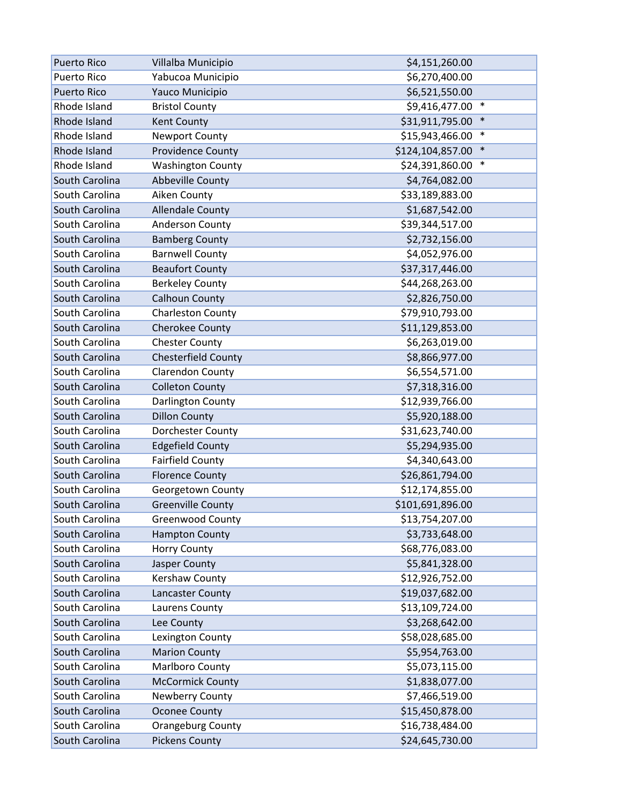| <b>Puerto Rico</b> | Villalba Municipio         | \$4,151,260.00             |
|--------------------|----------------------------|----------------------------|
| <b>Puerto Rico</b> | Yabucoa Municipio          | \$6,270,400.00             |
| <b>Puerto Rico</b> | Yauco Municipio            | \$6,521,550.00             |
| Rhode Island       | <b>Bristol County</b>      | $\ast$<br>\$9,416,477.00   |
| Rhode Island       | Kent County                | \$31,911,795.00<br>$\ast$  |
| Rhode Island       | <b>Newport County</b>      | \$15,943,466.00<br>$\ast$  |
| Rhode Island       | <b>Providence County</b>   | $\ast$<br>\$124,104,857.00 |
| Rhode Island       | <b>Washington County</b>   | $\ast$<br>\$24,391,860.00  |
| South Carolina     | Abbeville County           | \$4,764,082.00             |
| South Carolina     | Aiken County               | \$33,189,883.00            |
| South Carolina     | <b>Allendale County</b>    | \$1,687,542.00             |
| South Carolina     | <b>Anderson County</b>     | \$39,344,517.00            |
| South Carolina     | <b>Bamberg County</b>      | \$2,732,156.00             |
| South Carolina     | <b>Barnwell County</b>     | \$4,052,976.00             |
| South Carolina     | <b>Beaufort County</b>     | \$37,317,446.00            |
| South Carolina     | <b>Berkeley County</b>     | \$44,268,263.00            |
| South Carolina     | <b>Calhoun County</b>      | \$2,826,750.00             |
| South Carolina     | <b>Charleston County</b>   | \$79,910,793.00            |
| South Carolina     | Cherokee County            | \$11,129,853.00            |
| South Carolina     | <b>Chester County</b>      | \$6,263,019.00             |
| South Carolina     | <b>Chesterfield County</b> | \$8,866,977.00             |
| South Carolina     | Clarendon County           | \$6,554,571.00             |
| South Carolina     | <b>Colleton County</b>     | \$7,318,316.00             |
| South Carolina     | Darlington County          | \$12,939,766.00            |
| South Carolina     | <b>Dillon County</b>       | \$5,920,188.00             |
| South Carolina     | Dorchester County          | \$31,623,740.00            |
| South Carolina     | <b>Edgefield County</b>    | \$5,294,935.00             |
| South Carolina     | <b>Fairfield County</b>    | \$4,340,643.00             |
| South Carolina     | <b>Florence County</b>     | \$26,861,794.00            |
| South Carolina     | Georgetown County          | \$12,174,855.00            |
| South Carolina     | <b>Greenville County</b>   | \$101,691,896.00           |
| South Carolina     | <b>Greenwood County</b>    | \$13,754,207.00            |
| South Carolina     | <b>Hampton County</b>      | \$3,733,648.00             |
| South Carolina     | <b>Horry County</b>        | \$68,776,083.00            |
| South Carolina     | Jasper County              | \$5,841,328.00             |
| South Carolina     | Kershaw County             | \$12,926,752.00            |
| South Carolina     | Lancaster County           | \$19,037,682.00            |
| South Carolina     | Laurens County             | \$13,109,724.00            |
| South Carolina     | Lee County                 | \$3,268,642.00             |
| South Carolina     | Lexington County           | \$58,028,685.00            |
| South Carolina     | <b>Marion County</b>       | \$5,954,763.00             |
| South Carolina     | Marlboro County            | \$5,073,115.00             |
| South Carolina     | <b>McCormick County</b>    | \$1,838,077.00             |
| South Carolina     | Newberry County            | \$7,466,519.00             |
| South Carolina     | <b>Oconee County</b>       | \$15,450,878.00            |
| South Carolina     | Orangeburg County          | \$16,738,484.00            |
| South Carolina     | <b>Pickens County</b>      | \$24,645,730.00            |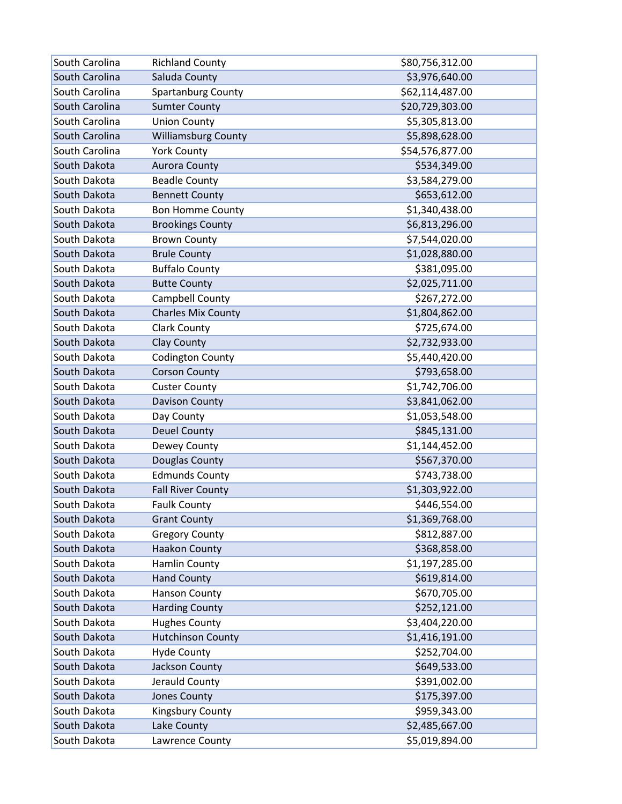| South Carolina | <b>Richland County</b>     | \$80,756,312.00 |
|----------------|----------------------------|-----------------|
| South Carolina | Saluda County              | \$3,976,640.00  |
| South Carolina | Spartanburg County         | \$62,114,487.00 |
| South Carolina | <b>Sumter County</b>       | \$20,729,303.00 |
| South Carolina | <b>Union County</b>        | \$5,305,813.00  |
| South Carolina | <b>Williamsburg County</b> | \$5,898,628.00  |
| South Carolina | <b>York County</b>         | \$54,576,877.00 |
| South Dakota   | <b>Aurora County</b>       | \$534,349.00    |
| South Dakota   | <b>Beadle County</b>       | \$3,584,279.00  |
| South Dakota   | <b>Bennett County</b>      | \$653,612.00    |
| South Dakota   | <b>Bon Homme County</b>    | \$1,340,438.00  |
| South Dakota   | <b>Brookings County</b>    | \$6,813,296.00  |
| South Dakota   | <b>Brown County</b>        | \$7,544,020.00  |
| South Dakota   | <b>Brule County</b>        | \$1,028,880.00  |
| South Dakota   | <b>Buffalo County</b>      | \$381,095.00    |
| South Dakota   | <b>Butte County</b>        | \$2,025,711.00  |
| South Dakota   | Campbell County            | \$267,272.00    |
| South Dakota   | <b>Charles Mix County</b>  | \$1,804,862.00  |
| South Dakota   | <b>Clark County</b>        | \$725,674.00    |
| South Dakota   | <b>Clay County</b>         | \$2,732,933.00  |
| South Dakota   | <b>Codington County</b>    | \$5,440,420.00  |
| South Dakota   | <b>Corson County</b>       | \$793,658.00    |
| South Dakota   | <b>Custer County</b>       | \$1,742,706.00  |
| South Dakota   | Davison County             | \$3,841,062.00  |
| South Dakota   | Day County                 | \$1,053,548.00  |
| South Dakota   | <b>Deuel County</b>        | \$845,131.00    |
| South Dakota   | Dewey County               | \$1,144,452.00  |
| South Dakota   | Douglas County             | \$567,370.00    |
| South Dakota   | <b>Edmunds County</b>      | \$743,738.00    |
| South Dakota   | <b>Fall River County</b>   | \$1,303,922.00  |
| South Dakota   | <b>Faulk County</b>        | \$446,554.00    |
| South Dakota   | <b>Grant County</b>        | \$1,369,768.00  |
| South Dakota   | <b>Gregory County</b>      | \$812,887.00    |
| South Dakota   | <b>Haakon County</b>       | \$368,858.00    |
| South Dakota   | Hamlin County              | \$1,197,285.00  |
| South Dakota   | <b>Hand County</b>         | \$619,814.00    |
| South Dakota   | <b>Hanson County</b>       | \$670,705.00    |
| South Dakota   | <b>Harding County</b>      | \$252,121.00    |
| South Dakota   | <b>Hughes County</b>       | \$3,404,220.00  |
| South Dakota   | <b>Hutchinson County</b>   | \$1,416,191.00  |
| South Dakota   | <b>Hyde County</b>         | \$252,704.00    |
| South Dakota   | Jackson County             | \$649,533.00    |
| South Dakota   | Jerauld County             | \$391,002.00    |
| South Dakota   | Jones County               | \$175,397.00    |
| South Dakota   | Kingsbury County           | \$959,343.00    |
| South Dakota   | Lake County                | \$2,485,667.00  |
| South Dakota   | Lawrence County            | \$5,019,894.00  |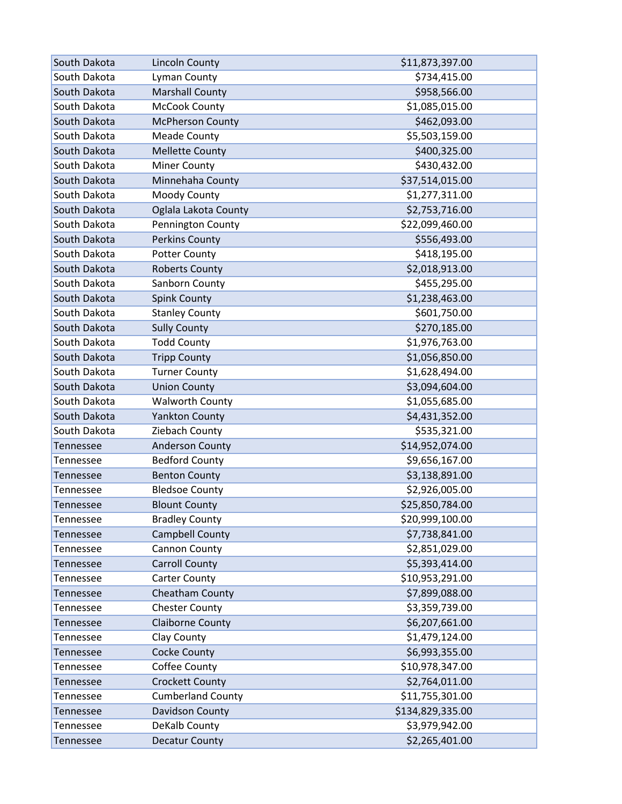| South Dakota     | <b>Lincoln County</b>    | \$11,873,397.00  |
|------------------|--------------------------|------------------|
| South Dakota     | Lyman County             | \$734,415.00     |
| South Dakota     | <b>Marshall County</b>   | \$958,566.00     |
| South Dakota     | <b>McCook County</b>     | \$1,085,015.00   |
| South Dakota     | <b>McPherson County</b>  | \$462,093.00     |
| South Dakota     | <b>Meade County</b>      | \$5,503,159.00   |
| South Dakota     | <b>Mellette County</b>   | \$400,325.00     |
| South Dakota     | <b>Miner County</b>      | \$430,432.00     |
| South Dakota     | Minnehaha County         | \$37,514,015.00  |
| South Dakota     | Moody County             | \$1,277,311.00   |
| South Dakota     | Oglala Lakota County     | \$2,753,716.00   |
| South Dakota     | Pennington County        | \$22,099,460.00  |
| South Dakota     | <b>Perkins County</b>    | \$556,493.00     |
| South Dakota     | <b>Potter County</b>     | \$418,195.00     |
| South Dakota     | <b>Roberts County</b>    | \$2,018,913.00   |
| South Dakota     | Sanborn County           | \$455,295.00     |
| South Dakota     | <b>Spink County</b>      | \$1,238,463.00   |
| South Dakota     | <b>Stanley County</b>    | \$601,750.00     |
| South Dakota     | <b>Sully County</b>      | \$270,185.00     |
| South Dakota     | <b>Todd County</b>       | \$1,976,763.00   |
| South Dakota     | <b>Tripp County</b>      | \$1,056,850.00   |
| South Dakota     | <b>Turner County</b>     | \$1,628,494.00   |
| South Dakota     | <b>Union County</b>      | \$3,094,604.00   |
| South Dakota     | <b>Walworth County</b>   | \$1,055,685.00   |
| South Dakota     | <b>Yankton County</b>    | \$4,431,352.00   |
| South Dakota     | Ziebach County           | \$535,321.00     |
| Tennessee        | <b>Anderson County</b>   | \$14,952,074.00  |
| Tennessee        | <b>Bedford County</b>    | \$9,656,167.00   |
| Tennessee        | <b>Benton County</b>     | \$3,138,891.00   |
| Tennessee        | <b>Bledsoe County</b>    | \$2,926,005.00   |
| Tennessee        | <b>Blount County</b>     | \$25,850,784.00  |
| Tennessee        | <b>Bradley County</b>    | \$20,999,100.00  |
| Tennessee        | Campbell County          | \$7,738,841.00   |
| Tennessee        | Cannon County            | \$2,851,029.00   |
| <b>Tennessee</b> | <b>Carroll County</b>    | \$5,393,414.00   |
| Tennessee        | <b>Carter County</b>     | \$10,953,291.00  |
| <b>Tennessee</b> | Cheatham County          | \$7,899,088.00   |
| Tennessee        | <b>Chester County</b>    | \$3,359,739.00   |
| <b>Tennessee</b> | Claiborne County         | \$6,207,661.00   |
| Tennessee        | Clay County              | \$1,479,124.00   |
| <b>Tennessee</b> | Cocke County             | \$6,993,355.00   |
| Tennessee        | Coffee County            | \$10,978,347.00  |
| Tennessee        | <b>Crockett County</b>   | \$2,764,011.00   |
| Tennessee        | <b>Cumberland County</b> | \$11,755,301.00  |
| Tennessee        | Davidson County          | \$134,829,335.00 |
| Tennessee        | DeKalb County            | \$3,979,942.00   |
| <b>Tennessee</b> | <b>Decatur County</b>    | \$2,265,401.00   |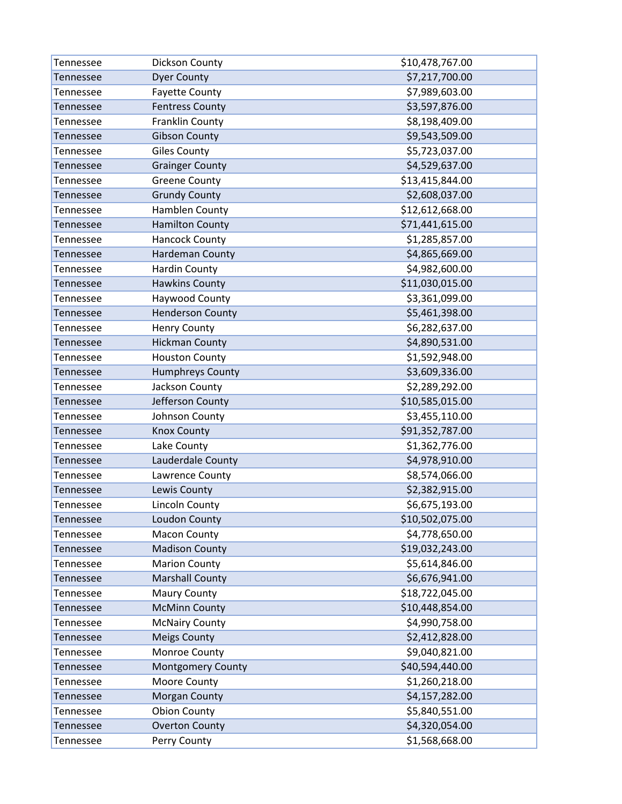| Tennessee        | Dickson County           | \$10,478,767.00 |
|------------------|--------------------------|-----------------|
| Tennessee        | <b>Dyer County</b>       | \$7,217,700.00  |
| Tennessee        | <b>Fayette County</b>    | \$7,989,603.00  |
| Tennessee        | <b>Fentress County</b>   | \$3,597,876.00  |
| Tennessee        | Franklin County          | \$8,198,409.00  |
| Tennessee        | <b>Gibson County</b>     | \$9,543,509.00  |
| Tennessee        | <b>Giles County</b>      | \$5,723,037.00  |
| Tennessee        | <b>Grainger County</b>   | \$4,529,637.00  |
| Tennessee        | <b>Greene County</b>     | \$13,415,844.00 |
| Tennessee        | <b>Grundy County</b>     | \$2,608,037.00  |
| Tennessee        | Hamblen County           | \$12,612,668.00 |
| Tennessee        | <b>Hamilton County</b>   | \$71,441,615.00 |
| Tennessee        | <b>Hancock County</b>    | \$1,285,857.00  |
| Tennessee        | Hardeman County          | \$4,865,669.00  |
| Tennessee        | <b>Hardin County</b>     | \$4,982,600.00  |
| Tennessee        | <b>Hawkins County</b>    | \$11,030,015.00 |
| Tennessee        | Haywood County           | \$3,361,099.00  |
| Tennessee        | <b>Henderson County</b>  | \$5,461,398.00  |
| Tennessee        | <b>Henry County</b>      | \$6,282,637.00  |
| Tennessee        | <b>Hickman County</b>    | \$4,890,531.00  |
| Tennessee        | <b>Houston County</b>    | \$1,592,948.00  |
| Tennessee        | <b>Humphreys County</b>  | \$3,609,336.00  |
| Tennessee        | Jackson County           | \$2,289,292.00  |
| Tennessee        | Jefferson County         | \$10,585,015.00 |
| Tennessee        | Johnson County           | \$3,455,110.00  |
| Tennessee        | <b>Knox County</b>       | \$91,352,787.00 |
| Tennessee        | Lake County              | \$1,362,776.00  |
| Tennessee        | Lauderdale County        | \$4,978,910.00  |
| Tennessee        | Lawrence County          | \$8,574,066.00  |
| Tennessee        | Lewis County             | \$2,382,915.00  |
| Tennessee        | Lincoln County           | \$6,675,193.00  |
| <b>Tennessee</b> | Loudon County            | \$10,502,075.00 |
| Tennessee        | <b>Macon County</b>      | \$4,778,650.00  |
| Tennessee        | <b>Madison County</b>    | \$19,032,243.00 |
| Tennessee        | <b>Marion County</b>     | \$5,614,846.00  |
| Tennessee        | <b>Marshall County</b>   | \$6,676,941.00  |
| Tennessee        | <b>Maury County</b>      | \$18,722,045.00 |
| Tennessee        | <b>McMinn County</b>     | \$10,448,854.00 |
| Tennessee        | <b>McNairy County</b>    | \$4,990,758.00  |
| Tennessee        | <b>Meigs County</b>      | \$2,412,828.00  |
| Tennessee        | Monroe County            | \$9,040,821.00  |
| Tennessee        | <b>Montgomery County</b> | \$40,594,440.00 |
| Tennessee        | Moore County             | \$1,260,218.00  |
| Tennessee        | Morgan County            | \$4,157,282.00  |
| Tennessee        | <b>Obion County</b>      | \$5,840,551.00  |
| Tennessee        | <b>Overton County</b>    | \$4,320,054.00  |
| Tennessee        | Perry County             | \$1,568,668.00  |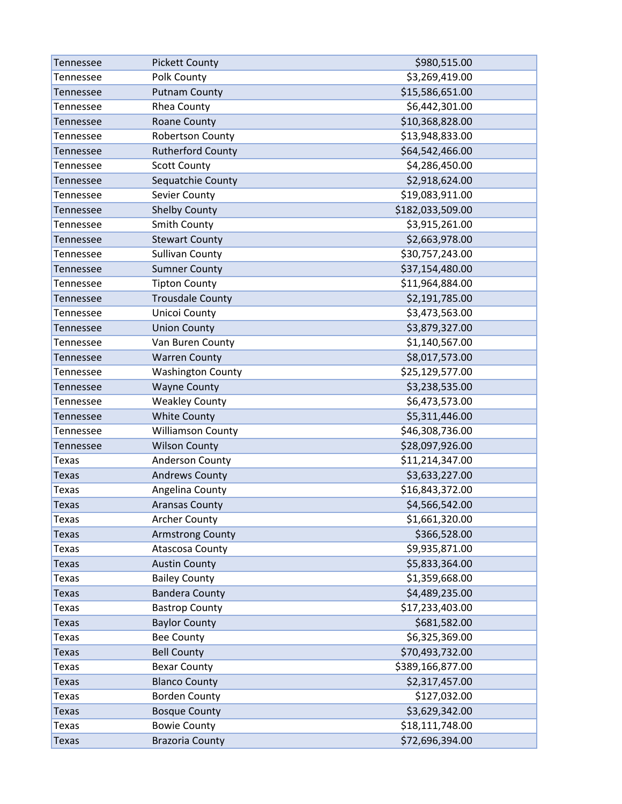| Tennessee    | <b>Pickett County</b>    | \$980,515.00     |
|--------------|--------------------------|------------------|
| Tennessee    | Polk County              | \$3,269,419.00   |
| Tennessee    | <b>Putnam County</b>     | \$15,586,651.00  |
| Tennessee    | Rhea County              | \$6,442,301.00   |
| Tennessee    | <b>Roane County</b>      | \$10,368,828.00  |
| Tennessee    | <b>Robertson County</b>  | \$13,948,833.00  |
| Tennessee    | <b>Rutherford County</b> | \$64,542,466.00  |
| Tennessee    | <b>Scott County</b>      | \$4,286,450.00   |
| Tennessee    | Sequatchie County        | \$2,918,624.00   |
| Tennessee    | Sevier County            | \$19,083,911.00  |
| Tennessee    | <b>Shelby County</b>     | \$182,033,509.00 |
| Tennessee    | Smith County             | \$3,915,261.00   |
| Tennessee    | <b>Stewart County</b>    | \$2,663,978.00   |
| Tennessee    | <b>Sullivan County</b>   | \$30,757,243.00  |
| Tennessee    | <b>Sumner County</b>     | \$37,154,480.00  |
| Tennessee    | <b>Tipton County</b>     | \$11,964,884.00  |
| Tennessee    | <b>Trousdale County</b>  | \$2,191,785.00   |
| Tennessee    | Unicoi County            | \$3,473,563.00   |
| Tennessee    | <b>Union County</b>      | \$3,879,327.00   |
| Tennessee    | Van Buren County         | \$1,140,567.00   |
| Tennessee    | <b>Warren County</b>     | \$8,017,573.00   |
| Tennessee    | <b>Washington County</b> | \$25,129,577.00  |
| Tennessee    | <b>Wayne County</b>      | \$3,238,535.00   |
| Tennessee    | <b>Weakley County</b>    | \$6,473,573.00   |
| Tennessee    | <b>White County</b>      | \$5,311,446.00   |
| Tennessee    | <b>Williamson County</b> | \$46,308,736.00  |
| Tennessee    | <b>Wilson County</b>     | \$28,097,926.00  |
| <b>Texas</b> | Anderson County          | \$11,214,347.00  |
| <b>Texas</b> | <b>Andrews County</b>    | \$3,633,227.00   |
| Texas        | Angelina County          | \$16,843,372.00  |
| <b>Texas</b> | <b>Aransas County</b>    | \$4,566,542.00   |
| Texas        | <b>Archer County</b>     | \$1,661,320.00   |
| <b>Texas</b> | <b>Armstrong County</b>  | \$366,528.00     |
| <b>Texas</b> | <b>Atascosa County</b>   | \$9,935,871.00   |
| <b>Texas</b> | <b>Austin County</b>     | \$5,833,364.00   |
| <b>Texas</b> | <b>Bailey County</b>     | \$1,359,668.00   |
| <b>Texas</b> | <b>Bandera County</b>    | \$4,489,235.00   |
| <b>Texas</b> | <b>Bastrop County</b>    | \$17,233,403.00  |
| <b>Texas</b> | <b>Baylor County</b>     | \$681,582.00     |
| <b>Texas</b> | <b>Bee County</b>        | \$6,325,369.00   |
| <b>Texas</b> | <b>Bell County</b>       | \$70,493,732.00  |
| <b>Texas</b> | <b>Bexar County</b>      | \$389,166,877.00 |
| <b>Texas</b> | <b>Blanco County</b>     | \$2,317,457.00   |
| <b>Texas</b> | <b>Borden County</b>     | \$127,032.00     |
| <b>Texas</b> | <b>Bosque County</b>     | \$3,629,342.00   |
| <b>Texas</b> | <b>Bowie County</b>      | \$18,111,748.00  |
| <b>Texas</b> | <b>Brazoria County</b>   | \$72,696,394.00  |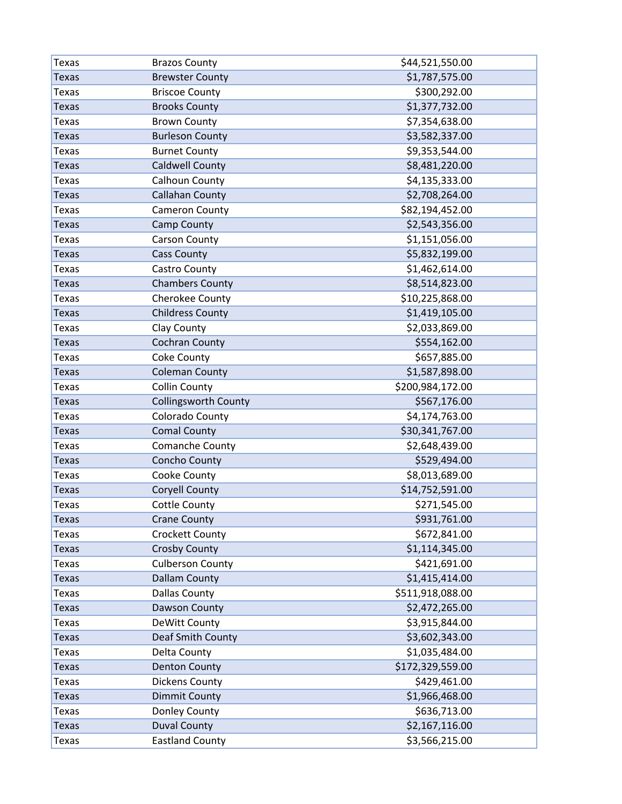| Texas        | <b>Brazos County</b>        | \$44,521,550.00  |
|--------------|-----------------------------|------------------|
| <b>Texas</b> | <b>Brewster County</b>      | \$1,787,575.00   |
| <b>Texas</b> | <b>Briscoe County</b>       | \$300,292.00     |
| <b>Texas</b> | <b>Brooks County</b>        | \$1,377,732.00   |
| <b>Texas</b> | <b>Brown County</b>         | \$7,354,638.00   |
| <b>Texas</b> | <b>Burleson County</b>      | \$3,582,337.00   |
| <b>Texas</b> | <b>Burnet County</b>        | \$9,353,544.00   |
| <b>Texas</b> | <b>Caldwell County</b>      | \$8,481,220.00   |
| <b>Texas</b> | Calhoun County              | \$4,135,333.00   |
| <b>Texas</b> | <b>Callahan County</b>      | \$2,708,264.00   |
| <b>Texas</b> | <b>Cameron County</b>       | \$82,194,452.00  |
| Texas        | Camp County                 | \$2,543,356.00   |
| <b>Texas</b> | <b>Carson County</b>        | \$1,151,056.00   |
| <b>Texas</b> | <b>Cass County</b>          | \$5,832,199.00   |
| <b>Texas</b> | Castro County               | \$1,462,614.00   |
| <b>Texas</b> | <b>Chambers County</b>      | \$8,514,823.00   |
| <b>Texas</b> | Cherokee County             | \$10,225,868.00  |
| <b>Texas</b> | <b>Childress County</b>     | \$1,419,105.00   |
| <b>Texas</b> | Clay County                 | \$2,033,869.00   |
| <b>Texas</b> | Cochran County              | \$554,162.00     |
| Texas        | Coke County                 | \$657,885.00     |
| <b>Texas</b> | <b>Coleman County</b>       | \$1,587,898.00   |
| <b>Texas</b> | <b>Collin County</b>        | \$200,984,172.00 |
| Texas        | <b>Collingsworth County</b> | \$567,176.00     |
| <b>Texas</b> | Colorado County             | \$4,174,763.00   |
| <b>Texas</b> | <b>Comal County</b>         | \$30,341,767.00  |
| <b>Texas</b> | Comanche County             | \$2,648,439.00   |
| <b>Texas</b> | Concho County               | \$529,494.00     |
| <b>Texas</b> | Cooke County                | \$8,013,689.00   |
| <b>Texas</b> | <b>Coryell County</b>       | \$14,752,591.00  |
| <b>Texas</b> | <b>Cottle County</b>        | \$271,545.00     |
| Texas        | <b>Crane County</b>         | \$931,761.00     |
| <b>Texas</b> | Crockett County             | \$672,841.00     |
| <b>Texas</b> | <b>Crosby County</b>        | \$1,114,345.00   |
| <b>Texas</b> | <b>Culberson County</b>     | \$421,691.00     |
| <b>Texas</b> | <b>Dallam County</b>        | \$1,415,414.00   |
| <b>Texas</b> | <b>Dallas County</b>        | \$511,918,088.00 |
| <b>Texas</b> | Dawson County               | \$2,472,265.00   |
| <b>Texas</b> | DeWitt County               | \$3,915,844.00   |
| <b>Texas</b> | Deaf Smith County           | \$3,602,343.00   |
| <b>Texas</b> | Delta County                | \$1,035,484.00   |
| <b>Texas</b> | <b>Denton County</b>        | \$172,329,559.00 |
| <b>Texas</b> | <b>Dickens County</b>       | \$429,461.00     |
| <b>Texas</b> | <b>Dimmit County</b>        | \$1,966,468.00   |
| <b>Texas</b> | Donley County               | \$636,713.00     |
| <b>Texas</b> | <b>Duval County</b>         | \$2,167,116.00   |
| <b>Texas</b> | <b>Eastland County</b>      | \$3,566,215.00   |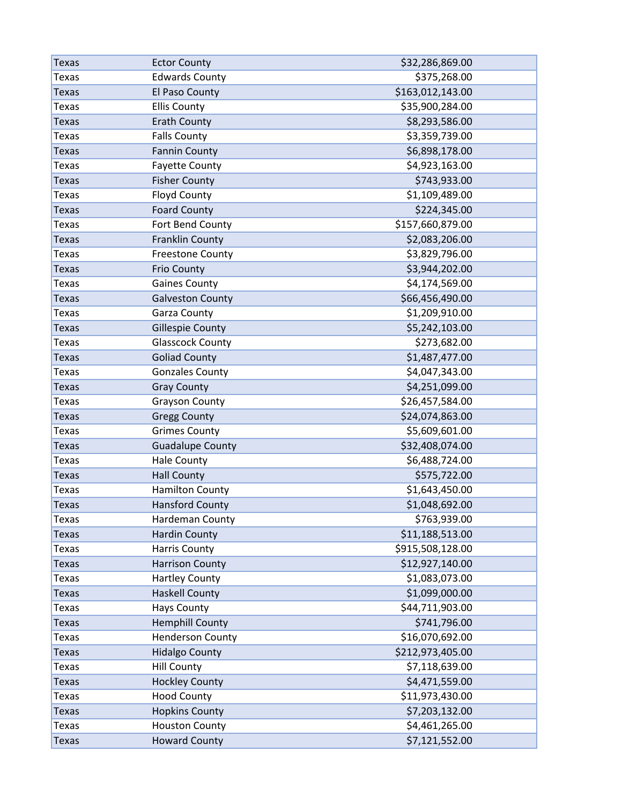| <b>Texas</b> | <b>Ector County</b>     | \$32,286,869.00  |
|--------------|-------------------------|------------------|
| <b>Texas</b> | <b>Edwards County</b>   | \$375,268.00     |
| <b>Texas</b> | El Paso County          | \$163,012,143.00 |
| <b>Texas</b> | <b>Ellis County</b>     | \$35,900,284.00  |
| <b>Texas</b> | <b>Erath County</b>     | \$8,293,586.00   |
| <b>Texas</b> | <b>Falls County</b>     | \$3,359,739.00   |
| Texas        | <b>Fannin County</b>    | \$6,898,178.00   |
| <b>Texas</b> | <b>Fayette County</b>   | \$4,923,163.00   |
| <b>Texas</b> | <b>Fisher County</b>    | \$743,933.00     |
| <b>Texas</b> | <b>Floyd County</b>     | \$1,109,489.00   |
| <b>Texas</b> | <b>Foard County</b>     | \$224,345.00     |
| <b>Texas</b> | Fort Bend County        | \$157,660,879.00 |
| <b>Texas</b> | <b>Franklin County</b>  | \$2,083,206.00   |
| <b>Texas</b> | <b>Freestone County</b> | \$3,829,796.00   |
| <b>Texas</b> | <b>Frio County</b>      | \$3,944,202.00   |
| Texas        | <b>Gaines County</b>    | \$4,174,569.00   |
| <b>Texas</b> | <b>Galveston County</b> | \$66,456,490.00  |
| <b>Texas</b> | Garza County            | \$1,209,910.00   |
| Texas        | <b>Gillespie County</b> | \$5,242,103.00   |
| <b>Texas</b> | <b>Glasscock County</b> | \$273,682.00     |
| <b>Texas</b> | <b>Goliad County</b>    | \$1,487,477.00   |
| <b>Texas</b> | <b>Gonzales County</b>  | \$4,047,343.00   |
| <b>Texas</b> | <b>Gray County</b>      | \$4,251,099.00   |
| <b>Texas</b> | <b>Grayson County</b>   | \$26,457,584.00  |
| <b>Texas</b> | <b>Gregg County</b>     | \$24,074,863.00  |
| <b>Texas</b> | <b>Grimes County</b>    | \$5,609,601.00   |
| <b>Texas</b> | <b>Guadalupe County</b> | \$32,408,074.00  |
| Texas        | <b>Hale County</b>      | \$6,488,724.00   |
| <b>Texas</b> | <b>Hall County</b>      | \$575,722.00     |
| <b>Texas</b> | <b>Hamilton County</b>  | \$1,643,450.00   |
| <b>Texas</b> | <b>Hansford County</b>  | \$1,048,692.00   |
| Texas        | Hardeman County         | \$763,939.00     |
| <b>Texas</b> | <b>Hardin County</b>    | \$11,188,513.00  |
| <b>Texas</b> | <b>Harris County</b>    | \$915,508,128.00 |
| <b>Texas</b> | <b>Harrison County</b>  | \$12,927,140.00  |
| <b>Texas</b> | <b>Hartley County</b>   | \$1,083,073.00   |
| <b>Texas</b> | <b>Haskell County</b>   | \$1,099,000.00   |
| <b>Texas</b> | <b>Hays County</b>      | \$44,711,903.00  |
| <b>Texas</b> | <b>Hemphill County</b>  | \$741,796.00     |
| <b>Texas</b> | <b>Henderson County</b> | \$16,070,692.00  |
| <b>Texas</b> | <b>Hidalgo County</b>   | \$212,973,405.00 |
| <b>Texas</b> | <b>Hill County</b>      | \$7,118,639.00   |
| <b>Texas</b> | <b>Hockley County</b>   | \$4,471,559.00   |
| <b>Texas</b> | <b>Hood County</b>      | \$11,973,430.00  |
| <b>Texas</b> | <b>Hopkins County</b>   | \$7,203,132.00   |
| <b>Texas</b> | <b>Houston County</b>   | \$4,461,265.00   |
| <b>Texas</b> | <b>Howard County</b>    | \$7,121,552.00   |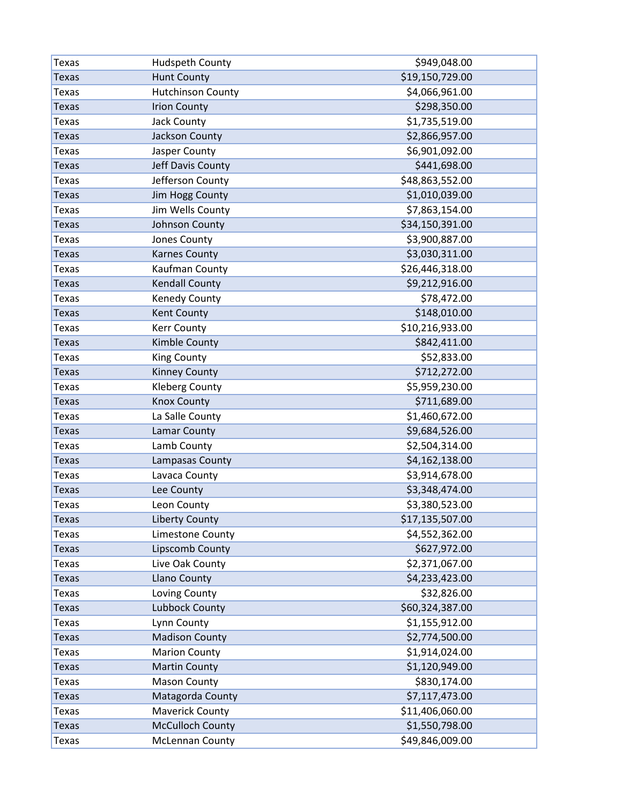| <b>Texas</b> | Hudspeth County          | \$949,048.00    |
|--------------|--------------------------|-----------------|
| <b>Texas</b> | <b>Hunt County</b>       | \$19,150,729.00 |
| <b>Texas</b> | <b>Hutchinson County</b> | \$4,066,961.00  |
| <b>Texas</b> | <b>Irion County</b>      | \$298,350.00    |
| <b>Texas</b> | Jack County              | \$1,735,519.00  |
| Texas        | Jackson County           | \$2,866,957.00  |
| <b>Texas</b> | Jasper County            | \$6,901,092.00  |
| <b>Texas</b> | Jeff Davis County        | \$441,698.00    |
| <b>Texas</b> | Jefferson County         | \$48,863,552.00 |
| <b>Texas</b> | <b>Jim Hogg County</b>   | \$1,010,039.00  |
| <b>Texas</b> | Jim Wells County         | \$7,863,154.00  |
| <b>Texas</b> | Johnson County           | \$34,150,391.00 |
| <b>Texas</b> | Jones County             | \$3,900,887.00  |
| <b>Texas</b> | <b>Karnes County</b>     | \$3,030,311.00  |
| <b>Texas</b> | Kaufman County           | \$26,446,318.00 |
| Texas        | <b>Kendall County</b>    | \$9,212,916.00  |
| <b>Texas</b> | Kenedy County            | \$78,472.00     |
| <b>Texas</b> | Kent County              | \$148,010.00    |
| <b>Texas</b> | <b>Kerr County</b>       | \$10,216,933.00 |
| <b>Texas</b> | Kimble County            | \$842,411.00    |
| <b>Texas</b> | <b>King County</b>       | \$52,833.00     |
| <b>Texas</b> | <b>Kinney County</b>     | \$712,272.00    |
| <b>Texas</b> | <b>Kleberg County</b>    | \$5,959,230.00  |
| <b>Texas</b> | <b>Knox County</b>       | \$711,689.00    |
| <b>Texas</b> | La Salle County          | \$1,460,672.00  |
| <b>Texas</b> | Lamar County             | \$9,684,526.00  |
| <b>Texas</b> | Lamb County              | \$2,504,314.00  |
| <b>Texas</b> | Lampasas County          | \$4,162,138.00  |
| <b>Texas</b> | Lavaca County            | \$3,914,678.00  |
| <b>Texas</b> | Lee County               | \$3,348,474.00  |
| <b>Texas</b> | Leon County              | \$3,380,523.00  |
| <b>Texas</b> | <b>Liberty County</b>    | \$17,135,507.00 |
| <b>Texas</b> | Limestone County         | \$4,552,362.00  |
| <b>Texas</b> | Lipscomb County          | \$627,972.00    |
| <b>Texas</b> | Live Oak County          | \$2,371,067.00  |
| <b>Texas</b> | Llano County             | \$4,233,423.00  |
| <b>Texas</b> | Loving County            | \$32,826.00     |
| <b>Texas</b> | Lubbock County           | \$60,324,387.00 |
| <b>Texas</b> | Lynn County              | \$1,155,912.00  |
| <b>Texas</b> | <b>Madison County</b>    | \$2,774,500.00  |
| <b>Texas</b> | <b>Marion County</b>     | \$1,914,024.00  |
| <b>Texas</b> | <b>Martin County</b>     | \$1,120,949.00  |
| <b>Texas</b> | <b>Mason County</b>      | \$830,174.00    |
| <b>Texas</b> | Matagorda County         | \$7,117,473.00  |
| <b>Texas</b> | <b>Maverick County</b>   | \$11,406,060.00 |
| <b>Texas</b> | <b>McCulloch County</b>  | \$1,550,798.00  |
| <b>Texas</b> | <b>McLennan County</b>   | \$49,846,009.00 |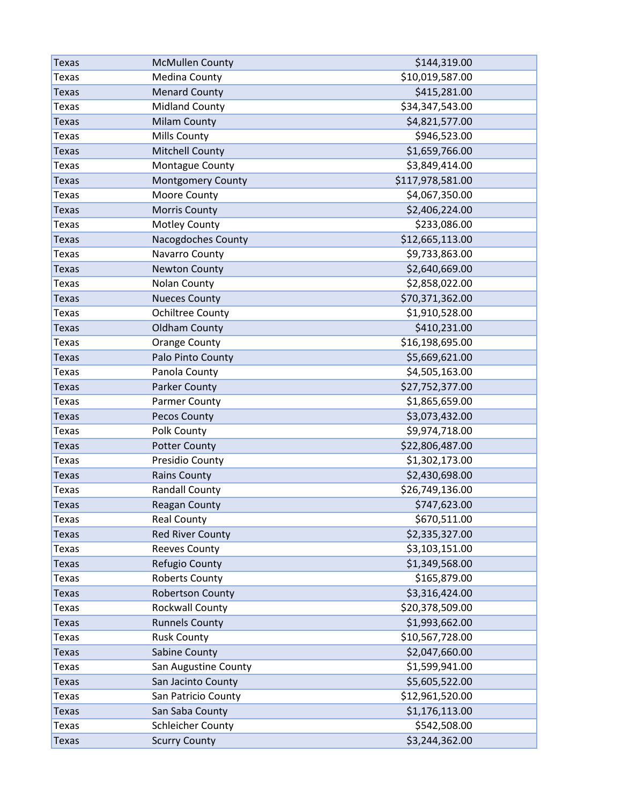| Texas        | <b>McMullen County</b>   | \$144,319.00     |
|--------------|--------------------------|------------------|
| <b>Texas</b> | <b>Medina County</b>     | \$10,019,587.00  |
| <b>Texas</b> | <b>Menard County</b>     | \$415,281.00     |
| <b>Texas</b> | <b>Midland County</b>    | \$34,347,543.00  |
| <b>Texas</b> | <b>Milam County</b>      | \$4,821,577.00   |
| <b>Texas</b> | Mills County             | \$946,523.00     |
| <b>Texas</b> | <b>Mitchell County</b>   | \$1,659,766.00   |
| <b>Texas</b> | Montague County          | \$3,849,414.00   |
| <b>Texas</b> | <b>Montgomery County</b> | \$117,978,581.00 |
| <b>Texas</b> | Moore County             | \$4,067,350.00   |
| <b>Texas</b> | <b>Morris County</b>     | \$2,406,224.00   |
| <b>Texas</b> | <b>Motley County</b>     | \$233,086.00     |
| <b>Texas</b> | Nacogdoches County       | \$12,665,113.00  |
| <b>Texas</b> | Navarro County           | \$9,733,863.00   |
| <b>Texas</b> | <b>Newton County</b>     | \$2,640,669.00   |
| <b>Texas</b> | <b>Nolan County</b>      | \$2,858,022.00   |
| <b>Texas</b> | <b>Nueces County</b>     | \$70,371,362.00  |
| <b>Texas</b> | <b>Ochiltree County</b>  | \$1,910,528.00   |
| Texas        | <b>Oldham County</b>     | \$410,231.00     |
| <b>Texas</b> | <b>Orange County</b>     | \$16,198,695.00  |
| <b>Texas</b> | Palo Pinto County        | \$5,669,621.00   |
| <b>Texas</b> | Panola County            | \$4,505,163.00   |
| <b>Texas</b> | <b>Parker County</b>     | \$27,752,377.00  |
| <b>Texas</b> | Parmer County            | \$1,865,659.00   |
| <b>Texas</b> | Pecos County             | \$3,073,432.00   |
| <b>Texas</b> | Polk County              | \$9,974,718.00   |
| <b>Texas</b> | <b>Potter County</b>     | \$22,806,487.00  |
| <b>Texas</b> | Presidio County          | \$1,302,173.00   |
| <b>Texas</b> | <b>Rains County</b>      | \$2,430,698.00   |
| <b>Texas</b> | <b>Randall County</b>    | \$26,749,136.00  |
| <b>Texas</b> | <b>Reagan County</b>     | \$747,623.00     |
| Texas        | <b>Real County</b>       | \$670,511.00     |
| <b>Texas</b> | <b>Red River County</b>  | \$2,335,327.00   |
| <b>Texas</b> | <b>Reeves County</b>     | \$3,103,151.00   |
| <b>Texas</b> | Refugio County           | \$1,349,568.00   |
| <b>Texas</b> | <b>Roberts County</b>    | \$165,879.00     |
| <b>Texas</b> | <b>Robertson County</b>  | \$3,316,424.00   |
| <b>Texas</b> | <b>Rockwall County</b>   | \$20,378,509.00  |
| <b>Texas</b> | <b>Runnels County</b>    | \$1,993,662.00   |
| <b>Texas</b> | <b>Rusk County</b>       | \$10,567,728.00  |
| <b>Texas</b> | Sabine County            | \$2,047,660.00   |
| <b>Texas</b> | San Augustine County     | \$1,599,941.00   |
| <b>Texas</b> | San Jacinto County       | \$5,605,522.00   |
| <b>Texas</b> | San Patricio County      | \$12,961,520.00  |
| <b>Texas</b> | San Saba County          | \$1,176,113.00   |
| <b>Texas</b> | <b>Schleicher County</b> | \$542,508.00     |
| <b>Texas</b> | <b>Scurry County</b>     | \$3,244,362.00   |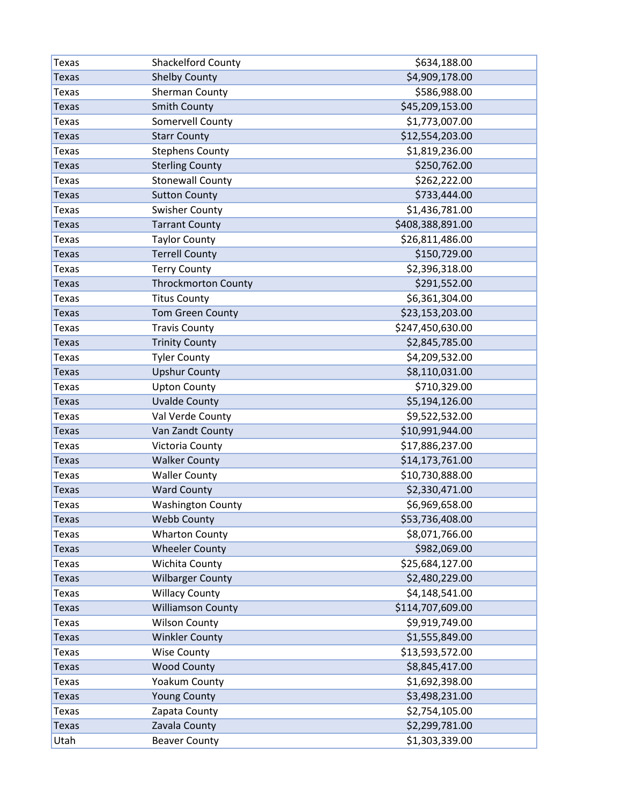| Texas        | Shackelford County         | \$634,188.00     |
|--------------|----------------------------|------------------|
| <b>Texas</b> | <b>Shelby County</b>       | \$4,909,178.00   |
| <b>Texas</b> | Sherman County             | \$586,988.00     |
| <b>Texas</b> | <b>Smith County</b>        | \$45,209,153.00  |
| <b>Texas</b> | Somervell County           | \$1,773,007.00   |
| <b>Texas</b> | <b>Starr County</b>        | \$12,554,203.00  |
| <b>Texas</b> | <b>Stephens County</b>     | \$1,819,236.00   |
| <b>Texas</b> | <b>Sterling County</b>     | \$250,762.00     |
| <b>Texas</b> | <b>Stonewall County</b>    | \$262,222.00     |
| <b>Texas</b> | <b>Sutton County</b>       | \$733,444.00     |
| <b>Texas</b> | <b>Swisher County</b>      | \$1,436,781.00   |
| Texas        | <b>Tarrant County</b>      | \$408,388,891.00 |
| <b>Texas</b> | <b>Taylor County</b>       | \$26,811,486.00  |
| <b>Texas</b> | <b>Terrell County</b>      | \$150,729.00     |
| <b>Texas</b> | <b>Terry County</b>        | \$2,396,318.00   |
| <b>Texas</b> | <b>Throckmorton County</b> | \$291,552.00     |
| <b>Texas</b> | <b>Titus County</b>        | \$6,361,304.00   |
| <b>Texas</b> | <b>Tom Green County</b>    | \$23,153,203.00  |
| <b>Texas</b> | <b>Travis County</b>       | \$247,450,630.00 |
| <b>Texas</b> | <b>Trinity County</b>      | \$2,845,785.00   |
| Texas        | <b>Tyler County</b>        | \$4,209,532.00   |
| <b>Texas</b> | <b>Upshur County</b>       | \$8,110,031.00   |
| <b>Texas</b> | <b>Upton County</b>        | \$710,329.00     |
| Texas        | <b>Uvalde County</b>       | \$5,194,126.00   |
| <b>Texas</b> | Val Verde County           | \$9,522,532.00   |
| <b>Texas</b> | Van Zandt County           | \$10,991,944.00  |
| <b>Texas</b> | Victoria County            | \$17,886,237.00  |
| <b>Texas</b> | <b>Walker County</b>       | \$14,173,761.00  |
| <b>Texas</b> | <b>Waller County</b>       | \$10,730,888.00  |
| <b>Texas</b> | <b>Ward County</b>         | \$2,330,471.00   |
| <b>Texas</b> | <b>Washington County</b>   | \$6,969,658.00   |
| Texas        | <b>Webb County</b>         | \$53,736,408.00  |
| <b>Texas</b> | <b>Wharton County</b>      | \$8,071,766.00   |
| <b>Texas</b> | <b>Wheeler County</b>      | \$982,069.00     |
| <b>Texas</b> | Wichita County             | \$25,684,127.00  |
| <b>Texas</b> | <b>Wilbarger County</b>    | \$2,480,229.00   |
| <b>Texas</b> | <b>Willacy County</b>      | \$4,148,541.00   |
| <b>Texas</b> | <b>Williamson County</b>   | \$114,707,609.00 |
| <b>Texas</b> | <b>Wilson County</b>       | \$9,919,749.00   |
| <b>Texas</b> | <b>Winkler County</b>      | \$1,555,849.00   |
| <b>Texas</b> | <b>Wise County</b>         | \$13,593,572.00  |
| <b>Texas</b> | <b>Wood County</b>         | \$8,845,417.00   |
| <b>Texas</b> | Yoakum County              | \$1,692,398.00   |
| <b>Texas</b> | <b>Young County</b>        | \$3,498,231.00   |
| <b>Texas</b> | Zapata County              | \$2,754,105.00   |
| <b>Texas</b> | Zavala County              | \$2,299,781.00   |
| Utah         | <b>Beaver County</b>       | \$1,303,339.00   |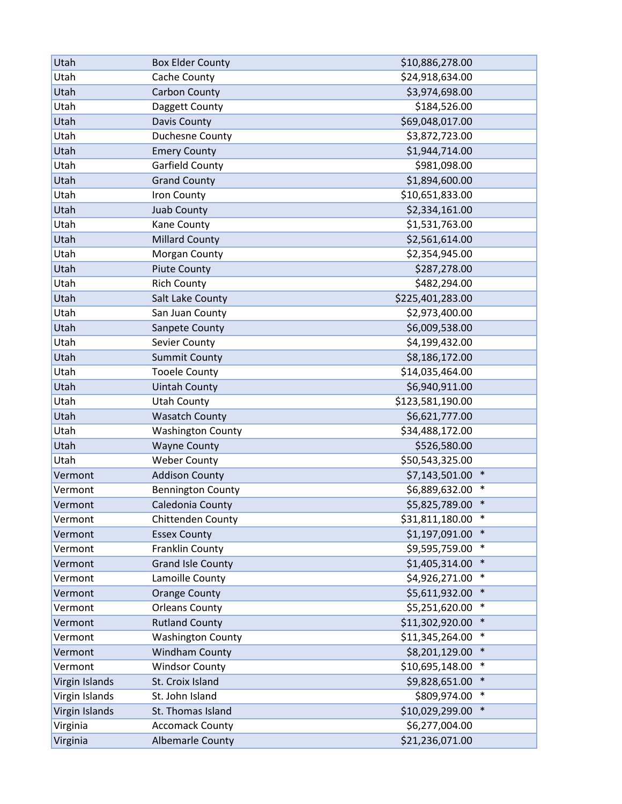| Utah<br>Cache County<br>\$24,918,634.00<br>Utah<br><b>Carbon County</b><br>\$3,974,698.00<br>Utah<br>Daggett County<br>\$184,526.00<br>\$69,048,017.00<br>Utah<br>Davis County<br>Utah<br>Duchesne County<br>\$3,872,723.00<br>Utah<br>\$1,944,714.00<br><b>Emery County</b><br>Garfield County<br>\$981,098.00<br>Utah<br><b>Grand County</b><br>\$1,894,600.00<br>Utah<br>Utah<br>\$10,651,833.00<br>Iron County<br>Juab County<br>\$2,334,161.00<br>Utah<br>Utah<br>\$1,531,763.00<br>Kane County<br>\$2,561,614.00<br>Utah<br><b>Millard County</b><br>\$2,354,945.00<br>Utah<br>Morgan County<br>\$287,278.00<br>Utah<br><b>Piute County</b><br>Utah<br><b>Rich County</b><br>\$482,294.00<br>\$225,401,283.00<br>Utah<br>Salt Lake County<br>\$2,973,400.00<br>Utah<br>San Juan County<br>Utah<br>\$6,009,538.00<br>Sanpete County<br>Utah<br>\$4,199,432.00<br>Sevier County<br>\$8,186,172.00<br>Utah<br><b>Summit County</b><br>Utah<br><b>Tooele County</b><br>\$14,035,464.00<br>Utah<br><b>Uintah County</b><br>\$6,940,911.00<br>\$123,581,190.00<br>Utah<br><b>Utah County</b><br>\$6,621,777.00<br>Utah<br><b>Wasatch County</b><br>Utah<br>\$34,488,172.00<br><b>Washington County</b><br>\$526,580.00<br>Utah<br><b>Wayne County</b><br>Utah<br><b>Weber County</b><br>\$50,543,325.00<br>$\ast$<br><b>Addison County</b><br>\$7,143,501.00<br>Vermont<br>\$6,889,632.00<br>$\ast$<br><b>Bennington County</b><br>Vermont<br>\$5,825,789.00<br>$\ast$<br>Caledonia County<br>Vermont<br>$\ast$<br>Chittenden County<br>\$31,811,180.00<br>Vermont<br><b>Essex County</b><br>\$1,197,091.00<br>$\ast$<br>Vermont<br>\$9,595,759.00<br>$\ast$<br>Franklin County<br>Vermont<br>$\ast$<br>\$1,405,314.00<br>Vermont<br><b>Grand Isle County</b><br>Lamoille County<br>\$4,926,271.00<br>$\ast$<br>Vermont<br>\$5,611,932.00<br>$\ast$<br><b>Orange County</b><br>Vermont<br>\$5,251,620.00<br>$\ast$<br>Vermont<br><b>Orleans County</b><br><b>Rutland County</b><br>\$11,302,920.00<br>$\ast$<br>Vermont<br>\$11,345,264.00<br>$\ast$<br>Vermont<br><b>Washington County</b><br>$\ast$ | Utah    | <b>Box Elder County</b> | \$10,886,278.00 |
|-------------------------------------------------------------------------------------------------------------------------------------------------------------------------------------------------------------------------------------------------------------------------------------------------------------------------------------------------------------------------------------------------------------------------------------------------------------------------------------------------------------------------------------------------------------------------------------------------------------------------------------------------------------------------------------------------------------------------------------------------------------------------------------------------------------------------------------------------------------------------------------------------------------------------------------------------------------------------------------------------------------------------------------------------------------------------------------------------------------------------------------------------------------------------------------------------------------------------------------------------------------------------------------------------------------------------------------------------------------------------------------------------------------------------------------------------------------------------------------------------------------------------------------------------------------------------------------------------------------------------------------------------------------------------------------------------------------------------------------------------------------------------------------------------------------------------------------------------------------------------------------------------------------------------------------------------------------------------------------------------------------------------------------------------------------------------------------------------------|---------|-------------------------|-----------------|
|                                                                                                                                                                                                                                                                                                                                                                                                                                                                                                                                                                                                                                                                                                                                                                                                                                                                                                                                                                                                                                                                                                                                                                                                                                                                                                                                                                                                                                                                                                                                                                                                                                                                                                                                                                                                                                                                                                                                                                                                                                                                                                       |         |                         |                 |
|                                                                                                                                                                                                                                                                                                                                                                                                                                                                                                                                                                                                                                                                                                                                                                                                                                                                                                                                                                                                                                                                                                                                                                                                                                                                                                                                                                                                                                                                                                                                                                                                                                                                                                                                                                                                                                                                                                                                                                                                                                                                                                       |         |                         |                 |
|                                                                                                                                                                                                                                                                                                                                                                                                                                                                                                                                                                                                                                                                                                                                                                                                                                                                                                                                                                                                                                                                                                                                                                                                                                                                                                                                                                                                                                                                                                                                                                                                                                                                                                                                                                                                                                                                                                                                                                                                                                                                                                       |         |                         |                 |
|                                                                                                                                                                                                                                                                                                                                                                                                                                                                                                                                                                                                                                                                                                                                                                                                                                                                                                                                                                                                                                                                                                                                                                                                                                                                                                                                                                                                                                                                                                                                                                                                                                                                                                                                                                                                                                                                                                                                                                                                                                                                                                       |         |                         |                 |
|                                                                                                                                                                                                                                                                                                                                                                                                                                                                                                                                                                                                                                                                                                                                                                                                                                                                                                                                                                                                                                                                                                                                                                                                                                                                                                                                                                                                                                                                                                                                                                                                                                                                                                                                                                                                                                                                                                                                                                                                                                                                                                       |         |                         |                 |
|                                                                                                                                                                                                                                                                                                                                                                                                                                                                                                                                                                                                                                                                                                                                                                                                                                                                                                                                                                                                                                                                                                                                                                                                                                                                                                                                                                                                                                                                                                                                                                                                                                                                                                                                                                                                                                                                                                                                                                                                                                                                                                       |         |                         |                 |
|                                                                                                                                                                                                                                                                                                                                                                                                                                                                                                                                                                                                                                                                                                                                                                                                                                                                                                                                                                                                                                                                                                                                                                                                                                                                                                                                                                                                                                                                                                                                                                                                                                                                                                                                                                                                                                                                                                                                                                                                                                                                                                       |         |                         |                 |
|                                                                                                                                                                                                                                                                                                                                                                                                                                                                                                                                                                                                                                                                                                                                                                                                                                                                                                                                                                                                                                                                                                                                                                                                                                                                                                                                                                                                                                                                                                                                                                                                                                                                                                                                                                                                                                                                                                                                                                                                                                                                                                       |         |                         |                 |
|                                                                                                                                                                                                                                                                                                                                                                                                                                                                                                                                                                                                                                                                                                                                                                                                                                                                                                                                                                                                                                                                                                                                                                                                                                                                                                                                                                                                                                                                                                                                                                                                                                                                                                                                                                                                                                                                                                                                                                                                                                                                                                       |         |                         |                 |
|                                                                                                                                                                                                                                                                                                                                                                                                                                                                                                                                                                                                                                                                                                                                                                                                                                                                                                                                                                                                                                                                                                                                                                                                                                                                                                                                                                                                                                                                                                                                                                                                                                                                                                                                                                                                                                                                                                                                                                                                                                                                                                       |         |                         |                 |
|                                                                                                                                                                                                                                                                                                                                                                                                                                                                                                                                                                                                                                                                                                                                                                                                                                                                                                                                                                                                                                                                                                                                                                                                                                                                                                                                                                                                                                                                                                                                                                                                                                                                                                                                                                                                                                                                                                                                                                                                                                                                                                       |         |                         |                 |
|                                                                                                                                                                                                                                                                                                                                                                                                                                                                                                                                                                                                                                                                                                                                                                                                                                                                                                                                                                                                                                                                                                                                                                                                                                                                                                                                                                                                                                                                                                                                                                                                                                                                                                                                                                                                                                                                                                                                                                                                                                                                                                       |         |                         |                 |
|                                                                                                                                                                                                                                                                                                                                                                                                                                                                                                                                                                                                                                                                                                                                                                                                                                                                                                                                                                                                                                                                                                                                                                                                                                                                                                                                                                                                                                                                                                                                                                                                                                                                                                                                                                                                                                                                                                                                                                                                                                                                                                       |         |                         |                 |
|                                                                                                                                                                                                                                                                                                                                                                                                                                                                                                                                                                                                                                                                                                                                                                                                                                                                                                                                                                                                                                                                                                                                                                                                                                                                                                                                                                                                                                                                                                                                                                                                                                                                                                                                                                                                                                                                                                                                                                                                                                                                                                       |         |                         |                 |
|                                                                                                                                                                                                                                                                                                                                                                                                                                                                                                                                                                                                                                                                                                                                                                                                                                                                                                                                                                                                                                                                                                                                                                                                                                                                                                                                                                                                                                                                                                                                                                                                                                                                                                                                                                                                                                                                                                                                                                                                                                                                                                       |         |                         |                 |
|                                                                                                                                                                                                                                                                                                                                                                                                                                                                                                                                                                                                                                                                                                                                                                                                                                                                                                                                                                                                                                                                                                                                                                                                                                                                                                                                                                                                                                                                                                                                                                                                                                                                                                                                                                                                                                                                                                                                                                                                                                                                                                       |         |                         |                 |
|                                                                                                                                                                                                                                                                                                                                                                                                                                                                                                                                                                                                                                                                                                                                                                                                                                                                                                                                                                                                                                                                                                                                                                                                                                                                                                                                                                                                                                                                                                                                                                                                                                                                                                                                                                                                                                                                                                                                                                                                                                                                                                       |         |                         |                 |
|                                                                                                                                                                                                                                                                                                                                                                                                                                                                                                                                                                                                                                                                                                                                                                                                                                                                                                                                                                                                                                                                                                                                                                                                                                                                                                                                                                                                                                                                                                                                                                                                                                                                                                                                                                                                                                                                                                                                                                                                                                                                                                       |         |                         |                 |
|                                                                                                                                                                                                                                                                                                                                                                                                                                                                                                                                                                                                                                                                                                                                                                                                                                                                                                                                                                                                                                                                                                                                                                                                                                                                                                                                                                                                                                                                                                                                                                                                                                                                                                                                                                                                                                                                                                                                                                                                                                                                                                       |         |                         |                 |
|                                                                                                                                                                                                                                                                                                                                                                                                                                                                                                                                                                                                                                                                                                                                                                                                                                                                                                                                                                                                                                                                                                                                                                                                                                                                                                                                                                                                                                                                                                                                                                                                                                                                                                                                                                                                                                                                                                                                                                                                                                                                                                       |         |                         |                 |
|                                                                                                                                                                                                                                                                                                                                                                                                                                                                                                                                                                                                                                                                                                                                                                                                                                                                                                                                                                                                                                                                                                                                                                                                                                                                                                                                                                                                                                                                                                                                                                                                                                                                                                                                                                                                                                                                                                                                                                                                                                                                                                       |         |                         |                 |
|                                                                                                                                                                                                                                                                                                                                                                                                                                                                                                                                                                                                                                                                                                                                                                                                                                                                                                                                                                                                                                                                                                                                                                                                                                                                                                                                                                                                                                                                                                                                                                                                                                                                                                                                                                                                                                                                                                                                                                                                                                                                                                       |         |                         |                 |
|                                                                                                                                                                                                                                                                                                                                                                                                                                                                                                                                                                                                                                                                                                                                                                                                                                                                                                                                                                                                                                                                                                                                                                                                                                                                                                                                                                                                                                                                                                                                                                                                                                                                                                                                                                                                                                                                                                                                                                                                                                                                                                       |         |                         |                 |
|                                                                                                                                                                                                                                                                                                                                                                                                                                                                                                                                                                                                                                                                                                                                                                                                                                                                                                                                                                                                                                                                                                                                                                                                                                                                                                                                                                                                                                                                                                                                                                                                                                                                                                                                                                                                                                                                                                                                                                                                                                                                                                       |         |                         |                 |
|                                                                                                                                                                                                                                                                                                                                                                                                                                                                                                                                                                                                                                                                                                                                                                                                                                                                                                                                                                                                                                                                                                                                                                                                                                                                                                                                                                                                                                                                                                                                                                                                                                                                                                                                                                                                                                                                                                                                                                                                                                                                                                       |         |                         |                 |
|                                                                                                                                                                                                                                                                                                                                                                                                                                                                                                                                                                                                                                                                                                                                                                                                                                                                                                                                                                                                                                                                                                                                                                                                                                                                                                                                                                                                                                                                                                                                                                                                                                                                                                                                                                                                                                                                                                                                                                                                                                                                                                       |         |                         |                 |
|                                                                                                                                                                                                                                                                                                                                                                                                                                                                                                                                                                                                                                                                                                                                                                                                                                                                                                                                                                                                                                                                                                                                                                                                                                                                                                                                                                                                                                                                                                                                                                                                                                                                                                                                                                                                                                                                                                                                                                                                                                                                                                       |         |                         |                 |
|                                                                                                                                                                                                                                                                                                                                                                                                                                                                                                                                                                                                                                                                                                                                                                                                                                                                                                                                                                                                                                                                                                                                                                                                                                                                                                                                                                                                                                                                                                                                                                                                                                                                                                                                                                                                                                                                                                                                                                                                                                                                                                       |         |                         |                 |
|                                                                                                                                                                                                                                                                                                                                                                                                                                                                                                                                                                                                                                                                                                                                                                                                                                                                                                                                                                                                                                                                                                                                                                                                                                                                                                                                                                                                                                                                                                                                                                                                                                                                                                                                                                                                                                                                                                                                                                                                                                                                                                       |         |                         |                 |
|                                                                                                                                                                                                                                                                                                                                                                                                                                                                                                                                                                                                                                                                                                                                                                                                                                                                                                                                                                                                                                                                                                                                                                                                                                                                                                                                                                                                                                                                                                                                                                                                                                                                                                                                                                                                                                                                                                                                                                                                                                                                                                       |         |                         |                 |
|                                                                                                                                                                                                                                                                                                                                                                                                                                                                                                                                                                                                                                                                                                                                                                                                                                                                                                                                                                                                                                                                                                                                                                                                                                                                                                                                                                                                                                                                                                                                                                                                                                                                                                                                                                                                                                                                                                                                                                                                                                                                                                       |         |                         |                 |
|                                                                                                                                                                                                                                                                                                                                                                                                                                                                                                                                                                                                                                                                                                                                                                                                                                                                                                                                                                                                                                                                                                                                                                                                                                                                                                                                                                                                                                                                                                                                                                                                                                                                                                                                                                                                                                                                                                                                                                                                                                                                                                       |         |                         |                 |
|                                                                                                                                                                                                                                                                                                                                                                                                                                                                                                                                                                                                                                                                                                                                                                                                                                                                                                                                                                                                                                                                                                                                                                                                                                                                                                                                                                                                                                                                                                                                                                                                                                                                                                                                                                                                                                                                                                                                                                                                                                                                                                       |         |                         |                 |
|                                                                                                                                                                                                                                                                                                                                                                                                                                                                                                                                                                                                                                                                                                                                                                                                                                                                                                                                                                                                                                                                                                                                                                                                                                                                                                                                                                                                                                                                                                                                                                                                                                                                                                                                                                                                                                                                                                                                                                                                                                                                                                       |         |                         |                 |
|                                                                                                                                                                                                                                                                                                                                                                                                                                                                                                                                                                                                                                                                                                                                                                                                                                                                                                                                                                                                                                                                                                                                                                                                                                                                                                                                                                                                                                                                                                                                                                                                                                                                                                                                                                                                                                                                                                                                                                                                                                                                                                       |         |                         |                 |
|                                                                                                                                                                                                                                                                                                                                                                                                                                                                                                                                                                                                                                                                                                                                                                                                                                                                                                                                                                                                                                                                                                                                                                                                                                                                                                                                                                                                                                                                                                                                                                                                                                                                                                                                                                                                                                                                                                                                                                                                                                                                                                       |         |                         |                 |
|                                                                                                                                                                                                                                                                                                                                                                                                                                                                                                                                                                                                                                                                                                                                                                                                                                                                                                                                                                                                                                                                                                                                                                                                                                                                                                                                                                                                                                                                                                                                                                                                                                                                                                                                                                                                                                                                                                                                                                                                                                                                                                       |         |                         |                 |
|                                                                                                                                                                                                                                                                                                                                                                                                                                                                                                                                                                                                                                                                                                                                                                                                                                                                                                                                                                                                                                                                                                                                                                                                                                                                                                                                                                                                                                                                                                                                                                                                                                                                                                                                                                                                                                                                                                                                                                                                                                                                                                       |         |                         |                 |
|                                                                                                                                                                                                                                                                                                                                                                                                                                                                                                                                                                                                                                                                                                                                                                                                                                                                                                                                                                                                                                                                                                                                                                                                                                                                                                                                                                                                                                                                                                                                                                                                                                                                                                                                                                                                                                                                                                                                                                                                                                                                                                       |         |                         |                 |
|                                                                                                                                                                                                                                                                                                                                                                                                                                                                                                                                                                                                                                                                                                                                                                                                                                                                                                                                                                                                                                                                                                                                                                                                                                                                                                                                                                                                                                                                                                                                                                                                                                                                                                                                                                                                                                                                                                                                                                                                                                                                                                       | Vermont | <b>Windham County</b>   | \$8,201,129.00  |
| <b>Windsor County</b><br>\$10,695,148.00<br>$\ast$<br>Vermont                                                                                                                                                                                                                                                                                                                                                                                                                                                                                                                                                                                                                                                                                                                                                                                                                                                                                                                                                                                                                                                                                                                                                                                                                                                                                                                                                                                                                                                                                                                                                                                                                                                                                                                                                                                                                                                                                                                                                                                                                                         |         |                         |                 |
| Virgin Islands<br>St. Croix Island<br>\$9,828,651.00<br>$\ast$                                                                                                                                                                                                                                                                                                                                                                                                                                                                                                                                                                                                                                                                                                                                                                                                                                                                                                                                                                                                                                                                                                                                                                                                                                                                                                                                                                                                                                                                                                                                                                                                                                                                                                                                                                                                                                                                                                                                                                                                                                        |         |                         |                 |
| Virgin Islands<br>St. John Island<br>\$809,974.00<br>$\ast$                                                                                                                                                                                                                                                                                                                                                                                                                                                                                                                                                                                                                                                                                                                                                                                                                                                                                                                                                                                                                                                                                                                                                                                                                                                                                                                                                                                                                                                                                                                                                                                                                                                                                                                                                                                                                                                                                                                                                                                                                                           |         |                         |                 |
| Virgin Islands<br>St. Thomas Island<br>\$10,029,299.00<br>$\ast$                                                                                                                                                                                                                                                                                                                                                                                                                                                                                                                                                                                                                                                                                                                                                                                                                                                                                                                                                                                                                                                                                                                                                                                                                                                                                                                                                                                                                                                                                                                                                                                                                                                                                                                                                                                                                                                                                                                                                                                                                                      |         |                         |                 |
| \$6,277,004.00<br>Virginia<br><b>Accomack County</b>                                                                                                                                                                                                                                                                                                                                                                                                                                                                                                                                                                                                                                                                                                                                                                                                                                                                                                                                                                                                                                                                                                                                                                                                                                                                                                                                                                                                                                                                                                                                                                                                                                                                                                                                                                                                                                                                                                                                                                                                                                                  |         |                         |                 |
| Virginia<br><b>Albemarle County</b><br>\$21,236,071.00                                                                                                                                                                                                                                                                                                                                                                                                                                                                                                                                                                                                                                                                                                                                                                                                                                                                                                                                                                                                                                                                                                                                                                                                                                                                                                                                                                                                                                                                                                                                                                                                                                                                                                                                                                                                                                                                                                                                                                                                                                                |         |                         |                 |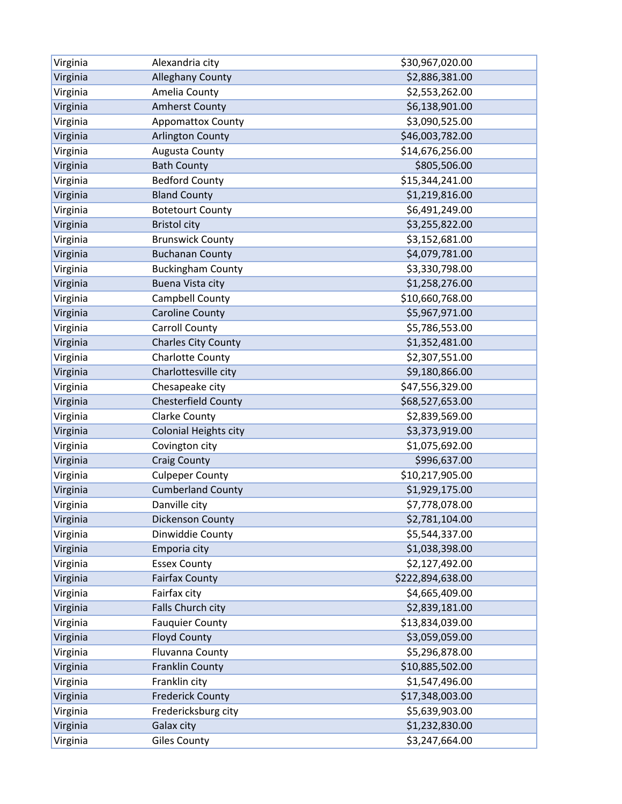| Virginia | Alexandria city              | \$30,967,020.00  |
|----------|------------------------------|------------------|
| Virginia | <b>Alleghany County</b>      | \$2,886,381.00   |
| Virginia | Amelia County                | \$2,553,262.00   |
| Virginia | <b>Amherst County</b>        | \$6,138,901.00   |
| Virginia | Appomattox County            | \$3,090,525.00   |
| Virginia | <b>Arlington County</b>      | \$46,003,782.00  |
| Virginia | Augusta County               | \$14,676,256.00  |
| Virginia | <b>Bath County</b>           | \$805,506.00     |
| Virginia | <b>Bedford County</b>        | \$15,344,241.00  |
| Virginia | <b>Bland County</b>          | \$1,219,816.00   |
| Virginia | <b>Botetourt County</b>      | \$6,491,249.00   |
| Virginia | <b>Bristol city</b>          | \$3,255,822.00   |
| Virginia | <b>Brunswick County</b>      | \$3,152,681.00   |
| Virginia | <b>Buchanan County</b>       | \$4,079,781.00   |
| Virginia | <b>Buckingham County</b>     | \$3,330,798.00   |
| Virginia | Buena Vista city             | \$1,258,276.00   |
| Virginia | Campbell County              | \$10,660,768.00  |
| Virginia | <b>Caroline County</b>       | \$5,967,971.00   |
| Virginia | Carroll County               | \$5,786,553.00   |
| Virginia | <b>Charles City County</b>   | \$1,352,481.00   |
| Virginia | Charlotte County             | \$2,307,551.00   |
| Virginia | Charlottesville city         | \$9,180,866.00   |
| Virginia | Chesapeake city              | \$47,556,329.00  |
| Virginia | Chesterfield County          | \$68,527,653.00  |
| Virginia | <b>Clarke County</b>         | \$2,839,569.00   |
| Virginia | <b>Colonial Heights city</b> | \$3,373,919.00   |
| Virginia | Covington city               | \$1,075,692.00   |
| Virginia | <b>Craig County</b>          | \$996,637.00     |
| Virginia | <b>Culpeper County</b>       | \$10,217,905.00  |
| Virginia | <b>Cumberland County</b>     | \$1,929,175.00   |
| Virginia | Danville city                | \$7,778,078.00   |
| Virginia | <b>Dickenson County</b>      | \$2,781,104.00   |
| Virginia | Dinwiddie County             | \$5,544,337.00   |
| Virginia | Emporia city                 | \$1,038,398.00   |
| Virginia | <b>Essex County</b>          | \$2,127,492.00   |
| Virginia | <b>Fairfax County</b>        | \$222,894,638.00 |
| Virginia | Fairfax city                 | \$4,665,409.00   |
| Virginia | Falls Church city            | \$2,839,181.00   |
| Virginia | <b>Fauquier County</b>       | \$13,834,039.00  |
| Virginia | <b>Floyd County</b>          | \$3,059,059.00   |
| Virginia | Fluvanna County              | \$5,296,878.00   |
| Virginia | <b>Franklin County</b>       | \$10,885,502.00  |
| Virginia | Franklin city                | \$1,547,496.00   |
| Virginia | <b>Frederick County</b>      | \$17,348,003.00  |
| Virginia | Fredericksburg city          | \$5,639,903.00   |
| Virginia | Galax city                   | \$1,232,830.00   |
| Virginia | <b>Giles County</b>          | \$3,247,664.00   |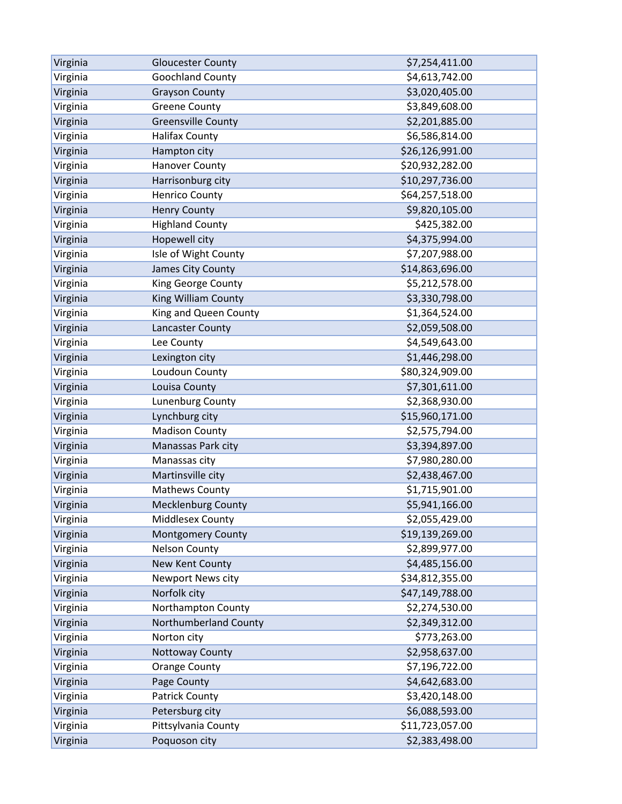| Virginia | <b>Gloucester County</b>  | \$7,254,411.00  |
|----------|---------------------------|-----------------|
| Virginia | Goochland County          | \$4,613,742.00  |
| Virginia | <b>Grayson County</b>     | \$3,020,405.00  |
| Virginia | <b>Greene County</b>      | \$3,849,608.00  |
| Virginia | <b>Greensville County</b> | \$2,201,885.00  |
| Virginia | <b>Halifax County</b>     | \$6,586,814.00  |
| Virginia | Hampton city              | \$26,126,991.00 |
| Virginia | <b>Hanover County</b>     | \$20,932,282.00 |
| Virginia | Harrisonburg city         | \$10,297,736.00 |
| Virginia | <b>Henrico County</b>     | \$64,257,518.00 |
| Virginia | <b>Henry County</b>       | \$9,820,105.00  |
| Virginia | <b>Highland County</b>    | \$425,382.00    |
| Virginia | Hopewell city             | \$4,375,994.00  |
| Virginia | Isle of Wight County      | \$7,207,988.00  |
| Virginia | James City County         | \$14,863,696.00 |
| Virginia | King George County        | \$5,212,578.00  |
| Virginia | King William County       | \$3,330,798.00  |
| Virginia | King and Queen County     | \$1,364,524.00  |
| Virginia | Lancaster County          | \$2,059,508.00  |
| Virginia | Lee County                | \$4,549,643.00  |
| Virginia | Lexington city            | \$1,446,298.00  |
| Virginia | Loudoun County            | \$80,324,909.00 |
| Virginia | Louisa County             | \$7,301,611.00  |
| Virginia | Lunenburg County          | \$2,368,930.00  |
| Virginia | Lynchburg city            | \$15,960,171.00 |
| Virginia | <b>Madison County</b>     | \$2,575,794.00  |
| Virginia | Manassas Park city        | \$3,394,897.00  |
| Virginia | Manassas city             | \$7,980,280.00  |
| Virginia | Martinsville city         | \$2,438,467.00  |
| Virginia | <b>Mathews County</b>     | \$1,715,901.00  |
| Virginia | <b>Mecklenburg County</b> | \$5,941,166.00  |
| Virginia | Middlesex County          | \$2,055,429.00  |
| Virginia | Montgomery County         | \$19,139,269.00 |
| Virginia | <b>Nelson County</b>      | \$2,899,977.00  |
| Virginia | <b>New Kent County</b>    | \$4,485,156.00  |
| Virginia | Newport News city         | \$34,812,355.00 |
| Virginia | Norfolk city              | \$47,149,788.00 |
| Virginia | Northampton County        | \$2,274,530.00  |
| Virginia | Northumberland County     | \$2,349,312.00  |
| Virginia | Norton city               | \$773,263.00    |
| Virginia | Nottoway County           | \$2,958,637.00  |
| Virginia | <b>Orange County</b>      | \$7,196,722.00  |
| Virginia | Page County               | \$4,642,683.00  |
| Virginia | <b>Patrick County</b>     | \$3,420,148.00  |
| Virginia | Petersburg city           | \$6,088,593.00  |
| Virginia | Pittsylvania County       | \$11,723,057.00 |
| Virginia | Poquoson city             | \$2,383,498.00  |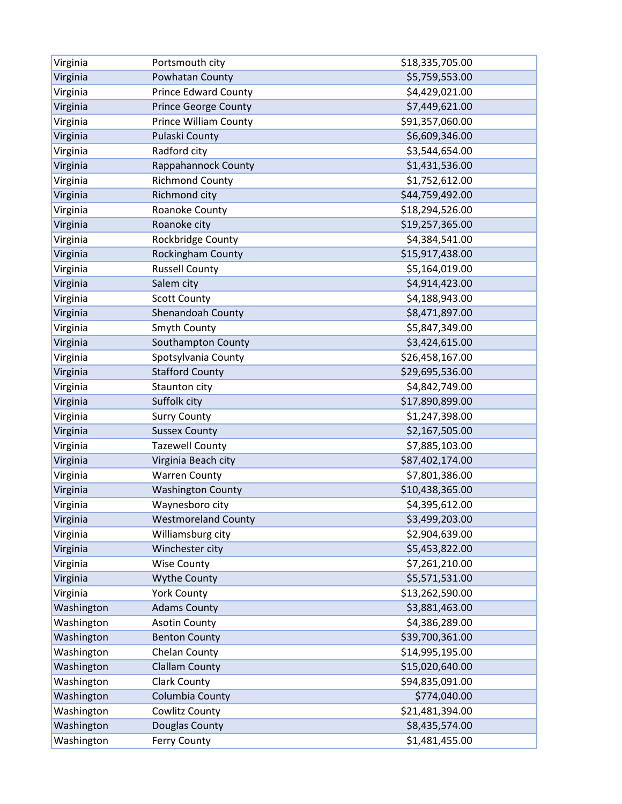| Virginia   | Portsmouth city              | \$18,335,705.00 |
|------------|------------------------------|-----------------|
| Virginia   | Powhatan County              | \$5,759,553.00  |
| Virginia   | <b>Prince Edward County</b>  | \$4,429,021.00  |
| Virginia   | <b>Prince George County</b>  | \$7,449,621.00  |
| Virginia   | <b>Prince William County</b> | \$91,357,060.00 |
| Virginia   | Pulaski County               | \$6,609,346.00  |
| Virginia   | Radford city                 | \$3,544,654.00  |
| Virginia   | Rappahannock County          | \$1,431,536.00  |
| Virginia   | <b>Richmond County</b>       | \$1,752,612.00  |
| Virginia   | Richmond city                | \$44,759,492.00 |
| Virginia   | Roanoke County               | \$18,294,526.00 |
| Virginia   | Roanoke city                 | \$19,257,365.00 |
| Virginia   | Rockbridge County            | \$4,384,541.00  |
| Virginia   | Rockingham County            | \$15,917,438.00 |
| Virginia   | <b>Russell County</b>        | \$5,164,019.00  |
| Virginia   | Salem city                   | \$4,914,423.00  |
| Virginia   | <b>Scott County</b>          | \$4,188,943.00  |
| Virginia   | Shenandoah County            | \$8,471,897.00  |
| Virginia   | Smyth County                 | \$5,847,349.00  |
| Virginia   | Southampton County           | \$3,424,615.00  |
| Virginia   | Spotsylvania County          | \$26,458,167.00 |
| Virginia   | <b>Stafford County</b>       | \$29,695,536.00 |
| Virginia   | Staunton city                | \$4,842,749.00  |
| Virginia   | Suffolk city                 | \$17,890,899.00 |
| Virginia   | <b>Surry County</b>          | \$1,247,398.00  |
| Virginia   | <b>Sussex County</b>         | \$2,167,505.00  |
| Virginia   | <b>Tazewell County</b>       | \$7,885,103.00  |
| Virginia   | Virginia Beach city          | \$87,402,174.00 |
| Virginia   | <b>Warren County</b>         | \$7,801,386.00  |
| Virginia   | <b>Washington County</b>     | \$10,438,365.00 |
| Virginia   | Waynesboro city              | \$4,395,612.00  |
| Virginia   | <b>Westmoreland County</b>   | \$3,499,203.00  |
| Virginia   | Williamsburg city            | \$2,904,639.00  |
| Virginia   | Winchester city              | \$5,453,822.00  |
| Virginia   | <b>Wise County</b>           | \$7,261,210.00  |
| Virginia   | <b>Wythe County</b>          | \$5,571,531.00  |
| Virginia   | <b>York County</b>           | \$13,262,590.00 |
| Washington | <b>Adams County</b>          | \$3,881,463.00  |
| Washington | <b>Asotin County</b>         | \$4,386,289.00  |
| Washington | <b>Benton County</b>         | \$39,700,361.00 |
| Washington | Chelan County                | \$14,995,195.00 |
| Washington | <b>Clallam County</b>        | \$15,020,640.00 |
| Washington | <b>Clark County</b>          | \$94,835,091.00 |
| Washington | Columbia County              | \$774,040.00    |
| Washington | Cowlitz County               | \$21,481,394.00 |
| Washington | Douglas County               | \$8,435,574.00  |
| Washington | <b>Ferry County</b>          | \$1,481,455.00  |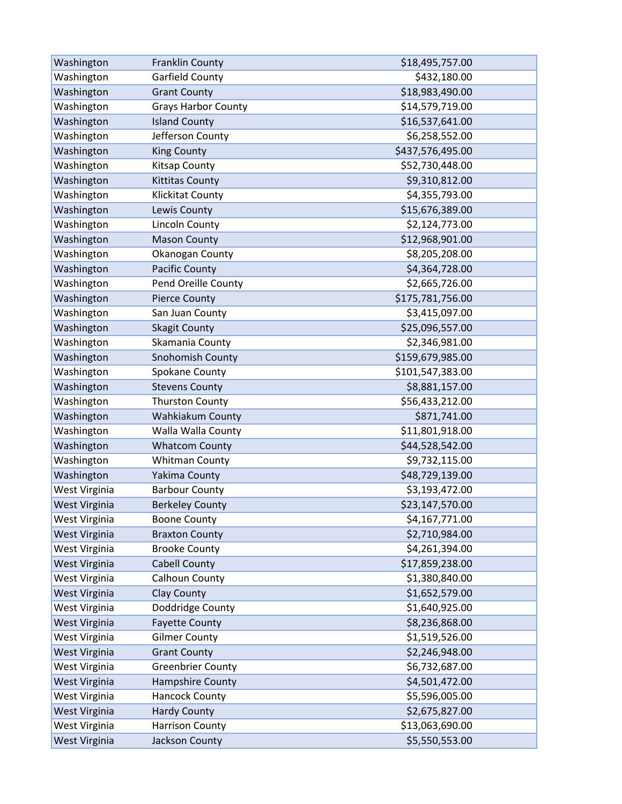| Washington    | <b>Franklin County</b>     | \$18,495,757.00  |
|---------------|----------------------------|------------------|
| Washington    | Garfield County            | \$432,180.00     |
| Washington    | <b>Grant County</b>        | \$18,983,490.00  |
| Washington    | <b>Grays Harbor County</b> | \$14,579,719.00  |
| Washington    | <b>Island County</b>       | \$16,537,641.00  |
| Washington    | Jefferson County           | \$6,258,552.00   |
| Washington    | <b>King County</b>         | \$437,576,495.00 |
| Washington    | Kitsap County              | \$52,730,448.00  |
| Washington    | <b>Kittitas County</b>     | \$9,310,812.00   |
| Washington    | Klickitat County           | \$4,355,793.00   |
| Washington    | Lewis County               | \$15,676,389.00  |
| Washington    | Lincoln County             | \$2,124,773.00   |
| Washington    | <b>Mason County</b>        | \$12,968,901.00  |
| Washington    | Okanogan County            | \$8,205,208.00   |
| Washington    | Pacific County             | \$4,364,728.00   |
| Washington    | Pend Oreille County        | \$2,665,726.00   |
| Washington    | <b>Pierce County</b>       | \$175,781,756.00 |
| Washington    | San Juan County            | \$3,415,097.00   |
| Washington    | <b>Skagit County</b>       | \$25,096,557.00  |
| Washington    | Skamania County            | \$2,346,981.00   |
| Washington    | Snohomish County           | \$159,679,985.00 |
| Washington    | Spokane County             | \$101,547,383.00 |
| Washington    | <b>Stevens County</b>      | \$8,881,157.00   |
| Washington    | <b>Thurston County</b>     | \$56,433,212.00  |
| Washington    | Wahkiakum County           | \$871,741.00     |
| Washington    | Walla Walla County         | \$11,801,918.00  |
| Washington    | <b>Whatcom County</b>      | \$44,528,542.00  |
| Washington    | <b>Whitman County</b>      | \$9,732,115.00   |
| Washington    | Yakima County              | \$48,729,139.00  |
| West Virginia | <b>Barbour County</b>      | \$3,193,472.00   |
| West Virginia | <b>Berkeley County</b>     | \$23,147,570.00  |
| West Virginia | <b>Boone County</b>        | \$4,167,771.00   |
| West Virginia | <b>Braxton County</b>      | \$2,710,984.00   |
| West Virginia | <b>Brooke County</b>       | \$4,261,394.00   |
| West Virginia | <b>Cabell County</b>       | \$17,859,238.00  |
| West Virginia | Calhoun County             | \$1,380,840.00   |
| West Virginia | <b>Clay County</b>         | \$1,652,579.00   |
| West Virginia | Doddridge County           | \$1,640,925.00   |
| West Virginia | <b>Fayette County</b>      | \$8,236,868.00   |
| West Virginia | <b>Gilmer County</b>       | \$1,519,526.00   |
| West Virginia | <b>Grant County</b>        | \$2,246,948.00   |
| West Virginia | <b>Greenbrier County</b>   | \$6,732,687.00   |
| West Virginia | Hampshire County           | \$4,501,472.00   |
| West Virginia | Hancock County             | \$5,596,005.00   |
| West Virginia | <b>Hardy County</b>        | \$2,675,827.00   |
| West Virginia | <b>Harrison County</b>     | \$13,063,690.00  |
| West Virginia | Jackson County             | \$5,550,553.00   |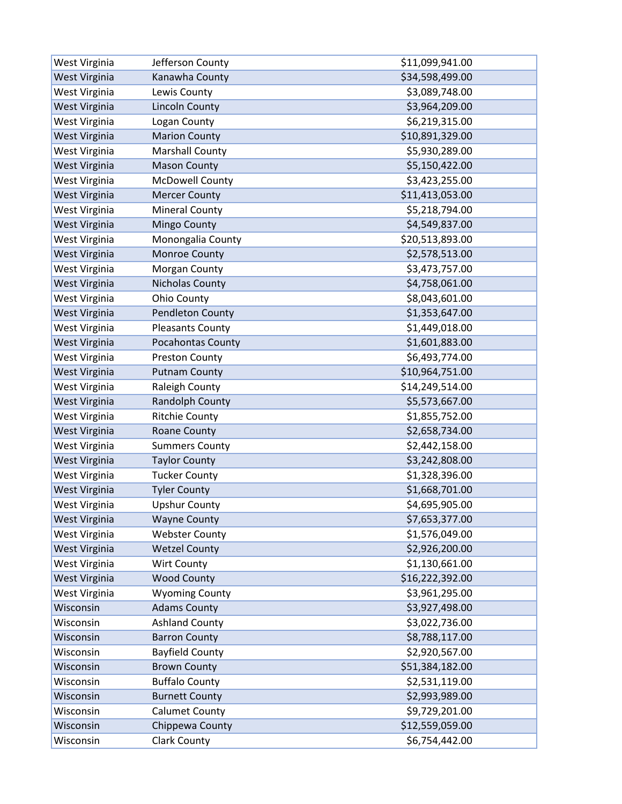| West Virginia | Jefferson County         | \$11,099,941.00 |
|---------------|--------------------------|-----------------|
| West Virginia | Kanawha County           | \$34,598,499.00 |
| West Virginia | Lewis County             | \$3,089,748.00  |
| West Virginia | <b>Lincoln County</b>    | \$3,964,209.00  |
| West Virginia | Logan County             | \$6,219,315.00  |
| West Virginia | <b>Marion County</b>     | \$10,891,329.00 |
| West Virginia | <b>Marshall County</b>   | \$5,930,289.00  |
| West Virginia | <b>Mason County</b>      | \$5,150,422.00  |
| West Virginia | <b>McDowell County</b>   | \$3,423,255.00  |
| West Virginia | <b>Mercer County</b>     | \$11,413,053.00 |
| West Virginia | <b>Mineral County</b>    | \$5,218,794.00  |
| West Virginia | <b>Mingo County</b>      | \$4,549,837.00  |
| West Virginia | Monongalia County        | \$20,513,893.00 |
| West Virginia | Monroe County            | \$2,578,513.00  |
| West Virginia | Morgan County            | \$3,473,757.00  |
| West Virginia | Nicholas County          | \$4,758,061.00  |
| West Virginia | Ohio County              | \$8,043,601.00  |
| West Virginia | <b>Pendleton County</b>  | \$1,353,647.00  |
| West Virginia | <b>Pleasants County</b>  | \$1,449,018.00  |
| West Virginia | <b>Pocahontas County</b> | \$1,601,883.00  |
| West Virginia | <b>Preston County</b>    | \$6,493,774.00  |
| West Virginia | <b>Putnam County</b>     | \$10,964,751.00 |
| West Virginia | Raleigh County           | \$14,249,514.00 |
| West Virginia | Randolph County          | \$5,573,667.00  |
| West Virginia | <b>Ritchie County</b>    | \$1,855,752.00  |
| West Virginia | Roane County             | \$2,658,734.00  |
| West Virginia | <b>Summers County</b>    | \$2,442,158.00  |
| West Virginia | <b>Taylor County</b>     | \$3,242,808.00  |
| West Virginia | <b>Tucker County</b>     | \$1,328,396.00  |
| West Virginia | <b>Tyler County</b>      | \$1,668,701.00  |
| West Virginia | <b>Upshur County</b>     | \$4,695,905.00  |
| West Virginia | <b>Wayne County</b>      | \$7,653,377.00  |
| West Virginia | <b>Webster County</b>    | \$1,576,049.00  |
| West Virginia | <b>Wetzel County</b>     | \$2,926,200.00  |
| West Virginia | <b>Wirt County</b>       | \$1,130,661.00  |
| West Virginia | <b>Wood County</b>       | \$16,222,392.00 |
| West Virginia | <b>Wyoming County</b>    | \$3,961,295.00  |
| Wisconsin     | <b>Adams County</b>      | \$3,927,498.00  |
| Wisconsin     | <b>Ashland County</b>    | \$3,022,736.00  |
| Wisconsin     | <b>Barron County</b>     | \$8,788,117.00  |
| Wisconsin     | <b>Bayfield County</b>   | \$2,920,567.00  |
| Wisconsin     | <b>Brown County</b>      | \$51,384,182.00 |
| Wisconsin     | <b>Buffalo County</b>    | \$2,531,119.00  |
| Wisconsin     | <b>Burnett County</b>    | \$2,993,989.00  |
| Wisconsin     | <b>Calumet County</b>    | \$9,729,201.00  |
| Wisconsin     | Chippewa County          | \$12,559,059.00 |
| Wisconsin     | <b>Clark County</b>      | \$6,754,442.00  |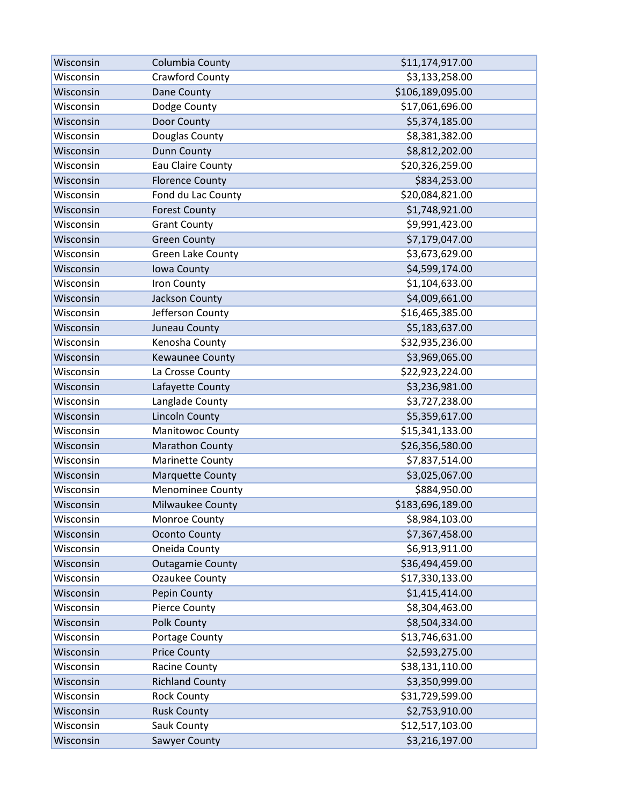| Wisconsin | Columbia County         | \$11,174,917.00  |
|-----------|-------------------------|------------------|
| Wisconsin | Crawford County         | \$3,133,258.00   |
| Wisconsin | Dane County             | \$106,189,095.00 |
| Wisconsin | Dodge County            | \$17,061,696.00  |
| Wisconsin | Door County             | \$5,374,185.00   |
| Wisconsin | Douglas County          | \$8,381,382.00   |
| Wisconsin | <b>Dunn County</b>      | \$8,812,202.00   |
| Wisconsin | Eau Claire County       | \$20,326,259.00  |
| Wisconsin | <b>Florence County</b>  | \$834,253.00     |
| Wisconsin | Fond du Lac County      | \$20,084,821.00  |
| Wisconsin | <b>Forest County</b>    | \$1,748,921.00   |
| Wisconsin | <b>Grant County</b>     | \$9,991,423.00   |
| Wisconsin | <b>Green County</b>     | \$7,179,047.00   |
| Wisconsin | Green Lake County       | \$3,673,629.00   |
| Wisconsin | Iowa County             | \$4,599,174.00   |
| Wisconsin | Iron County             | \$1,104,633.00   |
| Wisconsin | Jackson County          | \$4,009,661.00   |
| Wisconsin | Jefferson County        | \$16,465,385.00  |
| Wisconsin | Juneau County           | \$5,183,637.00   |
| Wisconsin | Kenosha County          | \$32,935,236.00  |
| Wisconsin | Kewaunee County         | \$3,969,065.00   |
| Wisconsin | La Crosse County        | \$22,923,224.00  |
| Wisconsin | Lafayette County        | \$3,236,981.00   |
| Wisconsin | Langlade County         | \$3,727,238.00   |
| Wisconsin | <b>Lincoln County</b>   | \$5,359,617.00   |
| Wisconsin | Manitowoc County        | \$15,341,133.00  |
| Wisconsin | Marathon County         | \$26,356,580.00  |
| Wisconsin | Marinette County        | \$7,837,514.00   |
| Wisconsin | <b>Marquette County</b> | \$3,025,067.00   |
| Wisconsin | <b>Menominee County</b> | \$884,950.00     |
| Wisconsin | Milwaukee County        | \$183,696,189.00 |
| Wisconsin | Monroe County           | \$8,984,103.00   |
| Wisconsin | <b>Oconto County</b>    | \$7,367,458.00   |
| Wisconsin | Oneida County           | \$6,913,911.00   |
| Wisconsin | <b>Outagamie County</b> | \$36,494,459.00  |
| Wisconsin | Ozaukee County          | \$17,330,133.00  |
| Wisconsin | Pepin County            | \$1,415,414.00   |
| Wisconsin | Pierce County           | \$8,304,463.00   |
| Wisconsin | <b>Polk County</b>      | \$8,504,334.00   |
| Wisconsin | Portage County          | \$13,746,631.00  |
| Wisconsin | <b>Price County</b>     | \$2,593,275.00   |
| Wisconsin | Racine County           | \$38,131,110.00  |
| Wisconsin | <b>Richland County</b>  | \$3,350,999.00   |
| Wisconsin | <b>Rock County</b>      | \$31,729,599.00  |
| Wisconsin | <b>Rusk County</b>      | \$2,753,910.00   |
| Wisconsin | Sauk County             | \$12,517,103.00  |
| Wisconsin | Sawyer County           | \$3,216,197.00   |